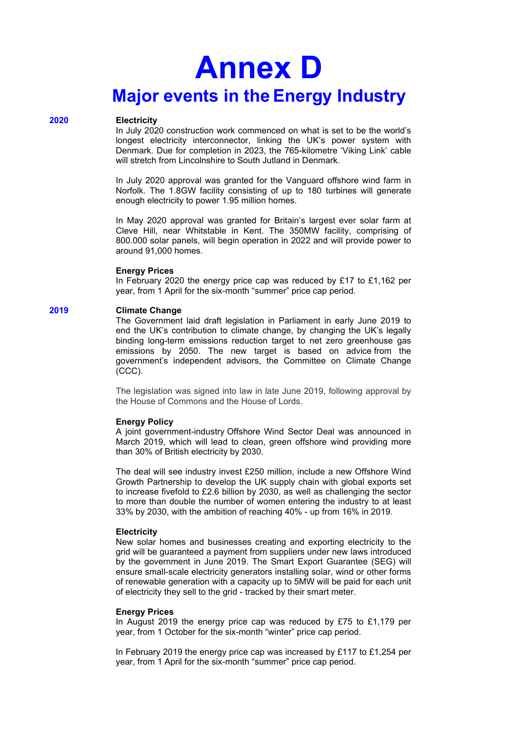# **Annex D Major events in the Energy Industry**

#### **2020 Electricity**

In July 2020 construction work commenced on what is set to be the world's longest electricity interconnector, linking the UK's power system with Denmark. Due for completion in 2023, the 765-kilometre 'Viking Link' cable will stretch from Lincolnshire to South Jutland in Denmark.

In July 2020 approval was granted for the Vanguard offshore wind farm in Norfolk. The 1.8GW facility consisting of up to 180 turbines will generate enough electricity to power 1.95 million homes.

In May 2020 approval was granted for Britain's largest ever solar farm at Cleve Hill, near Whitstable in Kent. The 350MW facility, comprising of 800.000 solar panels, will begin operation in 2022 and will provide power to around 91,000 homes.

#### **Energy Prices**

In February 2020 the energy price cap was reduced by £17 to £1,162 per year, from 1 April for the six-month "summer" price cap period.

# **2019 Climate Change**

The Government laid draft legislation in Parliament in early June 2019 to end the UK's contribution to climate change, by changing the UK's legally binding long-term emissions reduction target to net zero greenhouse gas emissions by 2050. The new target is based on advice from the government's independent advisors, the Committee on Climate Change (CCC).

The legislation was signed into law in late June 2019, following approval by the House of Commons and the House of Lords.

#### **Energy Policy**

A joint government-industry [Offshore Wind Sector Deal](https://www.gov.uk/government/publications/offshore-wind-sector-deal) was announced in March 2019, which will lead to clean, green offshore wind providing more than 30% of British electricity by 2030.

The deal will see industry invest £250 million, include a new Offshore Wind Growth Partnership to develop the UK supply chain with global exports set to increase fivefold to £2.6 billion by 2030, as well as challenging the sector to more than double the number of women entering the industry to at least 33% by 2030, with the ambition of reaching 40% - up from 16% in 2019.

#### **Electricity**

New solar homes and businesses creating and exporting electricity to the grid will be guaranteed a payment from suppliers under new laws introduced by the government in June 2019. The Smart Export Guarantee (SEG) will ensure small-scale electricity generators installing solar, wind or other forms of renewable generation with a capacity up to 5MW will be paid for each unit of electricity they sell to the grid - tracked by their smart meter.

#### **Energy Prices**

In August 2019 the energy price cap was reduced by £75 to £1,179 per year, from 1 October for the six-month "winter" price cap period.

In February 2019 the energy price cap was increased by £117 to £1,254 per year, from 1 April for the six-month "summer" price cap period.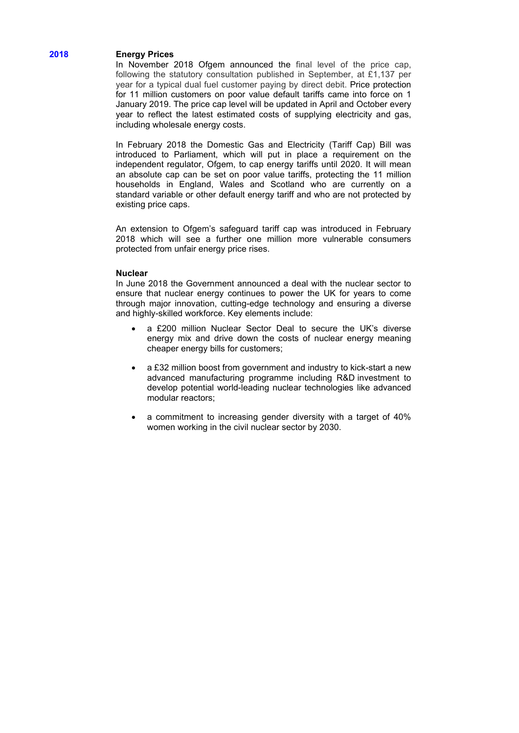# **2018 Energy Prices**

In November 2018 Ofgem announced the final level of the price cap, following the statutory consultation published in September, at £1,137 per year for a typical dual fuel customer paying by direct debit. Price protection for 11 million customers on poor value default tariffs came into force on 1 January 2019. The price cap level will be updated in April and October every year to reflect the latest estimated costs of supplying electricity and gas, including wholesale energy costs.

In February 2018 the Domestic Gas and Electricity (Tariff Cap) Bill was introduced to Parliament, which will put in place a requirement on the independent regulator, Ofgem, to cap energy tariffs until 2020. It will mean an absolute cap can be set on poor value tariffs, protecting the 11 million households in England, Wales and Scotland who are currently on a standard variable or other default energy tariff and who are not protected by existing price caps.

An extension to Ofgem's safeguard tariff cap was introduced in February 2018 which will see a further one million more vulnerable consumers protected from unfair energy price rises.

# **Nuclear**

In June 2018 the Government announced a deal with the nuclear sector to ensure that nuclear energy continues to power the UK for years to come through major innovation, cutting-edge technology and ensuring a diverse and highly-skilled workforce. Key elements include:

- a £200 million Nuclear Sector Deal to secure the UK's diverse energy mix and drive down the costs of nuclear energy meaning cheaper energy bills for customers;
- a £32 million boost from government and industry to kick-start a new advanced manufacturing programme including R&D investment to develop potential world-leading nuclear technologies like advanced modular reactors;
- a commitment to increasing gender diversity with a target of 40% women working in the civil nuclear sector by 2030.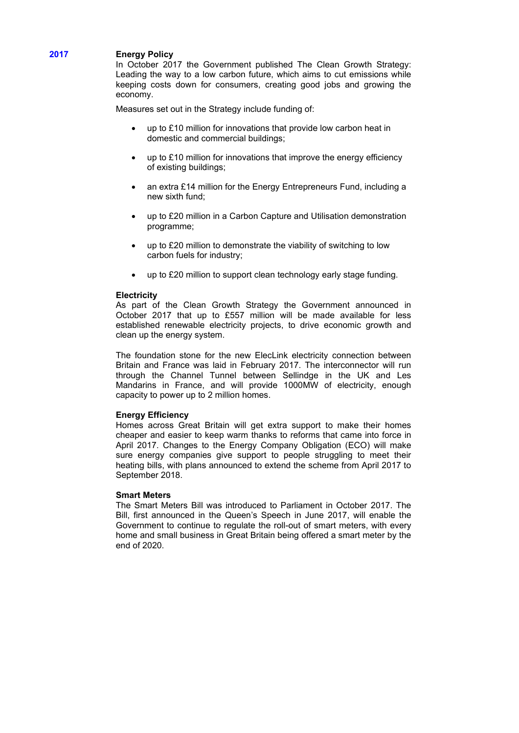# **2017 Energy Policy**

In October 2017 the Government published The Clean Growth Strategy: Leading the way to a low carbon future, which aims to cut emissions while keeping costs down for consumers, creating good jobs and growing the economy.

Measures set out in the Strategy include funding of:

- up to £10 million for innovations that provide low carbon heat in domestic and commercial buildings;
- up to £10 million for innovations that improve the energy efficiency of existing buildings;
- an extra £14 million for the Energy Entrepreneurs Fund, including a new sixth fund;
- up to £20 million in a Carbon Capture and Utilisation demonstration programme;
- up to £20 million to demonstrate the viability of switching to low carbon fuels for industry;
- up to £20 million to support clean technology early stage funding.

#### **Electricity**

As part of the Clean Growth Strategy the Government announced in October 2017 that up to £557 million will be made available for less established renewable electricity projects, to drive economic growth and clean up the energy system.

The foundation stone for the new ElecLink electricity connection between Britain and France was laid in February 2017. The interconnector will run through the Channel Tunnel between Sellindge in the UK and Les Mandarins in France, and will provide 1000MW of electricity, enough capacity to power up to 2 million homes.

# **Energy Efficiency**

Homes across Great Britain will get extra support to make their homes cheaper and easier to keep warm thanks to reforms that came into force in April 2017. Changes to the [Energy Company Obligation \(ECO\)](https://www.gov.uk/energy-company-obligation) will make sure energy companies give support to people struggling to meet their heating bills, with plans announced to extend the scheme from April 2017 to September 2018.

# **Smart Meters**

The Smart Meters Bill was introduced to Parliament in October 2017. The Bill, first announced in the Queen's Speech in June 2017, will enable the Government to continue to regulate the roll-out of smart meters, with every home and small business in Great Britain being offered a smart meter by the end of 2020.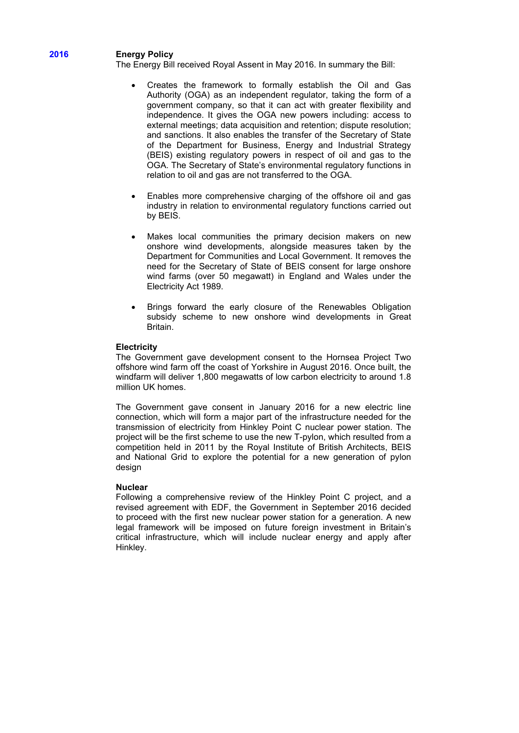# **2016 Energy Policy**

The Energy Bill received Royal Assent in May 2016. In summary the Bill:

- Creates the framework to formally establish the Oil and Gas Authority (OGA) as an independent regulator, taking the form of a government company, so that it can act with greater flexibility and independence. It gives the OGA new powers including: access to external meetings; data acquisition and retention; dispute resolution; and sanctions. It also enables the transfer of the Secretary of State of the Department for Business, Energy and Industrial Strategy (BEIS) existing regulatory powers in respect of oil and gas to the OGA. The Secretary of State's environmental regulatory functions in relation to oil and gas are not transferred to the OGA.
- Enables more comprehensive charging of the offshore oil and gas industry in relation to environmental regulatory functions carried out by BEIS.
- Makes local communities the primary decision makers on new onshore wind developments, alongside measures taken by the Department for Communities and Local Government. It removes the need for the Secretary of State of BEIS consent for large onshore wind farms (over 50 megawatt) in England and Wales under the Electricity Act 1989.
- Brings forward the early closure of the Renewables Obligation subsidy scheme to new onshore wind developments in Great Britain.

#### **Electricity**

The Government gave development consent to the Hornsea Project Two offshore wind farm off the coast of Yorkshire in August 2016. Once built, the windfarm will deliver 1,800 megawatts of low carbon electricity to around 1.8 million UK homes.

The Government gave consent in January 2016 for a new electric line connection, which will form a major part of the infrastructure needed for the transmission of electricity from Hinkley Point C nuclear power station. The project will be the first scheme to use the new T-pylon, which resulted from a competition held in 2011 by the Royal Institute of British Architects, BEIS and National Grid to explore the potential for a new generation of pylon design

#### **Nuclear**

Following a comprehensive review of the Hinkley Point C project, and a revised agreement with EDF, the Government in September 2016 decided to proceed with the first new nuclear power station for a generation. A new legal framework will be imposed on future foreign investment in Britain's critical infrastructure, which will include nuclear energy and apply after Hinkley.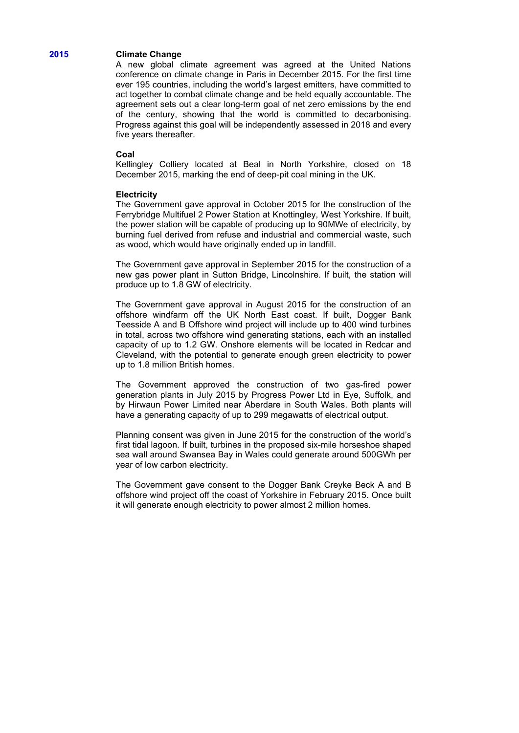# **2015 Climate Change**

A new global climate agreement was agreed at the United Nations conference on climate change in Paris in December 2015. For the first time ever 195 countries, including the world's largest emitters, have committed to act together to combat climate change and be held equally accountable. The agreement sets out a clear long-term goal of net zero emissions by the end of the century, showing that the world is committed to decarbonising. Progress against this goal will be independently assessed in 2018 and every five years thereafter.

#### **Coal**

Kellingley Colliery located at [Beal](https://en.wikipedia.org/wiki/Beal,_North_Yorkshire) in [North Yorkshire,](https://en.wikipedia.org/wiki/North_Yorkshire) closed on 18 December 2015, marking the end of deep-pit coal mining in the UK.

#### **Electricity**

The Government gave approval in October 2015 for the construction of the Ferrybridge Multifuel 2 Power Station at Knottingley, West Yorkshire. If built, the power station will be capable of producing up to 90MWe of electricity, by burning fuel derived from refuse and industrial and commercial waste, such as wood, which would have originally ended up in landfill.

The Government gave approval in September 2015 for the construction of a new gas power plant in Sutton Bridge, Lincolnshire. If built, the station will produce up to 1.8 GW of electricity.

The Government gave approval in August 2015 for the construction of an offshore windfarm off the UK North East coast. If built, Dogger Bank Teesside A and B Offshore wind project will include up to 400 wind turbines in total, across two offshore wind generating stations, each with an installed capacity of up to 1.2 GW. Onshore elements will be located in Redcar and Cleveland, with the potential to generate enough green electricity to power up to 1.8 million British homes.

The Government approved the construction of two gas-fired power generation plants in July 2015 by Progress Power Ltd in Eye, Suffolk, and by Hirwaun Power Limited near Aberdare in South Wales. Both plants will have a generating capacity of up to 299 megawatts of electrical output.

Planning consent was given in June 2015 for the construction of the world's first tidal lagoon. If built, turbines in the proposed six-mile horseshoe shaped sea wall around Swansea Bay in Wales could generate around 500GWh per year of low carbon electricity.

The Government gave consent to the Dogger Bank Creyke Beck A and B offshore wind project off the coast of Yorkshire in February 2015. Once built it will generate enough electricity to power almost 2 million homes.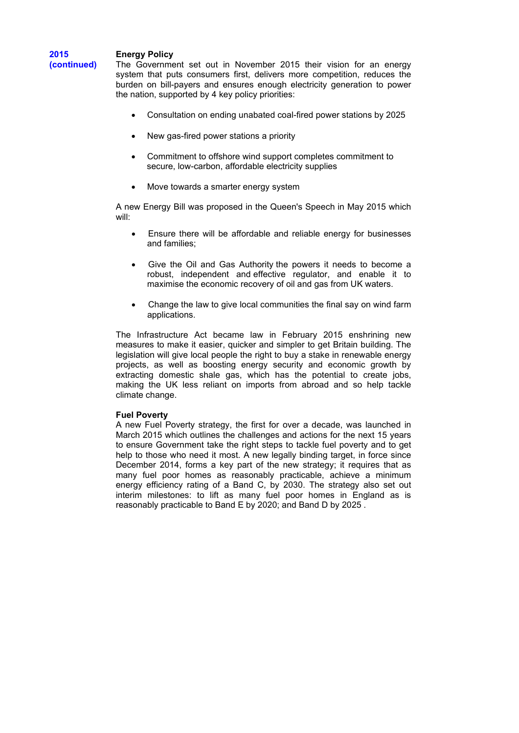# **Energy Policy**

**2015 (continued)**

The Government set out in November 2015 their vision for an energy system that puts consumers first, delivers more competition, reduces the burden on bill-payers and ensures enough electricity generation to power the nation, supported by 4 key policy priorities:

- Consultation on ending unabated coal-fired power stations by 2025
- New gas-fired power stations a priority
- Commitment to offshore wind support completes commitment to secure, low-carbon, affordable electricity supplies
- Move towards a smarter energy system

A new Energy Bill was proposed in the Queen's Speech in May 2015 which will:

- Ensure there will be affordable and reliable energy for businesses and families;
- Give the Oil and Gas Authority the powers it needs to become a robust, independent and effective regulator, and enable it to maximise the economic recovery of oil and gas from UK waters.
- Change the law to give local communities the final say on wind farm applications.

The Infrastructure Act became law in February 2015 enshrining new measures to make it easier, quicker and simpler to get Britain building. The legislation will give local people the right to buy a stake in renewable energy projects, as well as boosting energy security and economic growth by extracting domestic shale gas, which has the potential to create jobs, making the UK less reliant on imports from abroad and so help tackle climate change.

# **Fuel Poverty**

A new Fuel Poverty strategy, the first for over a decade, was launched in March 2015 which outlines the challenges and actions for the next 15 years to ensure Government take the right steps to tackle fuel poverty and to get help to those who need it most. A new legally binding target, in force since December 2014, forms a key part of the new strategy; it requires that as many fuel poor homes as reasonably practicable, achieve a minimum energy efficiency rating of a Band C, by 2030. The strategy also set out interim milestones: to lift as many fuel poor homes in England as is reasonably practicable to Band E by 2020; and Band D by 2025 .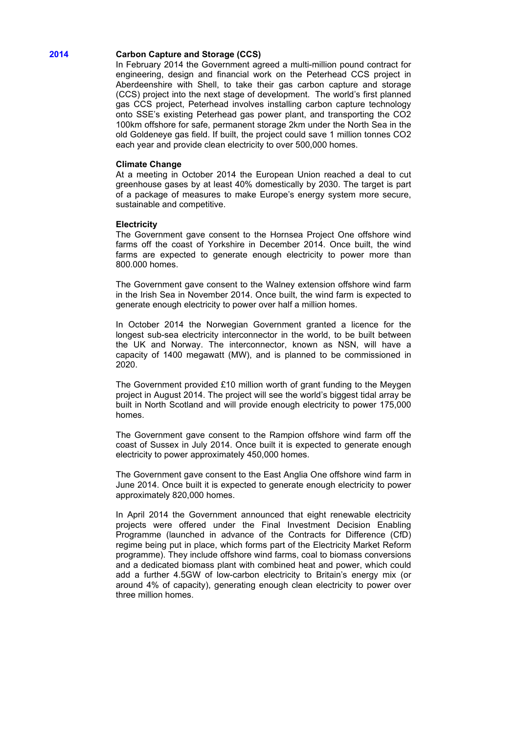# **2014 Carbon Capture and Storage (CCS)**

In February 2014 the Government agreed a multi-million pound contract for engineering, design and financial work on the Peterhead CCS project in Aberdeenshire with Shell, to take their gas carbon capture and storage (CCS) project into the next stage of development. The world's first planned gas CCS project, Peterhead involves installing carbon capture technology onto SSE's existing Peterhead gas power plant, and transporting the CO2 100km offshore for safe, permanent storage 2km under the North Sea in the old Goldeneye gas field. If built, the project could save 1 million tonnes CO2 each year and provide clean electricity to over 500,000 homes.

#### **Climate Change**

At a meeting in October 2014 the European Union reached a deal to cut greenhouse gases by at least 40% domestically by 2030. The target is part of a package of measures to make Europe's energy system more secure, sustainable and competitive.

#### **Electricity**

The Government gave consent to the Hornsea Project One offshore wind farms off the coast of Yorkshire in December 2014. Once built, the wind farms are expected to generate enough electricity to power more than 800.000 homes.

The Government gave consent to the Walney extension offshore wind farm in the Irish Sea in November 2014. Once built, the wind farm is expected to generate enough electricity to power over half a million homes.

In October 2014 the Norwegian Government granted a licence for the longest sub-sea electricity interconnector in the world, to be built between the UK and Norway. The interconnector, known as NSN, will have a capacity of 1400 megawatt (MW), and is planned to be commissioned in 2020.

The Government provided £10 million worth of grant funding to the Meygen project in August 2014. The project will see the world's biggest tidal array be built in North Scotland and will provide enough electricity to power 175,000 homes.

The Government gave consent to the Rampion offshore wind farm off the coast of Sussex in July 2014. Once built it is expected to generate enough electricity to power approximately 450,000 homes.

The Government gave consent to the East Anglia One offshore wind farm in June 2014. Once built it is expected to generate enough electricity to power approximately 820,000 homes.

In April 2014 the Government announced that eight renewable electricity projects were offered under the Final Investment Decision Enabling Programme (launched in advance of the Contracts for Difference (CfD) regime being put in place, which forms part of the Electricity Market Reform programme). They include offshore wind farms, coal to biomass conversions and a dedicated biomass plant with combined heat and power, which could add a further 4.5GW of low-carbon electricity to Britain's energy mix (or around 4% of capacity), generating enough clean electricity to power over three million homes.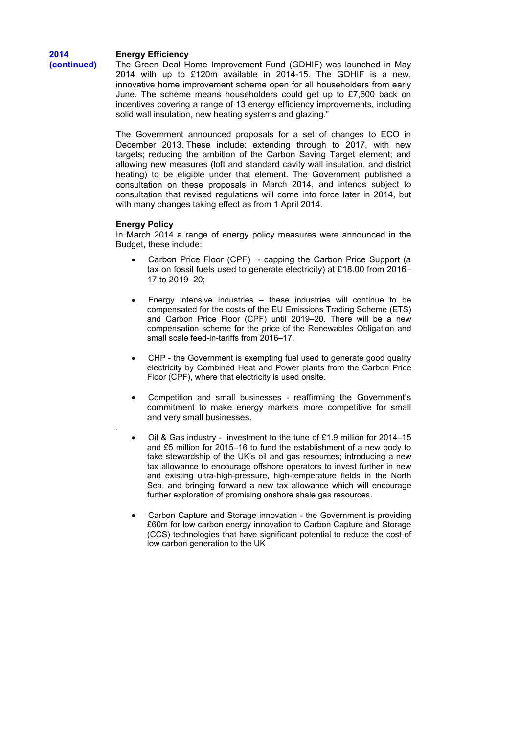# **Energy Efficiency**

**2014 (continued)**

The Green Deal Home Improvement Fund (GDHIF) was launched in May 2014 with up to £120m available in 2014-15. The GDHIF is a new, innovative home improvement scheme open for all householders from early June. The scheme means householders could get up to £7,600 back on incentives covering a range of 13 energy efficiency improvements, including solid wall insulation, new heating systems and glazing.'

The Government announced proposals for a [set of changes to ECO](https://www.gov.uk/government/news/govt-action-to-help-hardworking-people-with-energy-bills) in December 2013. These include: extending through to 2017, with new targets; reducing the ambition of the Carbon Saving Target element; and allowing new measures (loft and standard cavity wall insulation, and district heating) to be eligible under that element. The Government published a consultation on [these proposals](https://www.gov.uk/government/consultations/the-future-of-the-energy-company-obligation) in March 2014, and intends subject to consultation that revised regulations will come into force later in 2014, but with many changes taking effect as from 1 April 2014.

# **Energy Policy**

.

In March 2014 a range of energy policy measures were announced in the Budget, these include:

- Carbon Price Floor (CPF) capping the Carbon Price Support (a tax on fossil fuels used to generate electricity) at £18.00 from 2016– 17 to 2019–20;
- Energy intensive industries  $-$  these industries will continue to be compensated for the costs of the EU Emissions Trading Scheme (ETS) and Carbon Price Floor (CPF) until 2019–20. There will be a new compensation scheme for the price of the Renewables Obligation and small scale feed-in-tariffs from 2016–17.
- CHP the Government is exempting fuel used to generate good quality electricity by Combined Heat and Power plants from the Carbon Price Floor (CPF), where that electricity is used onsite.
- Competition and small businesses reaffirming the Government's commitment to make energy markets more competitive for small and very small businesses.
- Oil & Gas industry investment to the tune of £1.9 million for 2014–15 and £5 million for 2015–16 to fund the establishment of a new body to take stewardship of the UK's oil and gas resources; introducing a new tax allowance to encourage offshore operators to invest further in new and existing ultra-high-pressure, high-temperature fields in the North Sea, and bringing forward a new tax allowance which will encourage further exploration of promising onshore shale gas resources.
- Carbon Capture and Storage innovation the Government is providing £60m for low carbon energy innovation to Carbon Capture and Storage (CCS) technologies that have significant potential to reduce the cost of low carbon generation to the UK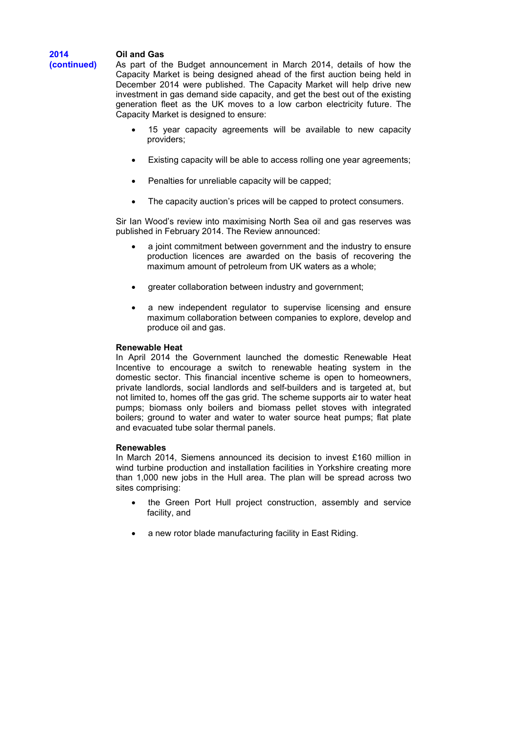# **Oil and Gas**

**2014 (continued)**

As part of the Budget announcement in March 2014, details of how the Capacity Market is being designed ahead of the first auction being held in December 2014 were published. The Capacity Market will help drive new investment in gas demand side capacity, and get the best out of the existing generation fleet as the UK moves to a low carbon electricity future. The Capacity Market is designed to ensure:

- 15 year capacity agreements will be available to new capacity providers;
- Existing capacity will be able to access rolling one year agreements;
- Penalties for unreliable capacity will be capped;
- The capacity auction's prices will be capped to protect consumers.

Sir Ian Wood's review into maximising North Sea oil and gas reserves was published in February 2014. The Review announced:

- a joint commitment between government and the industry to ensure production licences are awarded on the basis of recovering the maximum amount of petroleum from UK waters as a whole;
- greater collaboration between industry and government;
- a new independent regulator to supervise licensing and ensure maximum collaboration between companies to explore, develop and produce oil and gas.

# **Renewable Heat**

In April 2014 the Government launched the domestic Renewable Heat Incentive to encourage a switch to renewable heating system in the domestic sector. This financial incentive scheme is open to homeowners, private landlords, social landlords and self-builders and is targeted at, but not limited to, homes off the gas grid. The scheme supports air to water heat pumps; biomass only boilers and biomass pellet stoves with integrated boilers; ground to water and water to water source heat pumps; flat plate and evacuated tube solar thermal panels.

# **Renewables**

In March 2014, Siemens announced its decision to invest £160 million in wind turbine production and installation facilities in Yorkshire creating more than 1,000 new jobs in the Hull area. The plan will be spread across two sites comprising:

- the Green Port Hull project construction, assembly and service facility, and
- a new rotor blade manufacturing facility in East Riding.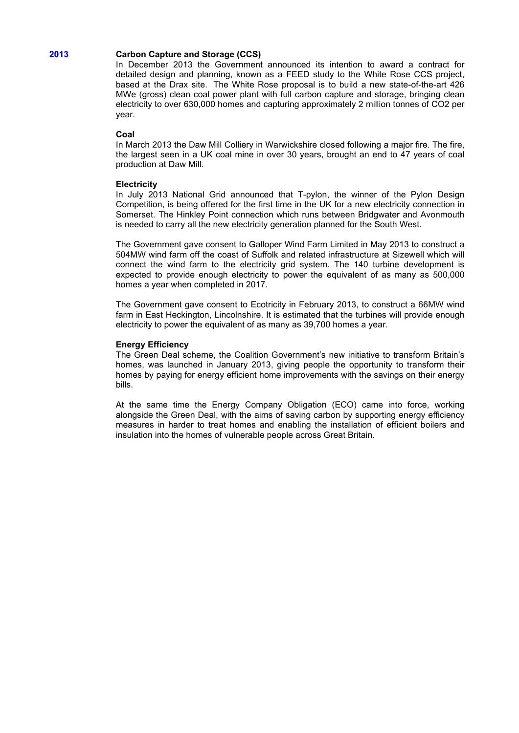# **2013 Carbon Capture and Storage (CCS)**

In December 2013 the Government announced its intention to award a contract for detailed design and planning, known as a FEED study to the White Rose CCS project, based at the Drax site. The White Rose proposal is to build a new state-of-the-art 426 MWe (gross) clean coal power plant with full carbon capture and storage, bringing clean electricity to over 630,000 homes and capturing approximately 2 million tonnes of CO2 per year.

# **Coal**

In March 2013 the Daw Mill Colliery in Warwickshire closed following a major fire. The fire, the largest seen in a UK coal mine in over 30 years, brought an end to 47 years of coal production at Daw Mill.

# **Electricity**

In July 2013 National Grid announced that T-pylon, the winner of the Pylon Design Competition, is being offered for the first time in the UK for a new electricity connection in Somerset. The Hinkley Point connection which runs between Bridgwater and Avonmouth is needed to carry all the new electricity generation planned for the South West.

The Government gave consent to Galloper Wind Farm Limited in May 2013 to construct a 504MW wind farm off the coast of Suffolk and related infrastructure at Sizewell which will connect the wind farm to the electricity grid system. The 140 turbine development is expected to provide enough electricity to power the equivalent of as many as 500,000 homes a year when completed in 2017.

The Government gave consent to Ecotricity in February 2013, to construct a 66MW wind farm in East Heckington, Lincolnshire. It is estimated that the turbines will provide enough electricity to power the equivalent of as many as 39,700 homes a year.

# **Energy Efficiency**

The Green Deal scheme, the Coalition Government's new initiative to transform Britain's homes, was launched in January 2013, giving people the opportunity to transform their homes by paying for energy efficient home improvements with the savings on their energy bills.

At the same time the Energy Company Obligation (ECO) came into force, working alongside the Green Deal, with the aims of saving carbon by supporting energy efficiency measures in harder to treat homes and enabling the installation of efficient boilers and insulation into the homes of vulnerable people across Great Britain.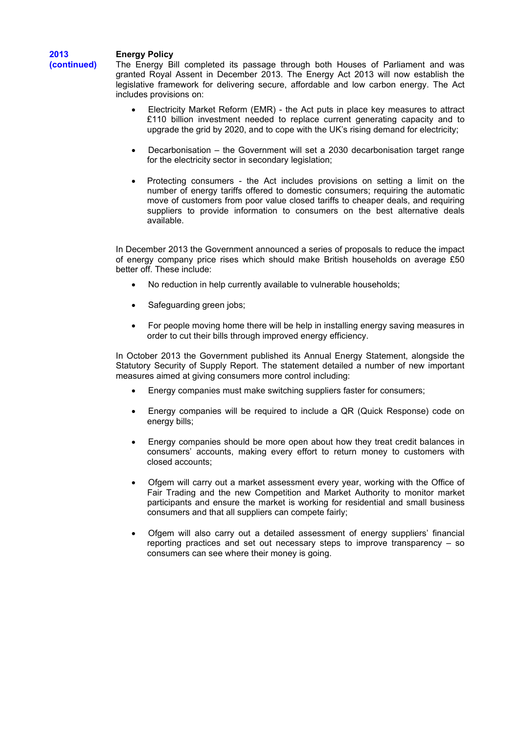# **Energy Policy**

**2013 (continued)** 

The Energy Bill completed its passage through both Houses of Parliament and was granted Royal Assent in December 2013. The Energy Act 2013 will now establish the legislative framework for delivering secure, affordable and low carbon energy. The Act includes provisions on:

- Electricity Market Reform (EMR) the Act puts in place key measures to attract £110 billion investment needed to replace current generating capacity and to upgrade the grid by 2020, and to cope with the UK's rising demand for electricity;
- Decarbonisation the Government will set a 2030 decarbonisation target range for the electricity sector in secondary legislation;
- Protecting consumers the Act includes provisions on setting a limit on the number of energy tariffs offered to domestic consumers; requiring the automatic move of customers from poor value closed tariffs to cheaper deals, and requiring suppliers to provide information to consumers on the best alternative deals available.

In December 2013 the Government announced a series of proposals to reduce the impact of energy company price rises which should make British households on average £50 better off. These include:

- No reduction in help currently available to vulnerable households;
- Safeguarding green jobs;
- For people moving home there will be help in installing energy saving measures in order to cut their bills through improved energy efficiency.

In October 2013 the Government published its Annual Energy Statement, alongside the Statutory Security of Supply Report. The statement detailed a number of new important measures aimed at giving consumers more control including:

- Energy companies must make switching suppliers faster for consumers;
- Energy companies will be required to include a QR (Quick Response) code on energy bills;
- Energy companies should be more open about how they treat credit balances in consumers' accounts, making every effort to return money to customers with closed accounts;
- Ofgem will carry out a market assessment every year, working with the Office of Fair Trading and the new Competition and Market Authority to monitor market participants and ensure the market is working for residential and small business consumers and that all suppliers can compete fairly;
- Ofgem will also carry out a detailed assessment of energy suppliers' financial reporting practices and set out necessary steps to improve transparency – so consumers can see where their money is going.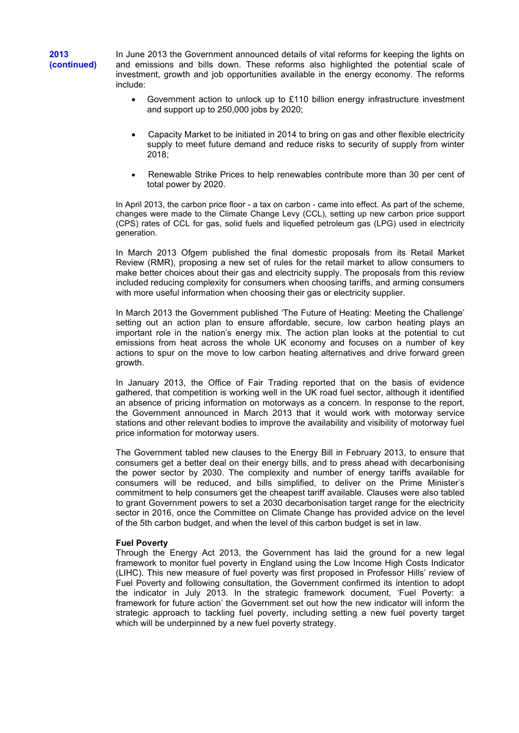In June 2013 the Government announced details of vital reforms for keeping the lights on and emissions and bills down. These reforms also highlighted the potential scale of investment, growth and job opportunities available in the energy economy. The reforms include:

- Government action to unlock up to £110 billion energy infrastructure investment and support up to 250,000 jobs by 2020;
- Capacity Market to be initiated in 2014 to bring on gas and other flexible electricity supply to meet future demand and reduce risks to security of supply from winter 2018;
- Renewable Strike Prices to help renewables contribute more than 30 per cent of total power by 2020.

In April 2013, the carbon price floor - a tax on carbon - came into effect. As part of the scheme, changes were made to the Climate Change Levy (CCL), setting up new carbon price support (CPS) rates of CCL for gas, solid fuels and liquefied petroleum gas (LPG) used in electricity generation.

In March 2013 Ofgem published the final domestic proposals from its Retail Market Review (RMR), proposing a new set of rules for the retail market to allow consumers to make better choices about their gas and electricity supply. The proposals from this review included reducing complexity for consumers when choosing tariffs, and arming consumers with more useful information when choosing their gas or electricity supplier.

In March 2013 the Government published 'The Future of Heating: Meeting the Challenge' setting out an action plan to ensure affordable, secure, low carbon heating plays an important role in the nation's energy mix. The action plan looks at the potential to cut emissions from heat across the whole UK economy and focuses on a number of key actions to spur on the move to low carbon heating alternatives and drive forward green growth.

In January 2013, the Office of Fair Trading reported that on the basis of evidence gathered, that competition is working well in the UK road fuel sector, although it identified an absence of pricing information on motorways as a concern. In response to the report, the Government announced in March 2013 that it would work with motorway service stations and other relevant bodies to improve the availability and visibility of motorway fuel price information for motorway users.

The Government tabled new clauses to the Energy Bill in February 2013, to ensure that consumers get a better deal on their energy bills, and to press ahead with decarbonising the power sector by 2030. The complexity and number of energy tariffs available for consumers will be reduced, and bills simplified, to deliver on the Prime Minister's commitment to help consumers get the cheapest tariff available. Clauses were also tabled to grant Government powers to set a 2030 decarbonisation target range for the electricity sector in 2016, once the Committee on Climate Change has provided advice on the level of the 5th carbon budget, and when the level of this carbon budget is set in law.

# **Fuel Poverty**

Through the Energy Act 2013, the Government has laid the ground for a new legal framework to monitor fuel poverty in England using the Low Income High Costs Indicator (LIHC). This new measure of fuel poverty was first proposed in Professor Hills' review of Fuel Poverty and following consultation, the Government confirmed its intention to adopt the indicator in July 2013. In the strategic framework document, 'Fuel Poverty: a framework for future action' the Government set out how the new indicator will inform the strategic approach to tackling fuel poverty, including setting a new fuel poverty target which will be underpinned by a new fuel poverty strategy.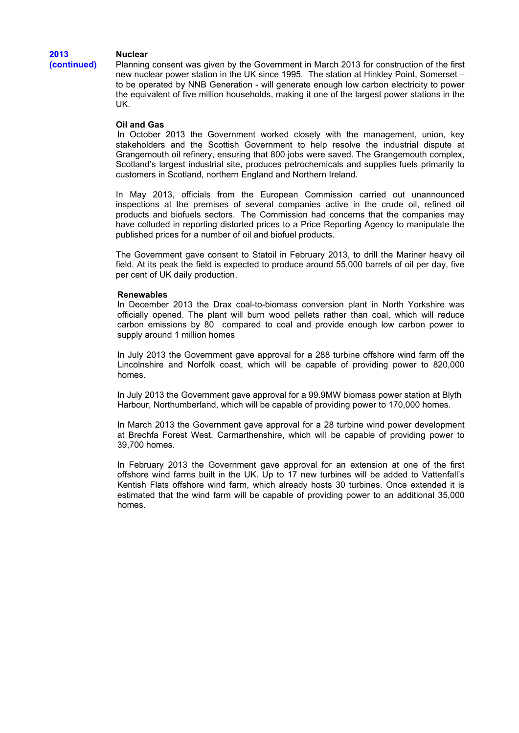# **Nuclear**

**2013 (continued)** 

Planning consent was given by the Government in March 2013 for construction of the first new nuclear power station in the UK since 1995. The station at Hinkley Point, Somerset – to be operated by NNB Generation - will generate enough low carbon electricity to power the equivalent of five million households, making it one of the largest power stations in the UK.

# **Oil and Gas**

In October 2013 the Government worked closely with the management, union, key stakeholders and the Scottish Government to help resolve the industrial dispute at Grangemouth oil refinery, ensuring that 800 jobs were saved. The Grangemouth complex, Scotland's largest industrial site, produces petrochemicals and supplies fuels primarily to customers in Scotland, northern England and Northern Ireland.

In May 2013, officials from the European Commission carried out unannounced inspections at the premises of several companies active in the crude oil, refined oil products and biofuels sectors. The Commission had concerns that the companies may have colluded in reporting distorted prices to a Price Reporting Agency to manipulate the published prices for a number of oil and biofuel products.

The Government gave consent to Statoil in February 2013, to drill the Mariner heavy oil field. At its peak the field is expected to produce around 55,000 barrels of oil per day, five per cent of UK daily production.

#### **Renewables**

In December 2013 the Drax coal-to-biomass conversion plant in North Yorkshire was officially opened. The plant will burn wood pellets rather than coal, which will reduce carbon emissions by 80 compared to coal and provide enough low carbon power to supply around 1 million homes

In July 2013 the Government gave approval for a 288 turbine offshore wind farm off the Lincolnshire and Norfolk coast, which will be capable of providing power to 820,000 homes.

In July 2013 the Government gave approval for a 99.9MW biomass power station at Blyth Harbour, Northumberland, which will be capable of providing power to 170,000 homes.

In March 2013 the Government gave approval for a 28 turbine wind power development at Brechfa Forest West, Carmarthenshire, which will be capable of providing power to 39,700 homes.

In February 2013 the Government gave approval for an extension at one of the first offshore wind farms built in the UK. Up to 17 new turbines will be added to Vattenfall's Kentish Flats offshore wind farm, which already hosts 30 turbines. Once extended it is estimated that the wind farm will be capable of providing power to an additional 35,000 homes.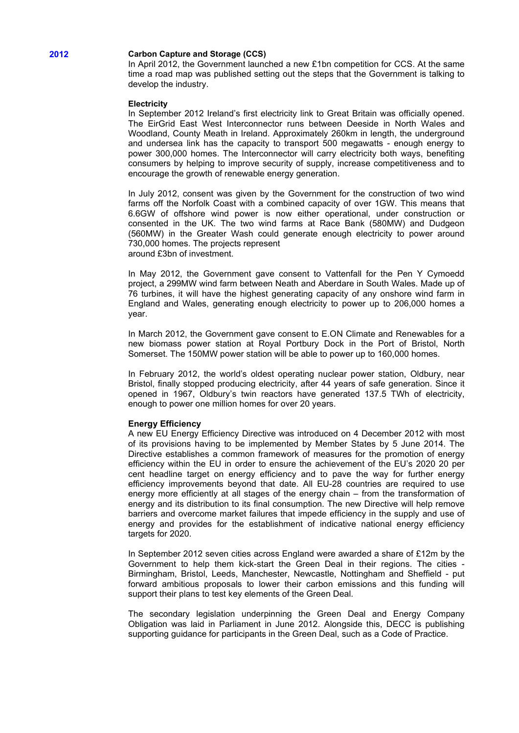# **2012 Carbon Capture and Storage (CCS)**

In April 2012, the Government launched a new £1bn competition for CCS. At the same time a road map was published setting out the steps that the Government is talking to develop the industry.

#### **Electricity**

In September 2012 Ireland's first electricity link to Great Britain was officially opened. The EirGrid East West Interconnector runs between Deeside in North Wales and Woodland, County Meath in Ireland. Approximately 260km in length, the underground and undersea link has the capacity to transport 500 megawatts - enough energy to power 300,000 homes. The Interconnector will carry electricity both ways, benefiting consumers by helping to improve security of supply, increase competitiveness and to encourage the growth of renewable energy generation.

In July 2012, consent was given by the Government for the construction of two wind farms off the Norfolk Coast with a combined capacity of over 1GW. This means that 6.6GW of offshore wind power is now either operational, under construction or consented in the UK. The two wind farms at Race Bank (580MW) and Dudgeon (560MW) in the Greater Wash could generate enough electricity to power around 730,000 homes. The projects represent around £3bn of investment.

In May 2012, the Government gave consent to Vattenfall for the Pen Y Cymoedd project, a 299MW wind farm between Neath and Aberdare in South Wales. Made up of 76 turbines, it will have the highest generating capacity of any onshore wind farm in England and Wales, generating enough electricity to power up to 206,000 homes a year.

In March 2012, the Government gave consent to E.ON Climate and Renewables for a new biomass power station at Royal Portbury Dock in the Port of Bristol, North Somerset. The 150MW power station will be able to power up to 160,000 homes.

In February 2012, the world's oldest operating nuclear power station, Oldbury, near Bristol, finally stopped producing electricity, after 44 years of safe generation. Since it opened in 1967, Oldbury's twin reactors have generated 137.5 TWh of electricity, enough to power one million homes for over 20 years.

#### **Energy Efficiency**

A new EU Energy Efficiency Directive was introduced on 4 December 2012 with most of its provisions having to be implemented by Member States by 5 June 2014. The Directive establishes a common framework of measures for the promotion of energy efficiency within the EU in order to ensure the achievement of the EU's 2020 20 per cent headline target on energy efficiency and to pave the way for further energy efficiency improvements beyond that date. All EU-28 countries are required to use energy more efficiently at all stages of the energy chain – from the transformation of energy and its distribution to its final consumption. The new Directive will help remove barriers and overcome market failures that impede efficiency in the supply and use of energy and provides for the establishment of indicative national energy efficiency targets for 2020.

In September 2012 seven cities across England were awarded a share of £12m by the Government to help them kick-start the Green Deal in their regions. The cities - Birmingham, Bristol, Leeds, Manchester, Newcastle, Nottingham and Sheffield - put forward ambitious proposals to lower their carbon emissions and this funding will support their plans to test key elements of the Green Deal.

The secondary legislation underpinning the Green Deal and Energy Company Obligation was laid in Parliament in June 2012. Alongside this, DECC is publishing supporting guidance for participants in the Green Deal, such as a Code of Practice.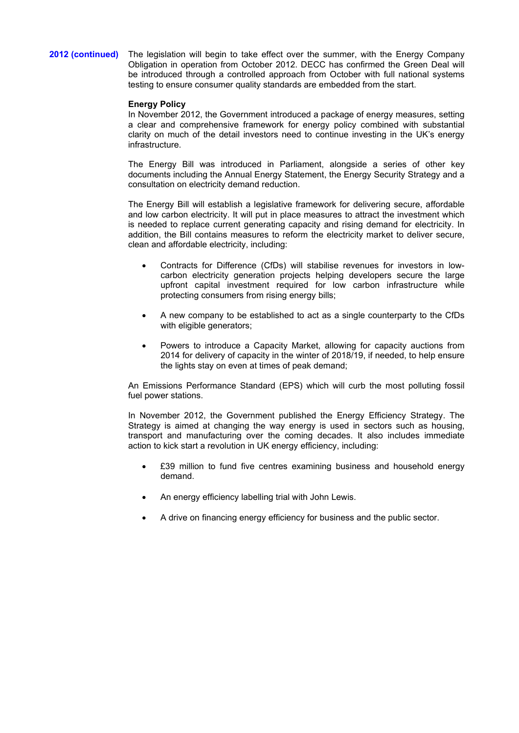**2012 (continued)** The legislation will begin to take effect over the summer, with the Energy Company Obligation in operation from October 2012. DECC has confirmed the Green Deal will be introduced through a controlled approach from October with full national systems testing to ensure consumer quality standards are embedded from the start.

#### **Energy Policy**

In November 2012, the Government introduced a package of energy measures, setting a clear and comprehensive framework for energy policy combined with substantial clarity on much of the detail investors need to continue investing in the UK's energy infrastructure.

The Energy Bill was introduced in Parliament, alongside a series of other key documents including the Annual Energy Statement, the Energy Security Strategy and a consultation on electricity demand reduction.

The Energy Bill will establish a legislative framework for delivering secure, affordable and low carbon electricity. It will put in place measures to attract the investment which is needed to replace current generating capacity and rising demand for electricity. In addition, the Bill contains measures to reform the electricity market to deliver secure, clean and affordable electricity, including:

- Contracts for Difference (CfDs) will stabilise revenues for investors in lowcarbon electricity generation projects helping developers secure the large upfront capital investment required for low carbon infrastructure while protecting consumers from rising energy bills;
- A new company to be established to act as a single counterparty to the CfDs with eligible generators;
- Powers to introduce a Capacity Market, allowing for capacity auctions from 2014 for delivery of capacity in the winter of 2018/19, if needed, to help ensure the lights stay on even at times of peak demand;

An Emissions Performance Standard (EPS) which will curb the most polluting fossil fuel power stations.

In November 2012, the Government published the Energy Efficiency Strategy. The Strategy is aimed at changing the way energy is used in sectors such as housing, transport and manufacturing over the coming decades. It also includes immediate action to kick start a revolution in UK energy efficiency, including:

- £39 million to fund five centres examining business and household energy demand.
- An energy efficiency labelling trial with John Lewis.
- A drive on financing energy efficiency for business and the public sector.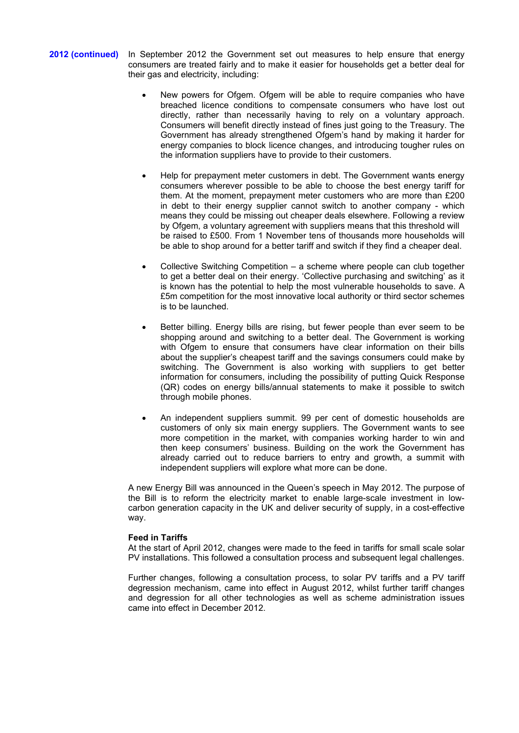- **2012 (continued)** In September 2012 the Government set out measures to help ensure that energy consumers are treated fairly and to make it easier for households get a better deal for their gas and electricity, including:
	- New powers for Ofgem. Ofgem will be able to require companies who have breached licence conditions to compensate consumers who have lost out directly, rather than necessarily having to rely on a voluntary approach. Consumers will benefit directly instead of fines just going to the Treasury. The Government has already strengthened Ofgem's hand by making it harder for energy companies to block licence changes, and introducing tougher rules on the information suppliers have to provide to their customers.
	- Help for prepayment meter customers in debt. The Government wants energy consumers wherever possible to be able to choose the best energy tariff for them. At the moment, prepayment meter customers who are more than £200 in debt to their energy supplier cannot switch to another company - which means they could be missing out cheaper deals elsewhere. Following a review by Ofgem, a voluntary agreement with suppliers means that this threshold will be raised to £500. From 1 November tens of thousands more households will be able to shop around for a better tariff and switch if they find a cheaper deal.
	- Collective Switching Competition a scheme where people can club together to get a better deal on their energy. 'Collective purchasing and switching' as it is known has the potential to help the most vulnerable households to save. A £5m competition for the most innovative local authority or third sector schemes is to be launched.
	- Better billing. Energy bills are rising, but fewer people than ever seem to be shopping around and switching to a better deal. The Government is working with Ofgem to ensure that consumers have clear information on their bills about the supplier's cheapest tariff and the savings consumers could make by switching. The Government is also working with suppliers to get better information for consumers, including the possibility of putting Quick Response (QR) codes on energy bills/annual statements to make it possible to switch through mobile phones.
	- An independent suppliers summit. 99 per cent of domestic households are customers of only six main energy suppliers. The Government wants to see more competition in the market, with companies working harder to win and then keep consumers' business. Building on the work the Government has already carried out to reduce barriers to entry and growth, a summit with independent suppliers will explore what more can be done.

A new Energy Bill was announced in the Queen's speech in May 2012. The purpose of the Bill is to reform the electricity market to enable large-scale investment in lowcarbon generation capacity in the UK and deliver security of supply, in a cost-effective way.

# **Feed in Tariffs**

At the start of April 2012, changes were made to the feed in tariffs for small scale solar PV installations. This followed a consultation process and subsequent legal challenges.

Further changes, following a consultation process, to solar PV tariffs and a PV tariff degression mechanism, came into effect in August 2012, whilst further tariff changes and degression for all other technologies as well as scheme administration issues came into effect in December 2012.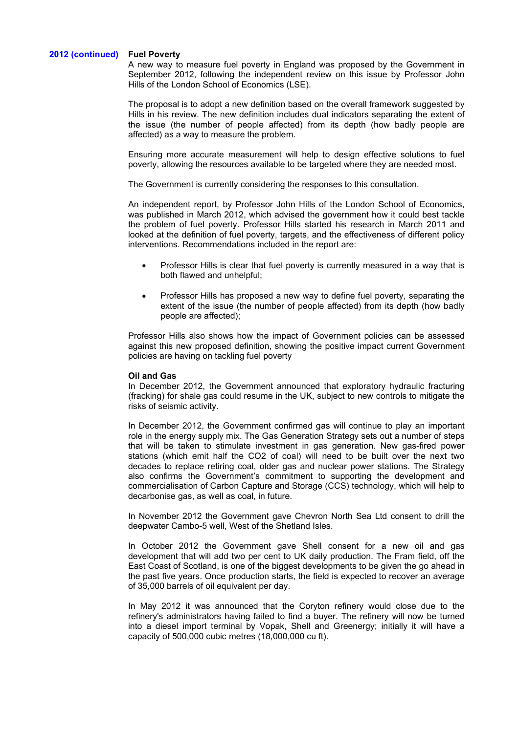#### **2012 (continued) Fuel Poverty**

A new way to measure fuel poverty in England was proposed by the Government in September 2012, following the independent review on this issue by Professor John Hills of the London School of Economics (LSE).

The proposal is to adopt a new definition based on the overall framework suggested by Hills in his review. The new definition includes dual indicators separating the extent of the issue (the number of people affected) from its depth (how badly people are affected) as a way to measure the problem.

Ensuring more accurate measurement will help to design effective solutions to fuel poverty, allowing the resources available to be targeted where they are needed most.

The Government is currently considering the responses to this consultation.

An independent report, by Professor John Hills of the London School of Economics, was published in March 2012, which advised the government how it could best tackle the problem of fuel poverty. Professor Hills started his research in March 2011 and looked at the definition of fuel poverty, targets, and the effectiveness of different policy interventions. Recommendations included in the report are:

- Professor Hills is clear that fuel poverty is currently measured in a way that is both flawed and unhelpful;
- Professor Hills has proposed a new way to define fuel poverty, separating the extent of the issue (the number of people affected) from its depth (how badly people are affected);

Professor Hills also shows how the impact of Government policies can be assessed against this new proposed definition, showing the positive impact current Government policies are having on tackling fuel poverty

# **Oil and Gas**

In December 2012, the Government announced that exploratory hydraulic fracturing (fracking) for shale gas could resume in the UK, subject to new controls to mitigate the risks of seismic activity.

In December 2012, the Government confirmed gas will continue to play an important role in the energy supply mix. The Gas Generation Strategy sets out a number of steps that will be taken to stimulate investment in gas generation. New gas-fired power stations (which emit half the CO2 of coal) will need to be built over the next two decades to replace retiring coal, older gas and nuclear power stations. The Strategy also confirms the Government's commitment to supporting the development and commercialisation of Carbon Capture and Storage (CCS) technology, which will help to decarbonise gas, as well as coal, in future.

In November 2012 the Government gave Chevron North Sea Ltd consent to drill the deepwater Cambo-5 well, West of the Shetland Isles.

In October 2012 the Government gave Shell consent for a new oil and gas development that will add two per cent to UK daily production. The Fram field, off the East Coast of Scotland, is one of the biggest developments to be given the go ahead in the past five years. Once production starts, the field is expected to recover an average of 35,000 barrels of oil equivalent per day.

In May 2012 it was announced that the Coryton refinery would close due to the refinery's administrators having failed to find a buyer. The refinery will now be turned into a diesel import terminal by Vopak, Shell and Greenergy; initially it will have a capacity of 500,000 cubic metres (18,000,000 cu ft).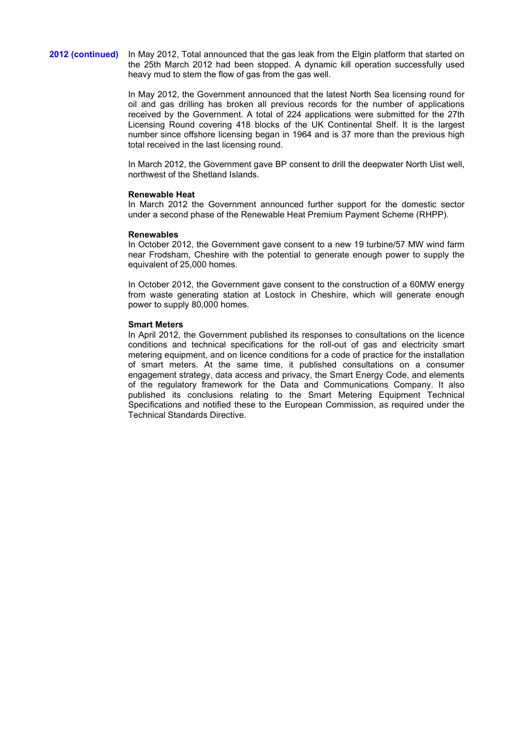**2012 (continued)** In May 2012, Total announced that the gas leak from the Elgin platform that started on the 25th March 2012 had been stopped. A dynamic kill operation successfully used heavy mud to stem the flow of gas from the gas well.

> In May 2012, the Government announced that the latest North Sea licensing round for oil and gas drilling has broken all previous records for the number of applications received by the Government. A total of 224 applications were submitted for the 27th Licensing Round covering 418 blocks of the UK Continental Shelf. It is the largest number since offshore licensing began in 1964 and is 37 more than the previous high total received in the last licensing round.

> In March 2012, the Government gave BP consent to drill the deepwater North Uist well, northwest of the Shetland Islands.

#### **Renewable Heat**

In March 2012 the Government announced further support for the domestic sector under a second phase of the Renewable Heat Premium Payment Scheme (RHPP).

#### **Renewables**

In October 2012, the Government gave consent to a new 19 turbine/57 MW wind farm near Frodsham, Cheshire with the potential to generate enough power to supply the equivalent of 25,000 homes.

In October 2012, the Government gave consent to the construction of a 60MW energy from waste generating station at Lostock in Cheshire, which will generate enough power to supply 80,000 homes.

#### **Smart Meters**

In April 2012, the Government published its responses to consultations on the licence conditions and technical specifications for the roll-out of gas and electricity smart metering equipment, and on licence conditions for a code of practice for the installation of smart meters. At the same time, it published consultations on a consumer engagement strategy, data access and privacy, the Smart Energy Code, and elements of the regulatory framework for the Data and Communications Company. It also published its conclusions relating to the Smart Metering Equipment Technical Specifications and notified these to the European Commission, as required under the Technical Standards Directive.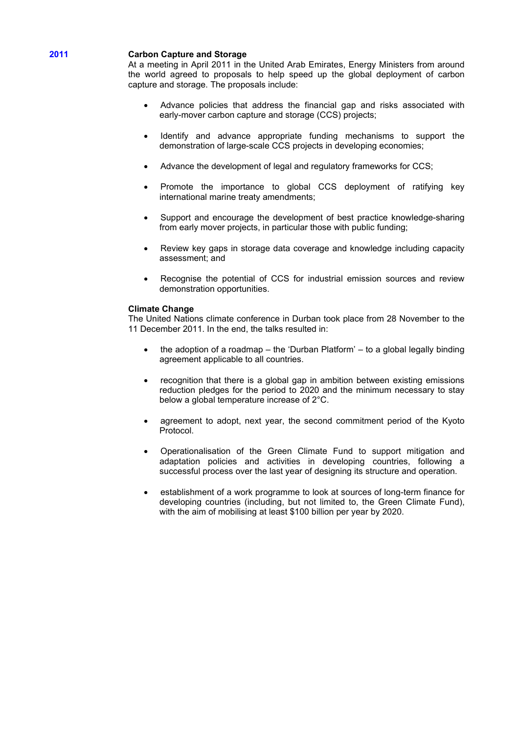# **2011 Carbon Capture and Storage**

At a meeting in April 2011 in the United Arab Emirates, Energy Ministers from around the world agreed to proposals to help speed up the global deployment of carbon capture and storage. The proposals include:

- Advance policies that address the financial gap and risks associated with early-mover carbon capture and storage (CCS) projects;
- Identify and advance appropriate funding mechanisms to support the demonstration of large-scale CCS projects in developing economies;
- Advance the development of legal and regulatory frameworks for CCS;
- Promote the importance to global CCS deployment of ratifying key international marine treaty amendments;
- Support and encourage the development of best practice knowledge-sharing from early mover projects, in particular those with public funding;
- Review key gaps in storage data coverage and knowledge including capacity assessment; and
- Recognise the potential of CCS for industrial emission sources and review demonstration opportunities.

#### **Climate Change**

The United Nations climate conference in Durban took place from 28 November to the 11 December 2011. In the end, the talks resulted in:

- the adoption of a roadmap the 'Durban Platform' to a global legally binding agreement applicable to all countries.
- recognition that there is a global gap in ambition between existing emissions reduction pledges for the period to 2020 and the minimum necessary to stay below a global temperature increase of 2°C.
- agreement to adopt, next year, the second commitment period of the Kyoto Protocol.
- Operationalisation of the Green Climate Fund to support mitigation and adaptation policies and activities in developing countries, following a successful process over the last year of designing its structure and operation.
- establishment of a work programme to look at sources of long-term finance for developing countries (including, but not limited to, the Green Climate Fund), with the aim of mobilising at least \$100 billion per year by 2020.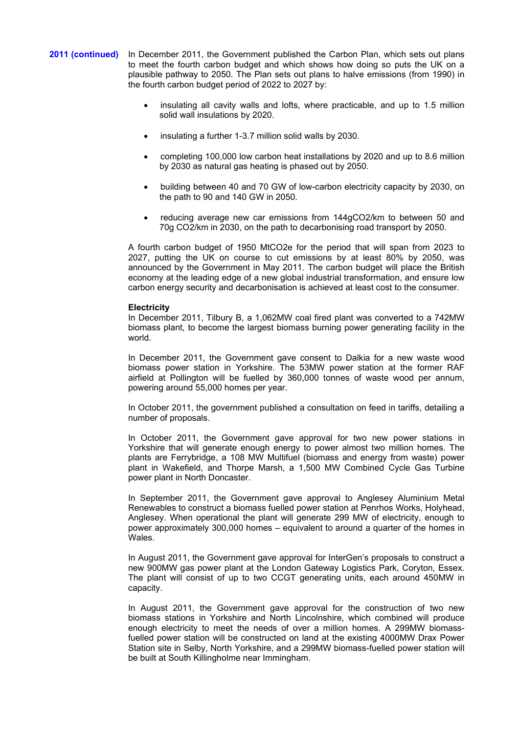# **2011 (continued)** In December 2011, the Government published the Carbon Plan, which sets out plans to meet the fourth carbon budget and which shows how doing so puts the UK on a plausible pathway to 2050. The Plan sets out plans to halve emissions (from 1990) in the fourth carbon budget period of 2022 to 2027 by:

- insulating all cavity walls and lofts, where practicable, and up to 1.5 million solid wall insulations by 2020.
- insulating a further 1-3.7 million solid walls by 2030.
- completing 100,000 low carbon heat installations by 2020 and up to 8.6 million by 2030 as natural gas heating is phased out by 2050.
- building between 40 and 70 GW of low-carbon electricity capacity by 2030, on the path to 90 and 140 GW in 2050.
- reducing average new car emissions from 144gCO2/km to between 50 and 70g CO2/km in 2030, on the path to decarbonising road transport by 2050.

A fourth carbon budget of 1950 MtCO2e for the period that will span from 2023 to 2027, putting the UK on course to cut emissions by at least 80% by 2050, was announced by the Government in May 2011. The carbon budget will place the British economy at the leading edge of a new global industrial transformation, and ensure low carbon energy security and decarbonisation is achieved at least cost to the consumer.

#### **Electricity**

In December 2011, Tilbury B, a 1,062MW coal fired plant was converted to a 742MW biomass plant, to become the largest biomass burning power generating facility in the world.

In December 2011, the Government gave consent to Dalkia for a new waste wood biomass power station in Yorkshire. The 53MW power station at the former RAF airfield at Pollington will be fuelled by 360,000 tonnes of waste wood per annum, powering around 55,000 homes per year.

In October 2011, the government published a consultation on feed in tariffs, detailing a number of proposals.

In October 2011, the Government gave approval for two new power stations in Yorkshire that will generate enough energy to power almost two million homes. The plants are Ferrybridge, a 108 MW Multifuel (biomass and energy from waste) power plant in Wakefield, and Thorpe Marsh, a 1,500 MW Combined Cycle Gas Turbine power plant in North Doncaster.

In September 2011, the Government gave approval to Anglesey Aluminium Metal Renewables to construct a biomass fuelled power station at Penrhos Works, Holyhead, Anglesey. When operational the plant will generate 299 MW of electricity, enough to power approximately 300,000 homes – equivalent to around a quarter of the homes in Wales.

In August 2011, the Government gave approval for InterGen's proposals to construct a new 900MW gas power plant at the London Gateway Logistics Park, Coryton, Essex. The plant will consist of up to two CCGT generating units, each around 450MW in capacity.

In August 2011, the Government gave approval for the construction of two new biomass stations in Yorkshire and North Lincolnshire, which combined will produce enough electricity to meet the needs of over a million homes. A 299MW biomassfuelled power station will be constructed on land at the existing 4000MW Drax Power Station site in Selby, North Yorkshire, and a 299MW biomass-fuelled power station will be built at South Killingholme near Immingham.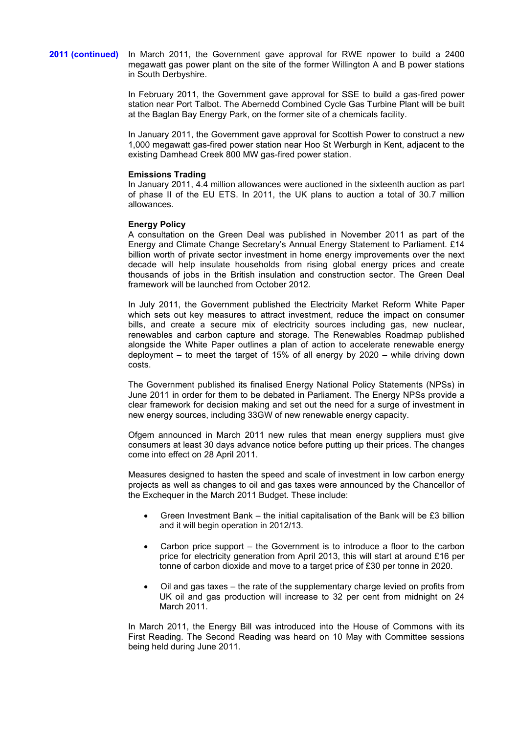**2011 (continued)** In March 2011, the Government gave approval for RWE npower to build a 2400 megawatt gas power plant on the site of the former Willington A and B power stations in South Derbyshire.

> In February 2011, the Government gave approval for SSE to build a gas-fired power station near Port Talbot. The Abernedd Combined Cycle Gas Turbine Plant will be built at the Baglan Bay Energy Park, on the former site of a chemicals facility.

> In January 2011, the Government gave approval for Scottish Power to construct a new 1,000 megawatt gas-fired power station near Hoo St Werburgh in Kent, adjacent to the existing Damhead Creek 800 MW gas-fired power station.

# **Emissions Trading**

In January 2011, 4.4 million allowances were auctioned in the sixteenth auction as part of phase II of the EU ETS. In 2011, the UK plans to auction a total of 30.7 million allowances.

# **Energy Policy**

A consultation on the Green Deal was published in November 2011 as part of the Energy and Climate Change Secretary's Annual Energy Statement to Parliament. £14 billion worth of private sector investment in home energy improvements over the next decade will help insulate households from rising global energy prices and create thousands of jobs in the British insulation and construction sector. The Green Deal framework will be launched from October 2012.

In July 2011, the Government published the Electricity Market Reform White Paper which sets out key measures to attract investment, reduce the impact on consumer bills, and create a secure mix of electricity sources including gas, new nuclear, renewables and carbon capture and storage. The Renewables Roadmap published alongside the White Paper outlines a plan of action to accelerate renewable energy deployment – to meet the target of 15% of all energy by 2020 – while driving down costs.

The Government published its finalised Energy National Policy Statements (NPSs) in June 2011 in order for them to be debated in Parliament. The Energy NPSs provide a clear framework for decision making and set out the need for a surge of investment in new energy sources, including 33GW of new renewable energy capacity.

Ofgem announced in March 2011 new rules that mean energy suppliers must give consumers at least 30 days advance notice before putting up their prices. The changes come into effect on 28 April 2011.

Measures designed to hasten the speed and scale of investment in low carbon energy projects as well as changes to oil and gas taxes were announced by the Chancellor of the Exchequer in the March 2011 Budget. These include:

- Green Investment Bank the initial capitalisation of the Bank will be  $£3$  billion and it will begin operation in 2012/13.
- Carbon price support the Government is to introduce a floor to the carbon price for electricity generation from April 2013, this will start at around £16 per tonne of carbon dioxide and move to a target price of £30 per tonne in 2020.
- Oil and gas taxes the rate of the supplementary charge levied on profits from UK oil and gas production will increase to 32 per cent from midnight on 24 March 2011.

In March 2011, the Energy Bill was introduced into the House of Commons with its First Reading. The Second Reading was heard on 10 May with Committee sessions being held during June 2011.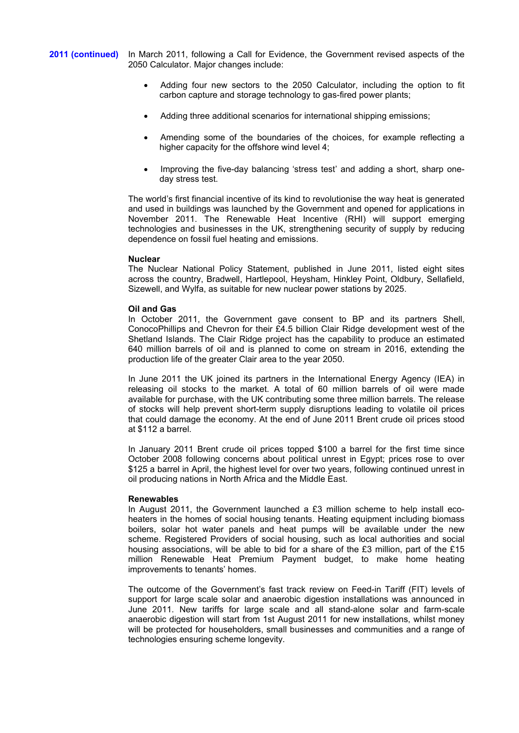**2011 (continued)** In March 2011, following a Call for Evidence, the Government revised aspects of the 2050 Calculator. Major changes include:

- Adding four new sectors to the 2050 Calculator, including the option to fit carbon capture and storage technology to gas-fired power plants;
- Adding three additional scenarios for international shipping emissions;
- Amending some of the boundaries of the choices, for example reflecting a higher capacity for the offshore wind level 4;
- Improving the five-day balancing 'stress test' and adding a short, sharp oneday stress test.

The world's first financial incentive of its kind to revolutionise the way heat is generated and used in buildings was launched by the Government and opened for applications in November 2011. The Renewable Heat Incentive (RHI) will support emerging technologies and businesses in the UK, strengthening security of supply by reducing dependence on fossil fuel heating and emissions.

#### **Nuclear**

The Nuclear National Policy Statement, published in June 2011, listed eight sites across the country, Bradwell, Hartlepool, Heysham, Hinkley Point, Oldbury, Sellafield, Sizewell, and Wylfa, as suitable for new nuclear power stations by 2025.

#### **Oil and Gas**

In October 2011, the Government gave consent to BP and its partners Shell, ConocoPhillips and Chevron for their £4.5 billion Clair Ridge development west of the Shetland Islands. The Clair Ridge project has the capability to produce an estimated 640 million barrels of oil and is planned to come on stream in 2016, extending the production life of the greater Clair area to the year 2050.

In June 2011 the UK joined its partners in the International Energy Agency (IEA) in releasing oil stocks to the market. A total of 60 million barrels of oil were made available for purchase, with the UK contributing some three million barrels. The release of stocks will help prevent short-term supply disruptions leading to volatile oil prices that could damage the economy. At the end of June 2011 Brent crude oil prices stood at \$112 a barrel.

In January 2011 Brent crude oil prices topped \$100 a barrel for the first time since October 2008 following concerns about political unrest in Egypt; prices rose to over \$125 a barrel in April, the highest level for over two years, following continued unrest in oil producing nations in North Africa and the Middle East.

#### **Renewables**

In August 2011, the Government launched a  $£3$  million scheme to help install ecoheaters in the homes of social housing tenants. Heating equipment including biomass boilers, solar hot water panels and heat pumps will be available under the new scheme. Registered Providers of social housing, such as local authorities and social housing associations, will be able to bid for a share of the £3 million, part of the £15 million Renewable Heat Premium Payment budget, to make home heating improvements to tenants' homes.

The outcome of the Government's fast track review on Feed-in Tariff (FIT) levels of support for large scale solar and anaerobic digestion installations was announced in June 2011. New tariffs for large scale and all stand-alone solar and farm-scale anaerobic digestion will start from 1st August 2011 for new installations, whilst money will be protected for householders, small businesses and communities and a range of technologies ensuring scheme longevity.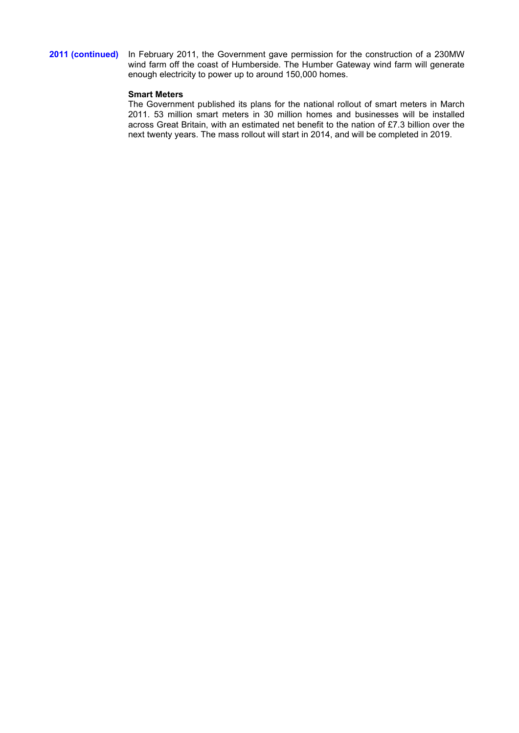# **2011 (continued)** In February 2011, the Government gave permission for the construction of a 230MW wind farm off the coast of Humberside. The Humber Gateway wind farm will generate enough electricity to power up to around 150,000 homes.

# **Smart Meters**

The Government published its plans for the national rollout of smart meters in March 2011. 53 million smart meters in 30 million homes and businesses will be installed across Great Britain, with an estimated net benefit to the nation of £7.3 billion over the next twenty years. The mass rollout will start in 2014, and will be completed in 2019.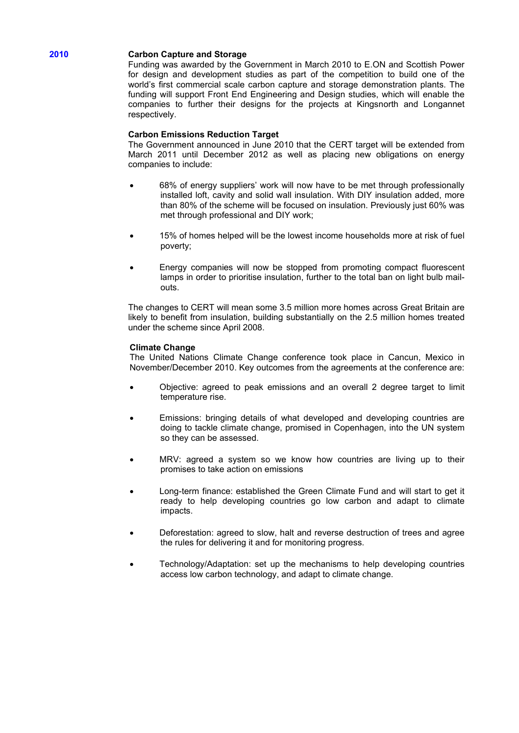# **2010 Carbon Capture and Storage**

Funding was awarded by the Government in March 2010 to E.ON and Scottish Power for design and development studies as part of the competition to build one of the world's first commercial scale carbon capture and storage demonstration plants. The funding will support Front End Engineering and Design studies, which will enable the companies to further their designs for the projects at Kingsnorth and Longannet respectively.

# **Carbon Emissions Reduction Target**

The Government announced in June 2010 that the CERT target will be extended from March 2011 until December 2012 as well as placing new obligations on energy companies to include:

- 68% of energy suppliers' work will now have to be met through professionally installed loft, cavity and solid wall insulation. With DIY insulation added, more than 80% of the scheme will be focused on insulation. Previously just 60% was met through professional and DIY work;
- 15% of homes helped will be the lowest income households more at risk of fuel poverty;
- Energy companies will now be stopped from promoting compact fluorescent lamps in order to prioritise insulation, further to the total ban on light bulb mailouts.

The changes to CERT will mean some 3.5 million more homes across Great Britain are likely to benefit from insulation, building substantially on the 2.5 million homes treated under the scheme since April 2008.

# **Climate Change**

The United Nations Climate Change conference took place in Cancun, Mexico in November/December 2010. Key outcomes from the agreements at the conference are:

- Objective: agreed to peak emissions and an overall 2 degree target to limit temperature rise.
- Emissions: bringing details of what developed and developing countries are doing to tackle climate change, promised in Copenhagen, into the UN system so they can be assessed.
- MRV: agreed a system so we know how countries are living up to their promises to take action on emissions
- Long-term finance: established the Green Climate Fund and will start to get it ready to help developing countries go low carbon and adapt to climate impacts.
- Deforestation: agreed to slow, halt and reverse destruction of trees and agree the rules for delivering it and for monitoring progress.
- Technology/Adaptation: set up the mechanisms to help developing countries access low carbon technology, and adapt to climate change.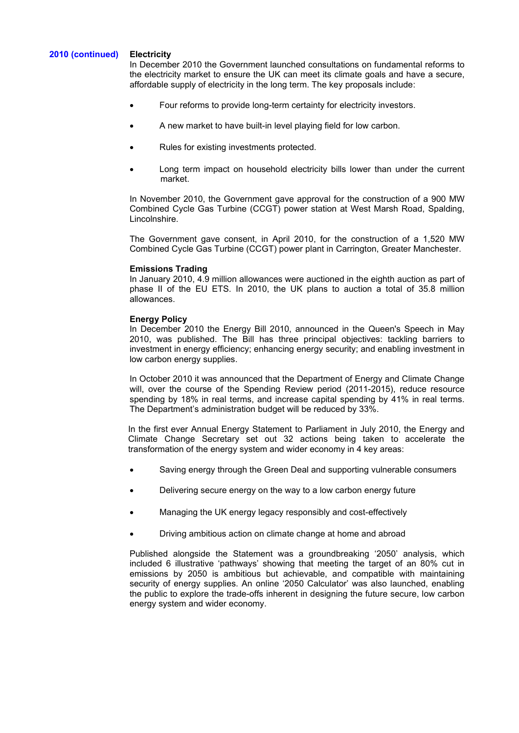# **2010 (continued) Electricity**

In December 2010 the Government launched consultations on fundamental reforms to the electricity market to ensure the UK can meet its climate goals and have a secure, affordable supply of electricity in the long term. The key proposals include:

- Four reforms to provide long-term certainty for electricity investors.
- A new market to have built-in level playing field for low carbon.
- Rules for existing investments protected.
- Long term impact on household electricity bills lower than under the current market.

In November 2010, the Government gave approval for the construction of a 900 MW Combined Cycle Gas Turbine (CCGT) power station at West Marsh Road, Spalding, Lincolnshire.

The Government gave consent, in April 2010, for the construction of a 1,520 MW Combined Cycle Gas Turbine (CCGT) power plant in Carrington, Greater Manchester.

# **Emissions Trading**

In January 2010, 4.9 million allowances were auctioned in the eighth auction as part of phase II of the EU ETS. In 2010, the UK plans to auction a total of 35.8 million allowances.

# **Energy Policy**

In December 2010 the Energy Bill 2010, announced in the Queen's Speech in May 2010, was published. The Bill has three principal objectives: tackling barriers to investment in energy efficiency; enhancing energy security; and enabling investment in low carbon energy supplies.

In October 2010 it was announced that the Department of Energy and Climate Change will, over the course of the Spending Review period (2011-2015), reduce resource spending by 18% in real terms, and increase capital spending by 41% in real terms. The Department's administration budget will be reduced by 33%.

In the first ever Annual Energy Statement to Parliament in July 2010, the Energy and Climate Change Secretary set out 32 actions being taken to accelerate the transformation of the energy system and wider economy in 4 key areas:

- Saving energy through the Green Deal and supporting vulnerable consumers
- Delivering secure energy on the way to a low carbon energy future
- Managing the UK energy legacy responsibly and cost-effectively
- Driving ambitious action on climate change at home and abroad

Published alongside the Statement was a groundbreaking '2050' analysis, which included 6 illustrative 'pathways' showing that meeting the target of an 80% cut in emissions by 2050 is ambitious but achievable, and compatible with maintaining security of energy supplies. An online '2050 Calculator' was also launched, enabling the public to explore the trade-offs inherent in designing the future secure, low carbon energy system and wider economy.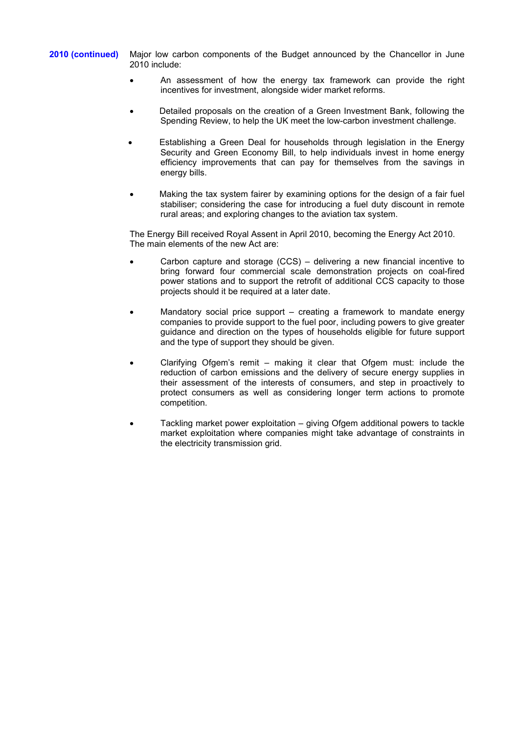**2010 (continued)** Major low carbon components of the Budget announced by the Chancellor in June 2010 include:

- An assessment of how the energy tax framework can provide the right incentives for investment, alongside wider market reforms.
- Detailed proposals on the creation of a Green Investment Bank, following the Spending Review, to help the UK meet the low-carbon investment challenge.
- Establishing a Green Deal for households through legislation in the Energy Security and Green Economy Bill, to help individuals invest in home energy efficiency improvements that can pay for themselves from the savings in energy bills.
- Making the tax system fairer by examining options for the design of a fair fuel stabiliser; considering the case for introducing a fuel duty discount in remote rural areas; and exploring changes to the aviation tax system.

The Energy Bill received Royal Assent in April 2010, becoming the Energy Act 2010. The main elements of the new Act are:

- Carbon capture and storage (CCS) delivering a new financial incentive to bring forward four commercial scale demonstration projects on coal-fired power stations and to support the retrofit of additional CCS capacity to those projects should it be required at a later date.
- Mandatory social price support creating a framework to mandate energy companies to provide support to the fuel poor, including powers to give greater guidance and direction on the types of households eligible for future support and the type of support they should be given.
- Clarifying Ofgem's remit making it clear that Ofgem must: include the reduction of carbon emissions and the delivery of secure energy supplies in their assessment of the interests of consumers, and step in proactively to protect consumers as well as considering longer term actions to promote competition.
- Tackling market power exploitation giving Ofgem additional powers to tackle market exploitation where companies might take advantage of constraints in the electricity transmission grid.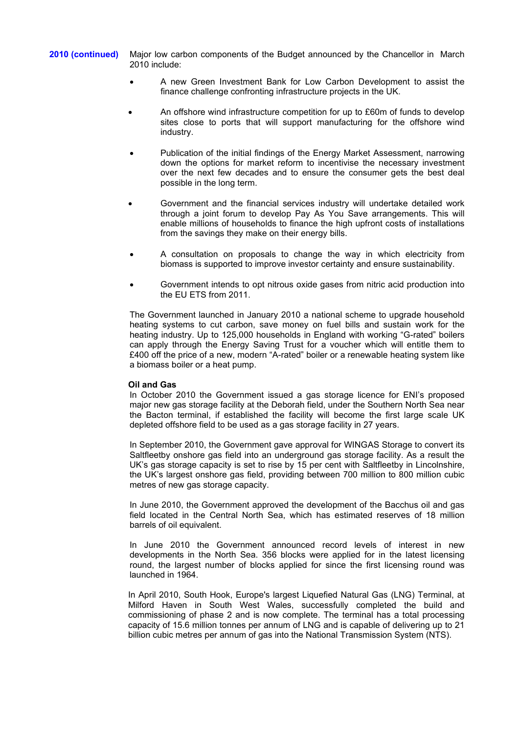**2010 (continued)** Major low carbon components of the Budget announced by the Chancellor in March 2010 include:

- A new Green Investment Bank for Low Carbon Development to assist the finance challenge confronting infrastructure projects in the UK.
- An offshore wind infrastructure competition for up to £60m of funds to develop sites close to ports that will support manufacturing for the offshore wind industry.
- Publication of the initial findings of the Energy Market Assessment, narrowing down the options for market reform to incentivise the necessary investment over the next few decades and to ensure the consumer gets the best deal possible in the long term.
- Government and the financial services industry will undertake detailed work through a joint forum to develop Pay As You Save arrangements. This will enable millions of households to finance the high upfront costs of installations from the savings they make on their energy bills.
- A consultation on proposals to change the way in which electricity from biomass is supported to improve investor certainty and ensure sustainability.
- Government intends to opt nitrous oxide gases from nitric acid production into the EU ETS from 2011.

The Government launched in January 2010 a national scheme to upgrade household heating systems to cut carbon, save money on fuel bills and sustain work for the heating industry. Up to 125,000 households in England with working "G-rated" boilers can apply through the Energy Saving Trust for a voucher which will entitle them to £400 off the price of a new, modern "A-rated" boiler or a renewable heating system like a biomass boiler or a heat pump.

# **Oil and Gas**

In October 2010 the Government issued a gas storage licence for ENI's proposed major new gas storage facility at the Deborah field, under the Southern North Sea near the Bacton terminal, if established the facility will become the first large scale UK depleted offshore field to be used as a gas storage facility in 27 years.

In September 2010, the Government gave approval for WINGAS Storage to convert its Saltfleetby onshore gas field into an underground gas storage facility. As a result the UK's gas storage capacity is set to rise by 15 per cent with Saltfleetby in Lincolnshire, the UK's largest onshore gas field, providing between 700 million to 800 million cubic metres of new gas storage capacity.

In June 2010, the Government approved the development of the Bacchus oil and gas field located in the Central North Sea, which has estimated reserves of 18 million barrels of oil equivalent.

In June 2010 the Government announced record levels of interest in new developments in the North Sea. 356 blocks were applied for in the latest licensing round, the largest number of blocks applied for since the first licensing round was launched in 1964.

In April 2010, South Hook, Europe's largest Liquefied Natural Gas (LNG) Terminal, at Milford Haven in South West Wales, successfully completed the build and commissioning of phase 2 and is now complete. The terminal has a total processing capacity of 15.6 million tonnes per annum of LNG and is capable of delivering up to 21 billion cubic metres per annum of gas into the National Transmission System (NTS).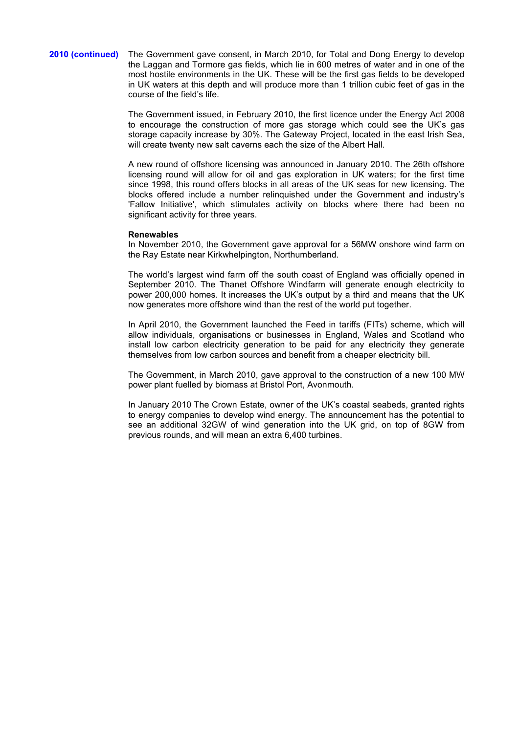#### **2010 (continued)** The Government gave consent, in March 2010, for Total and Dong Energy to develop the Laggan and Tormore gas fields, which lie in 600 metres of water and in one of the most hostile environments in the UK. These will be the first gas fields to be developed in UK waters at this depth and will produce more than 1 trillion cubic feet of gas in the course of the field's life.

The Government issued, in February 2010, the first licence under the Energy Act 2008 to encourage the construction of more gas storage which could see the UK's gas storage capacity increase by 30%. The Gateway Project, located in the east Irish Sea, will create twenty new salt caverns each the size of the Albert Hall.

A new round of offshore licensing was announced in January 2010. The 26th offshore licensing round will allow for oil and gas exploration in UK waters; for the first time since 1998, this round offers blocks in all areas of the UK seas for new licensing. The blocks offered include a number relinquished under the Government and industry's 'Fallow Initiative', which stimulates activity on blocks where there had been no significant activity for three years.

#### **Renewables**

In November 2010, the Government gave approval for a 56MW onshore wind farm on the Ray Estate near Kirkwhelpington, Northumberland.

The world's largest wind farm off the south coast of England was officially opened in September 2010. The Thanet Offshore Windfarm will generate enough electricity to power 200,000 homes. It increases the UK's output by a third and means that the UK now generates more offshore wind than the rest of the world put together.

In April 2010, the Government launched the Feed in tariffs (FITs) scheme, which will allow individuals, organisations or businesses in England, Wales and Scotland who install low carbon electricity generation to be paid for any electricity they generate themselves from low carbon sources and benefit from a cheaper electricity bill.

The Government, in March 2010, gave approval to the construction of a new 100 MW power plant fuelled by biomass at Bristol Port, Avonmouth.

In January 2010 The Crown Estate, owner of the UK's coastal seabeds, granted rights to energy companies to develop wind energy. The announcement has the potential to see an additional 32GW of wind generation into the UK grid, on top of 8GW from previous rounds, and will mean an extra 6,400 turbines.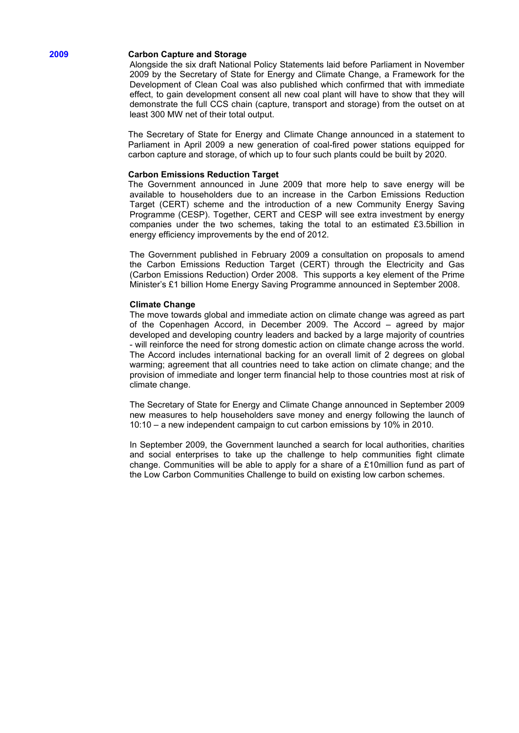#### **2009 Carbon Capture and Storage**

Alongside the six draft National Policy Statements laid before Parliament in November 2009 by the Secretary of State for Energy and Climate Change, a Framework for the Development of Clean Coal was also published which confirmed that with immediate effect, to gain development consent all new coal plant will have to show that they will demonstrate the full CCS chain (capture, transport and storage) from the outset on at least 300 MW net of their total output.

The Secretary of State for Energy and Climate Change announced in a statement to Parliament in April 2009 a new generation of coal-fired power stations equipped for carbon capture and storage, of which up to four such plants could be built by 2020.

#### **Carbon Emissions Reduction Target**

The Government announced in June 2009 that more help to save energy will be available to householders due to an increase in the Carbon Emissions Reduction Target (CERT) scheme and the introduction of a new Community Energy Saving Programme (CESP). Together, CERT and CESP will see extra investment by energy companies under the two schemes, taking the total to an estimated £3.5billion in energy efficiency improvements by the end of 2012.

The Government published in February 2009 a consultation on proposals to amend the Carbon Emissions Reduction Target (CERT) through the Electricity and Gas (Carbon Emissions Reduction) Order 2008. This supports a key element of the Prime Minister's £1 billion Home Energy Saving Programme announced in September 2008.

#### **Climate Change**

The move towards global and immediate action on climate change was agreed as part of the Copenhagen Accord, in December 2009. The Accord – agreed by major developed and developing country leaders and backed by a large majority of countries - will reinforce the need for strong domestic action on climate change across the world. The Accord includes international backing for an overall limit of 2 degrees on global warming; agreement that all countries need to take action on climate change; and the provision of immediate and longer term financial help to those countries most at risk of climate change.

The Secretary of State for Energy and Climate Change announced in September 2009 new measures to help householders save money and energy following the launch of 10:10 – a new independent campaign to cut carbon emissions by 10% in 2010.

In September 2009, the Government launched a search for local authorities, charities and social enterprises to take up the challenge to help communities fight climate change. Communities will be able to apply for a share of a £10million fund as part of the Low Carbon Communities Challenge to build on existing low carbon schemes.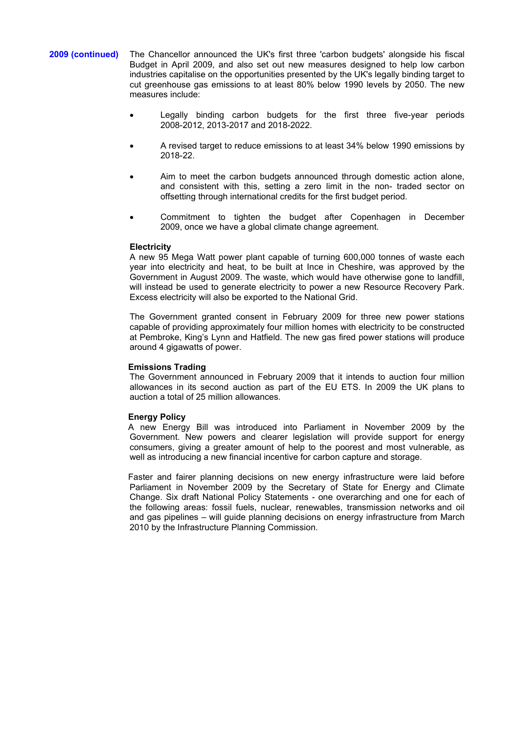- **2009 (continued)** The Chancellor announced the UK's first three 'carbon budgets' alongside his fiscal Budget in April 2009, and also set out new measures designed to help low carbon industries capitalise on the opportunities presented by the UK's legally binding target to cut greenhouse gas emissions to at least 80% below 1990 levels by 2050. The new measures include:
	- Legally binding carbon budgets for the first three five-year periods 2008-2012, 2013-2017 and 2018-2022.
	- A revised target to reduce emissions to at least 34% below 1990 emissions by 2018-22.
	- Aim to meet the carbon budgets announced through domestic action alone, and consistent with this, setting a zero limit in the non- traded sector on offsetting through international credits for the first budget period.
	- Commitment to tighten the budget after Copenhagen in December 2009, once we have a global climate change agreement.

#### **Electricity**

A new 95 Mega Watt power plant capable of turning 600,000 tonnes of waste each year into electricity and heat, to be built at Ince in Cheshire, was approved by the Government in August 2009. The waste, which would have otherwise gone to landfill, will instead be used to generate electricity to power a new Resource Recovery Park. Excess electricity will also be exported to the National Grid.

The Government granted consent in February 2009 for three new power stations capable of providing approximately four million homes with electricity to be constructed at Pembroke, King's Lynn and Hatfield. The new gas fired power stations will produce around 4 gigawatts of power.

#### **Emissions Trading**

The Government announced in February 2009 that it intends to auction four million allowances in its second auction as part of the EU ETS. In 2009 the UK plans to auction a total of 25 million allowances.

# **Energy Policy**

A new Energy Bill was introduced into Parliament in November 2009 by the Government. New powers and clearer legislation will provide support for energy consumers, giving a greater amount of help to the poorest and most vulnerable, as well as introducing a new financial incentive for carbon capture and storage.

Faster and fairer planning decisions on new energy infrastructure were laid before Parliament in November 2009 by the Secretary of State for Energy and Climate Change. Six draft National Policy Statements - one overarching and one for each of the following areas: fossil fuels, nuclear, renewables, transmission networks and oil and gas pipelines – will guide planning decisions on energy infrastructure from March 2010 by the Infrastructure Planning Commission.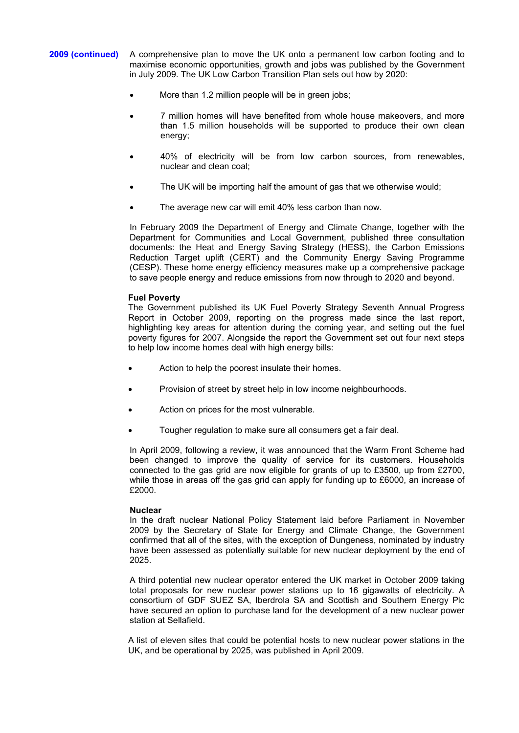- **2009 (continued)** A comprehensive plan to move the UK onto a permanent low carbon footing and to maximise economic opportunities, growth and jobs was published by the Government in July 2009. The UK Low Carbon Transition Plan sets out how by 2020:
	- More than 1.2 million people will be in green jobs;
	- 7 million homes will have benefited from whole house makeovers, and more than 1.5 million households will be supported to produce their own clean energy;
	- 40% of electricity will be from low carbon sources, from renewables, nuclear and clean coal;
	- The UK will be importing half the amount of gas that we otherwise would;
	- The average new car will emit 40% less carbon than now.

In February 2009 the Department of Energy and Climate Change, together with the Department for Communities and Local Government, published three consultation documents: the Heat and Energy Saving Strategy (HESS), the Carbon Emissions Reduction Target uplift (CERT) and the Community Energy Saving Programme (CESP). These home energy efficiency measures make up a comprehensive package to save people energy and reduce emissions from now through to 2020 and beyond.

# **Fuel Poverty**

The Government published its UK Fuel Poverty Strategy Seventh Annual Progress Report in October 2009, reporting on the progress made since the last report, highlighting key areas for attention during the coming year, and setting out the fuel poverty figures for 2007. Alongside the report the Government set out four next steps to help low income homes deal with high energy bills:

- Action to help the poorest insulate their homes.
- Provision of street by street help in low income neighbourhoods.
- Action on prices for the most vulnerable.
- Tougher regulation to make sure all consumers get a fair deal.

In April 2009, following a review, it was announced that the Warm Front Scheme had been changed to improve the quality of service for its customers. Households connected to the gas grid are now eligible for grants of up to £3500, up from £2700, while those in areas off the gas grid can apply for funding up to £6000, an increase of £2000.

# **Nuclear**

In the draft nuclear National Policy Statement laid before Parliament in November 2009 by the Secretary of State for Energy and Climate Change, the Government confirmed that all of the sites, with the exception of Dungeness, nominated by industry have been assessed as potentially suitable for new nuclear deployment by the end of 2025.

A third potential new nuclear operator entered the UK market in October 2009 taking total proposals for new nuclear power stations up to 16 gigawatts of electricity. A consortium of GDF SUEZ SA, Iberdrola SA and Scottish and Southern Energy Plc have secured an option to purchase land for the development of a new nuclear power station at Sellafield.

A list of eleven sites that could be potential hosts to new nuclear power stations in the UK, and be operational by 2025, was published in April 2009.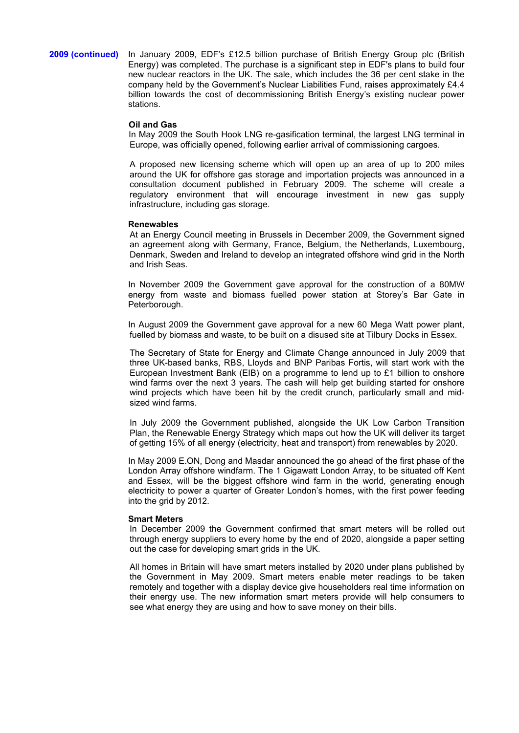# **2009 (continued)** In January 2009, EDF's £12.5 billion purchase of British Energy Group plc (British Energy) was completed. The purchase is a significant step in EDF's plans to build four new nuclear reactors in the UK. The sale, which includes the 36 per cent stake in the company held by the Government's Nuclear Liabilities Fund, raises approximately £4.4 billion towards the cost of decommissioning British Energy's existing nuclear power stations.

#### **Oil and Gas**

In May 2009 the South Hook LNG re-gasification terminal, the largest LNG terminal in Europe, was officially opened, following earlier arrival of commissioning cargoes.

A proposed new licensing scheme which will open up an area of up to 200 miles around the UK for offshore gas storage and importation projects was announced in a consultation document published in February 2009. The scheme will create a regulatory environment that will encourage investment in new gas supply infrastructure, including gas storage.

#### **Renewables**

At an Energy Council meeting in Brussels in December 2009, the Government signed an agreement along with Germany, France, Belgium, the Netherlands, Luxembourg, Denmark, Sweden and Ireland to develop an integrated offshore wind grid in the North and Irish Seas.

In November 2009 the Government gave approval for the construction of a 80MW energy from waste and biomass fuelled power station at Storey's Bar Gate in Peterborough.

In August 2009 the Government gave approval for a new 60 Mega Watt power plant, fuelled by biomass and waste, to be built on a disused site at Tilbury Docks in Essex.

The Secretary of State for Energy and Climate Change announced in July 2009 that three UK-based banks, RBS, Lloyds and BNP Paribas Fortis, will start work with the European Investment Bank (EIB) on a programme to lend up to £1 billion to onshore wind farms over the next 3 years. The cash will help get building started for onshore wind projects which have been hit by the credit crunch, particularly small and midsized wind farms.

In July 2009 the Government published, alongside the UK Low Carbon Transition Plan, the Renewable Energy Strategy which maps out how the UK will deliver its target of getting 15% of all energy (electricity, heat and transport) from renewables by 2020.

In May 2009 E.ON, Dong and Masdar announced the go ahead of the first phase of the London Array offshore windfarm. The 1 Gigawatt London Array, to be situated off Kent and Essex, will be the biggest offshore wind farm in the world, generating enough electricity to power a quarter of Greater London's homes, with the first power feeding into the grid by 2012.

#### **Smart Meters**

In December 2009 the Government confirmed that smart meters will be rolled out through energy suppliers to every home by the end of 2020, alongside a paper setting out the case for developing smart grids in the UK.

All homes in Britain will have smart meters installed by 2020 under plans published by the Government in May 2009. Smart meters enable meter readings to be taken remotely and together with a display device give householders real time information on their energy use. The new information smart meters provide will help consumers to see what energy they are using and how to save money on their bills.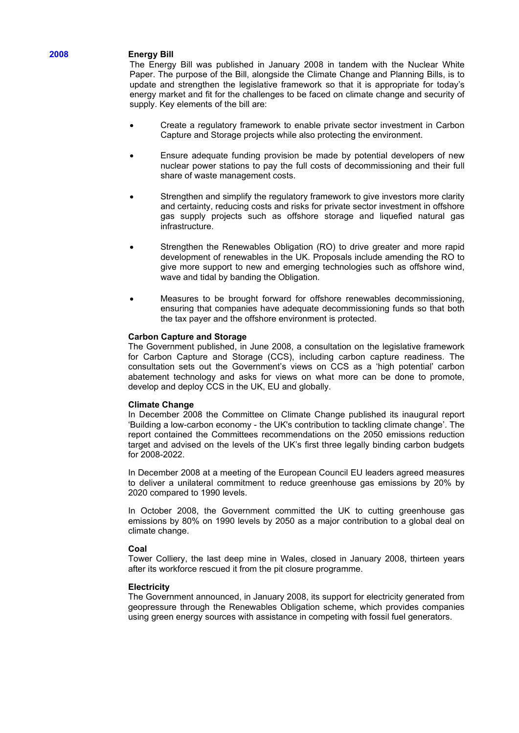# **2008 Energy Bill**

The Energy Bill was published in January 2008 in tandem with the Nuclear White Paper. The purpose of the Bill, alongside the Climate Change and Planning Bills, is to update and strengthen the legislative framework so that it is appropriate for today's energy market and fit for the challenges to be faced on climate change and security of supply. Key elements of the bill are:

- Create a regulatory framework to enable private sector investment in Carbon Capture and Storage projects while also protecting the environment.
- Ensure adequate funding provision be made by potential developers of new nuclear power stations to pay the full costs of decommissioning and their full share of waste management costs.
- Strengthen and simplify the regulatory framework to give investors more clarity and certainty, reducing costs and risks for private sector investment in offshore gas supply projects such as offshore storage and liquefied natural gas infrastructure.
- Strengthen the Renewables Obligation (RO) to drive greater and more rapid development of renewables in the UK. Proposals include amending the RO to give more support to new and emerging technologies such as offshore wind, wave and tidal by banding the Obligation.
- Measures to be brought forward for offshore renewables decommissioning, ensuring that companies have adequate decommissioning funds so that both the tax payer and the offshore environment is protected.

# **Carbon Capture and Storage**

The Government published, in June 2008, a consultation on the legislative framework for Carbon Capture and Storage (CCS), including carbon capture readiness. The consultation sets out the Government's views on CCS as a 'high potential' carbon abatement technology and asks for views on what more can be done to promote, develop and deploy CCS in the UK, EU and globally.

#### **Climate Change**

In December 2008 the Committee on Climate Change published its inaugural report 'Building a low-carbon economy - the UK's contribution to tackling climate change'. The report contained the Committees recommendations on the 2050 emissions reduction target and advised on the levels of the UK's first three legally binding carbon budgets for 2008-2022.

In December 2008 at a meeting of the European Council EU leaders agreed measures to deliver a unilateral commitment to reduce greenhouse gas emissions by 20% by 2020 compared to 1990 levels.

In October 2008, the Government committed the UK to cutting greenhouse gas emissions by 80% on 1990 levels by 2050 as a major contribution to a global deal on climate change.

# **Coal**

Tower Colliery, the last deep mine in Wales, closed in January 2008, thirteen years after its workforce rescued it from the pit closure programme.

# **Electricity**

The Government announced, in January 2008, its support for electricity generated from geopressure through the Renewables Obligation scheme, which provides companies using green energy sources with assistance in competing with fossil fuel generators.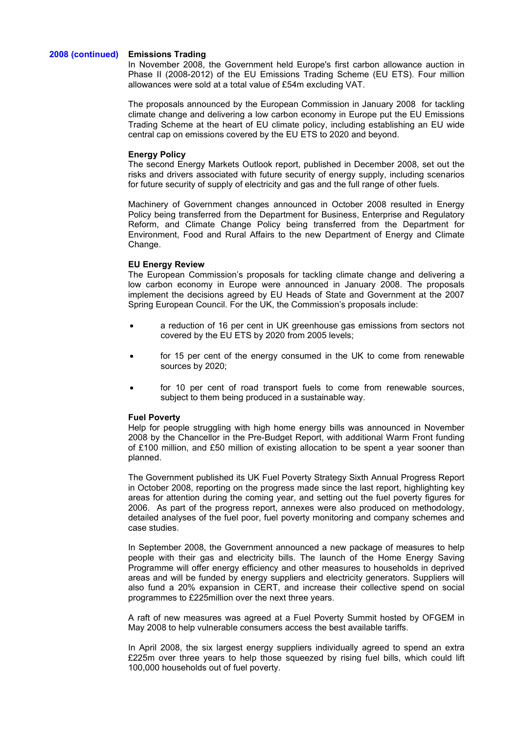#### **2008 (continued) Emissions Trading**

In November 2008, the Government held Europe's first carbon allowance auction in Phase II (2008-2012) of the EU Emissions Trading Scheme (EU ETS). Four million allowances were sold at a total value of £54m excluding VAT.

The proposals announced by the European Commission in January 2008 for tackling climate change and delivering a low carbon economy in Europe put the EU Emissions Trading Scheme at the heart of EU climate policy, including establishing an EU wide central cap on emissions covered by the EU ETS to 2020 and beyond.

#### **Energy Policy**

The second Energy Markets Outlook report, published in December 2008, set out the risks and drivers associated with future security of energy supply, including scenarios for future security of supply of electricity and gas and the full range of other fuels.

Machinery of Government changes announced in October 2008 resulted in Energy Policy being transferred from the Department for Business, Enterprise and Regulatory Reform, and Climate Change Policy being transferred from the Department for Environment, Food and Rural Affairs to the new Department of Energy and Climate Change.

#### **EU Energy Review**

The European Commission's proposals for tackling climate change and delivering a low carbon economy in Europe were announced in January 2008. The proposals implement the decisions agreed by EU Heads of State and Government at the 2007 Spring European Council. For the UK, the Commission's proposals include:

- a reduction of 16 per cent in UK greenhouse gas emissions from sectors not covered by the EU ETS by 2020 from 2005 levels;
- for 15 per cent of the energy consumed in the UK to come from renewable sources by 2020;
- for 10 per cent of road transport fuels to come from renewable sources, subject to them being produced in a sustainable way.

#### **Fuel Poverty**

Help for people struggling with high home energy bills was announced in November 2008 by the Chancellor in the Pre-Budget Report, with additional Warm Front funding of £100 million, and £50 million of existing allocation to be spent a year sooner than planned.

The Government published its UK Fuel Poverty Strategy Sixth Annual Progress Report in October 2008, reporting on the progress made since the last report, highlighting key areas for attention during the coming year, and setting out the fuel poverty figures for 2006. As part of the progress report, annexes were also produced on methodology, detailed analyses of the fuel poor, fuel poverty monitoring and company schemes and case studies.

In September 2008, the Government announced a new package of measures to help people with their gas and electricity bills. The launch of the Home Energy Saving Programme will offer energy efficiency and other measures to households in deprived areas and will be funded by energy suppliers and electricity generators. Suppliers will also fund a 20% expansion in CERT, and increase their collective spend on social programmes to £225million over the next three years.

A raft of new measures was agreed at a Fuel Poverty Summit hosted by OFGEM in May 2008 to help vulnerable consumers access the best available tariffs.

In April 2008, the six largest energy suppliers individually agreed to spend an extra £225m over three years to help those squeezed by rising fuel bills, which could lift 100,000 households out of fuel poverty.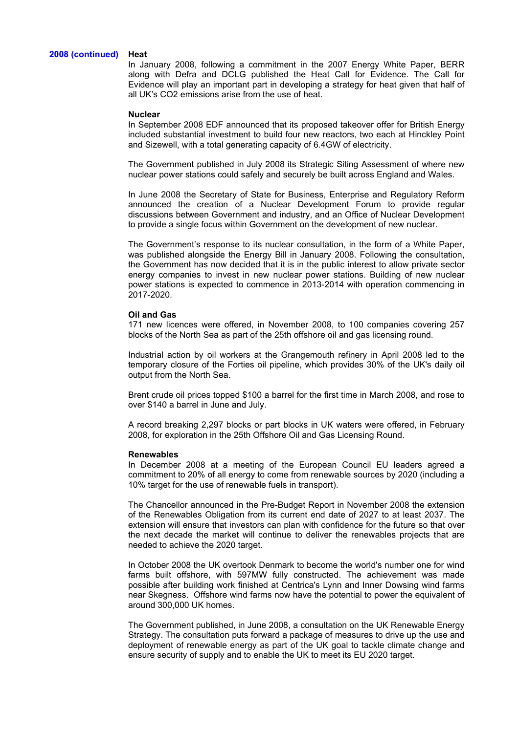#### **2008 (continued) Heat**

In January 2008, following a commitment in the 2007 Energy White Paper, BERR along with Defra and DCLG published the Heat Call for Evidence. The Call for Evidence will play an important part in developing a strategy for heat given that half of all UK's CO2 emissions arise from the use of heat.

#### **Nuclear**

In September 2008 EDF announced that its proposed takeover offer for British Energy included substantial investment to build four new reactors, two each at Hinckley Point and Sizewell, with a total generating capacity of 6.4GW of electricity.

The Government published in July 2008 its Strategic Siting Assessment of where new nuclear power stations could safely and securely be built across England and Wales.

In June 2008 the Secretary of State for Business, Enterprise and Regulatory Reform announced the creation of a Nuclear Development Forum to provide regular discussions between Government and industry, and an Office of Nuclear Development to provide a single focus within Government on the development of new nuclear.

The Government's response to its nuclear consultation, in the form of a White Paper, was published alongside the Energy Bill in January 2008. Following the consultation, the Government has now decided that it is in the public interest to allow private sector energy companies to invest in new nuclear power stations. Building of new nuclear power stations is expected to commence in 2013-2014 with operation commencing in 2017-2020.

#### **Oil and Gas**

171 new licences were offered, in November 2008, to 100 companies covering 257 blocks of the North Sea as part of the 25th offshore oil and gas licensing round.

Industrial action by oil workers at the Grangemouth refinery in April 2008 led to the temporary closure of the Forties oil pipeline, which provides 30% of the UK's daily oil output from the North Sea.

Brent crude oil prices topped \$100 a barrel for the first time in March 2008, and rose to over \$140 a barrel in June and July.

A record breaking 2,297 blocks or part blocks in UK waters were offered, in February 2008, for exploration in the 25th Offshore Oil and Gas Licensing Round.

#### **Renewables**

In December 2008 at a meeting of the European Council EU leaders agreed a commitment to 20% of all energy to come from renewable sources by 2020 (including a 10% target for the use of renewable fuels in transport).

The Chancellor announced in the Pre-Budget Report in November 2008 the extension of the Renewables Obligation from its current end date of 2027 to at least 2037. The extension will ensure that investors can plan with confidence for the future so that over the next decade the market will continue to deliver the renewables projects that are needed to achieve the 2020 target.

In October 2008 the UK overtook Denmark to become the world's number one for wind farms built offshore, with 597MW fully constructed. The achievement was made possible after building work finished at Centrica's Lynn and Inner Dowsing wind farms near Skegness. Offshore wind farms now have the potential to power the equivalent of around 300,000 UK homes.

The Government published, in June 2008, a consultation on the UK Renewable Energy Strategy. The consultation puts forward a package of measures to drive up the use and deployment of renewable energy as part of the UK goal to tackle climate change and ensure security of supply and to enable the UK to meet its EU 2020 target.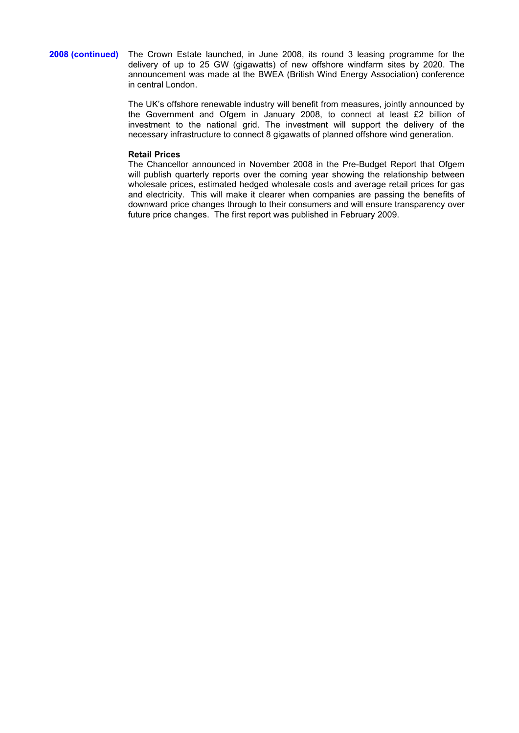**2008 (continued)** The Crown Estate launched, in June 2008, its round 3 leasing programme for the delivery of up to 25 GW (gigawatts) of new offshore windfarm sites by 2020. The announcement was made at the BWEA (British Wind Energy Association) conference in central London.

> The UK's offshore renewable industry will benefit from measures, jointly announced by the Government and Ofgem in January 2008, to connect at least £2 billion of investment to the national grid. The investment will support the delivery of the necessary infrastructure to connect 8 gigawatts of planned offshore wind generation.

#### **Retail Prices**

The Chancellor announced in November 2008 in the Pre-Budget Report that Ofgem will publish quarterly reports over the coming year showing the relationship between wholesale prices, estimated hedged wholesale costs and average retail prices for gas and electricity. This will make it clearer when companies are passing the benefits of downward price changes through to their consumers and will ensure transparency over future price changes. The first report was published in February 2009.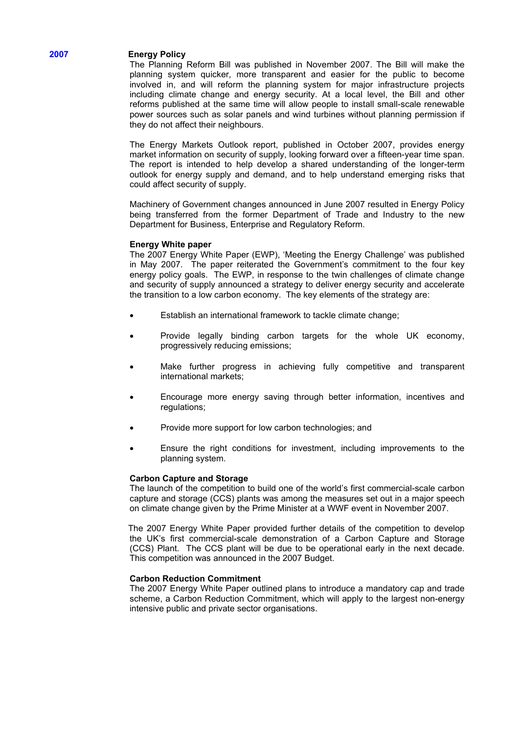# **2007 Energy Policy**

The Planning Reform Bill was published in November 2007. The Bill will make the planning system quicker, more transparent and easier for the public to become involved in, and will reform the planning system for major infrastructure projects including climate change and energy security. At a local level, the Bill and other reforms published at the same time will allow people to install small-scale renewable power sources such as solar panels and wind turbines without planning permission if they do not affect their neighbours.

The Energy Markets Outlook report, published in October 2007, provides energy market information on security of supply, looking forward over a fifteen-year time span. The report is intended to help develop a shared understanding of the longer-term outlook for energy supply and demand, and to help understand emerging risks that could affect security of supply.

Machinery of Government changes announced in June 2007 resulted in Energy Policy being transferred from the former Department of Trade and Industry to the new Department for Business, Enterprise and Regulatory Reform.

# **Energy White paper**

The 2007 Energy White Paper (EWP), 'Meeting the Energy Challenge' was published in May 2007. The paper reiterated the Government's commitment to the four key energy policy goals. The EWP, in response to the twin challenges of climate change and security of supply announced a strategy to deliver energy security and accelerate the transition to a low carbon economy. The key elements of the strategy are:

- Establish an international framework to tackle climate change;
- Provide legally binding carbon targets for the whole UK economy, progressively reducing emissions;
- Make further progress in achieving fully competitive and transparent international markets;
- Encourage more energy saving through better information, incentives and regulations;
- Provide more support for low carbon technologies; and
- Ensure the right conditions for investment, including improvements to the planning system.

#### **Carbon Capture and Storage**

The launch of the competition to build one of the world's first commercial-scale carbon capture and storage (CCS) plants was among the measures set out in a major speech on climate change given by the Prime Minister at a WWF event in November 2007.

The 2007 Energy White Paper provided further details of the competition to develop the UK's first commercial-scale demonstration of a Carbon Capture and Storage (CCS) Plant. The CCS plant will be due to be operational early in the next decade. This competition was announced in the 2007 Budget.

## **Carbon Reduction Commitment**

The 2007 Energy White Paper outlined plans to introduce a mandatory cap and trade scheme, a Carbon Reduction Commitment, which will apply to the largest non-energy intensive public and private sector organisations.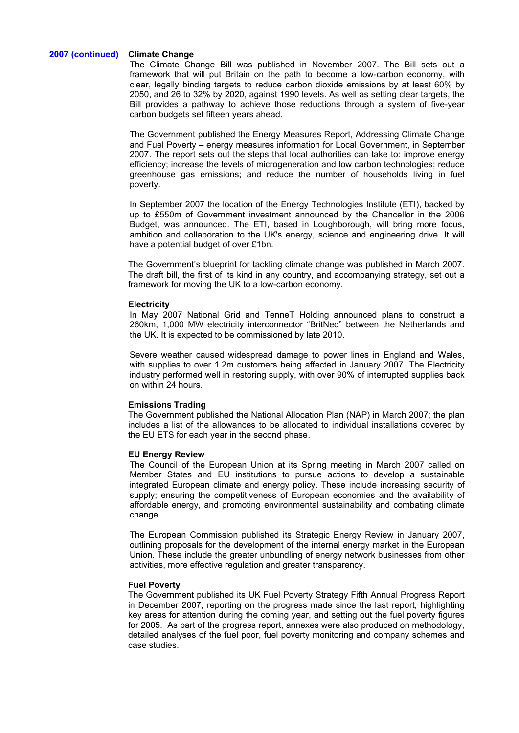## **2007 (continued) Climate Change**

The Climate Change Bill was published in November 2007. The Bill sets out a framework that will put Britain on the path to become a low-carbon economy, with clear, legally binding targets to reduce carbon dioxide emissions by at least 60% by 2050, and 26 to 32% by 2020, against 1990 levels. As well as setting clear targets, the Bill provides a pathway to achieve those reductions through a system of five-year carbon budgets set fifteen years ahead.

The Government published the Energy Measures Report, Addressing Climate Change and Fuel Poverty – energy measures information for Local Government, in September 2007. The report sets out the steps that local authorities can take to: improve energy efficiency; increase the levels of microgeneration and low carbon technologies; reduce greenhouse gas emissions; and reduce the number of households living in fuel poverty.

In September 2007 the location of the Energy Technologies Institute (ETI), backed by up to £550m of Government investment announced by the Chancellor in the 2006 Budget, was announced. The ETI, based in Loughborough, will bring more focus, ambition and collaboration to the UK's energy, science and engineering drive. It will have a potential budget of over £1bn.

The Government's blueprint for tackling climate change was published in March 2007. The draft bill, the first of its kind in any country, and accompanying strategy, set out a framework for moving the UK to a low-carbon economy.

## **Electricity**

In May 2007 National Grid and TenneT Holding announced plans to construct a 260km, 1,000 MW electricity interconnector "BritNed" between the Netherlands and the UK. It is expected to be commissioned by late 2010.

Severe weather caused widespread damage to power lines in England and Wales, with supplies to over 1.2m customers being affected in January 2007. The Electricity industry performed well in restoring supply, with over 90% of interrupted supplies back on within 24 hours.

## **Emissions Trading**

The Government published the National Allocation Plan (NAP) in March 2007; the plan includes a list of the allowances to be allocated to individual installations covered by the EU ETS for each year in the second phase.

## **EU Energy Review**

The Council of the European Union at its Spring meeting in March 2007 called on Member States and EU institutions to pursue actions to develop a sustainable integrated European climate and energy policy. These include increasing security of supply; ensuring the competitiveness of European economies and the availability of affordable energy, and promoting environmental sustainability and combating climate change.

The European Commission published its Strategic Energy Review in January 2007, outlining proposals for the development of the internal energy market in the European Union. These include the greater unbundling of energy network businesses from other activities, more effective regulation and greater transparency.

#### **Fuel Poverty**

The Government published its UK Fuel Poverty Strategy Fifth Annual Progress Report in December 2007, reporting on the progress made since the last report, highlighting key areas for attention during the coming year, and setting out the fuel poverty figures for 2005. As part of the progress report, annexes were also produced on methodology, detailed analyses of the fuel poor, fuel poverty monitoring and company schemes and case studies.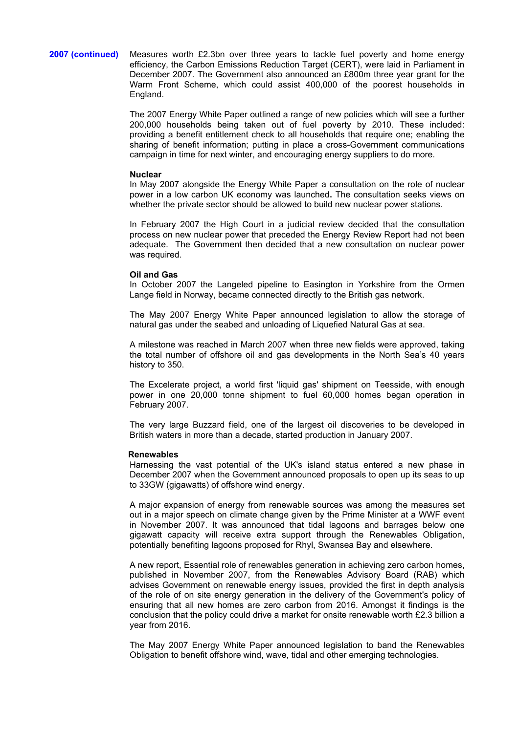**2007 (continued)** Measures worth £2.3bn over three years to tackle fuel poverty and home energy efficiency, the Carbon Emissions Reduction Target (CERT), were laid in Parliament in December 2007. The Government also announced an £800m three year grant for the Warm Front Scheme, which could assist 400,000 of the poorest households in England.

> The 2007 Energy White Paper outlined a range of new policies which will see a further 200,000 households being taken out of fuel poverty by 2010. These included: providing a benefit entitlement check to all households that require one; enabling the sharing of benefit information; putting in place a cross-Government communications campaign in time for next winter, and encouraging energy suppliers to do more.

#### **Nuclear**

In May 2007 alongside the Energy White Paper a consultation on the role of nuclear power in a low carbon UK economy was launched**.** The consultation seeks views on whether the private sector should be allowed to build new nuclear power stations.

In February 2007 the High Court in a judicial review decided that the consultation process on new nuclear power that preceded the Energy Review Report had not been adequate. The Government then decided that a new consultation on nuclear power was required.

## **Oil and Gas**

In October 2007 the Langeled pipeline to Easington in Yorkshire from the Ormen Lange field in Norway, became connected directly to the British gas network.

The May 2007 Energy White Paper announced legislation to allow the storage of natural gas under the seabed and unloading of Liquefied Natural Gas at sea.

A milestone was reached in March 2007 when three new fields were approved, taking the total number of offshore oil and gas developments in the North Sea's 40 years history to 350.

The Excelerate project, a world first 'liquid gas' shipment on Teesside, with enough power in one 20,000 tonne shipment to fuel 60,000 homes began operation in February 2007.

The very large Buzzard field, one of the largest oil discoveries to be developed in British waters in more than a decade, started production in January 2007.

#### **Renewables**

Harnessing the vast potential of the UK's island status entered a new phase in December 2007 when the Government announced proposals to open up its seas to up to 33GW (gigawatts) of offshore wind energy.

A major expansion of energy from renewable sources was among the measures set out in a major speech on climate change given by the Prime Minister at a WWF event in November 2007. It was announced that tidal lagoons and barrages below one gigawatt capacity will receive extra support through the Renewables Obligation, potentially benefiting lagoons proposed for Rhyl, Swansea Bay and elsewhere.

A new report, Essential role of renewables generation in achieving zero carbon homes, published in November 2007, from the Renewables Advisory Board (RAB) which advises Government on renewable energy issues, provided the first in depth analysis of the role of on site energy generation in the delivery of the Government's policy of ensuring that all new homes are zero carbon from 2016. Amongst it findings is the conclusion that the policy could drive a market for onsite renewable worth £2.3 billion a year from 2016.

The May 2007 Energy White Paper announced legislation to band the Renewables Obligation to benefit offshore wind, wave, tidal and other emerging technologies.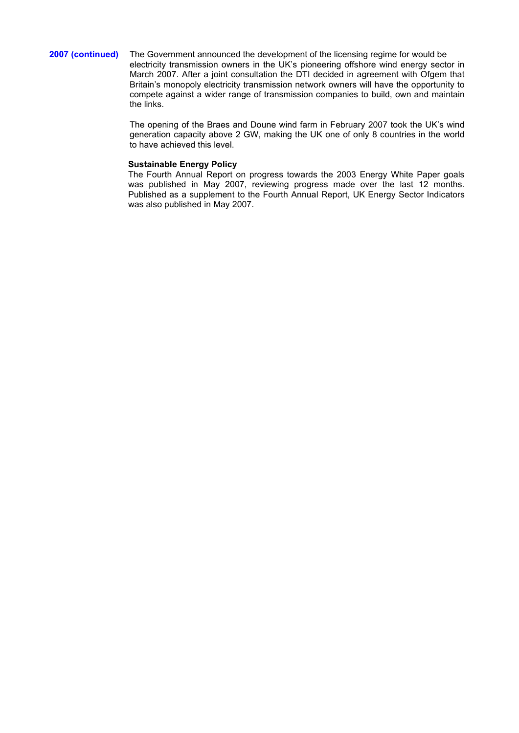## **2007 (continued)** The Government announced the development of the licensing regime for would be electricity transmission owners in the UK's pioneering offshore wind energy sector in March 2007. After a joint consultation the DTI decided in agreement with Ofgem that Britain's monopoly electricity transmission network owners will have the opportunity to compete against a wider range of transmission companies to build, own and maintain the links.

The opening of the Braes and Doune wind farm in February 2007 took the UK's wind generation capacity above 2 GW, making the UK one of only 8 countries in the world to have achieved this level.

## **Sustainable Energy Policy**

The Fourth Annual Report on progress towards the 2003 Energy White Paper goals was published in May 2007, reviewing progress made over the last 12 months. Published as a supplement to the Fourth Annual Report, UK Energy Sector Indicators was also published in May 2007.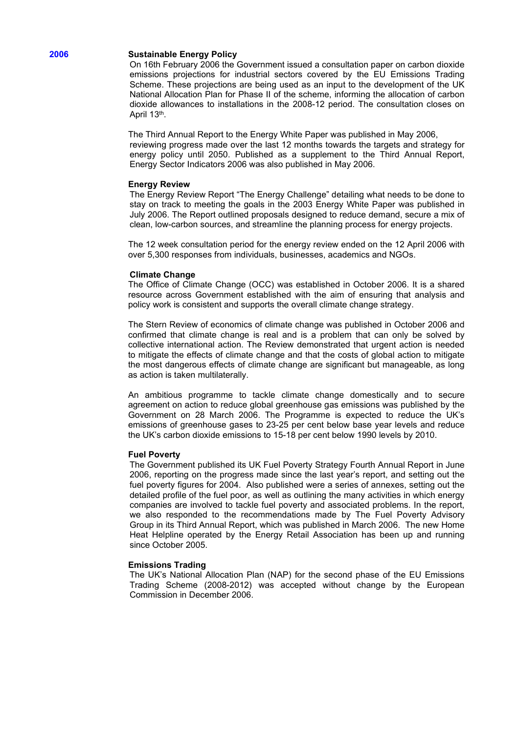## **2006 Sustainable Energy Policy**

On 16th February 2006 the Government issued a consultation paper on carbon dioxide emissions projections for industrial sectors covered by the EU Emissions Trading Scheme. These projections are being used as an input to the development of the UK National Allocation Plan for Phase II of the scheme, informing the allocation of carbon dioxide allowances to installations in the 2008-12 period. The consultation closes on April 13th.

The Third Annual Report to the Energy White Paper was published in May 2006, reviewing progress made over the last 12 months towards the targets and strategy for energy policy until 2050. Published as a supplement to the Third Annual Report, Energy Sector Indicators 2006 was also published in May 2006.

#### **Energy Review**

The Energy Review Report "The Energy Challenge" detailing what needs to be done to stay on track to meeting the goals in the 2003 Energy White Paper was published in July 2006. The Report outlined proposals designed to reduce demand, secure a mix of clean, low-carbon sources, and streamline the planning process for energy projects.

The 12 week consultation period for the energy review ended on the 12 April 2006 with over 5,300 responses from individuals, businesses, academics and NGOs.

## **Climate Change**

The Office of Climate Change (OCC) was established in October 2006. It is a shared resource across Government established with the aim of ensuring that analysis and policy work is consistent and supports the overall climate change strategy.

The Stern Review of economics of climate change was published in October 2006 and confirmed that climate change is real and is a problem that can only be solved by collective international action. The Review demonstrated that urgent action is needed to mitigate the effects of climate change and that the costs of global action to mitigate the most dangerous effects of climate change are significant but manageable, as long as action is taken multilaterally.

An ambitious programme to tackle climate change domestically and to secure agreement on action to reduce global greenhouse gas emissions was published by the Government on 28 March 2006. The Programme is expected to reduce the UK's emissions of greenhouse gases to 23-25 per cent below base year levels and reduce the UK's carbon dioxide emissions to 15-18 per cent below 1990 levels by 2010.

## **Fuel Poverty**

The Government published its UK Fuel Poverty Strategy Fourth Annual Report in June 2006, reporting on the progress made since the last year's report, and setting out the fuel poverty figures for 2004. Also published were a series of annexes, setting out the detailed profile of the fuel poor, as well as outlining the many activities in which energy companies are involved to tackle fuel poverty and associated problems. In the report, we also responded to the recommendations made by The Fuel Poverty Advisory Group in its Third Annual Report, which was published in March 2006. The new Home Heat Helpline operated by the Energy Retail Association has been up and running since October 2005.

#### **Emissions Trading**

The UK's National Allocation Plan (NAP) for the second phase of the EU Emissions Trading Scheme (2008-2012) was accepted without change by the European Commission in December 2006.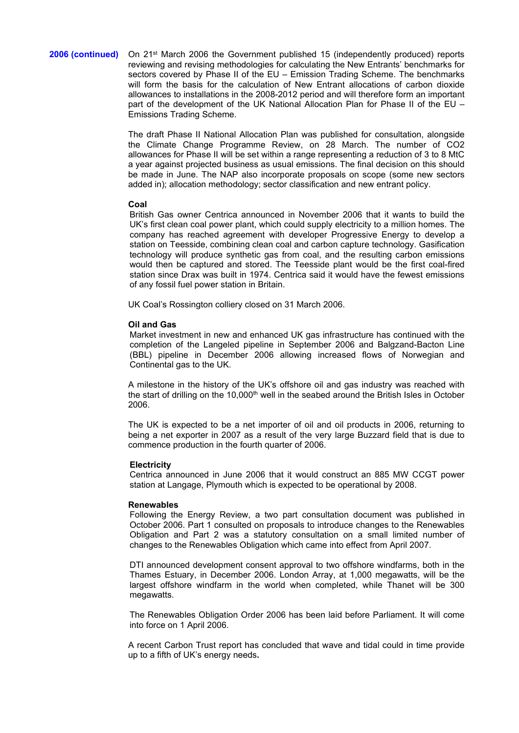## **2006 (continued)** On 21st March 2006 the Government published 15 (independently produced) reports reviewing and revising methodologies for calculating the New Entrants' benchmarks for sectors covered by Phase II of the EU – Emission Trading Scheme. The benchmarks will form the basis for the calculation of New Entrant allocations of carbon dioxide allowances to installations in the 2008-2012 period and will therefore form an important part of the development of the UK National Allocation Plan for Phase II of the EU – Emissions Trading Scheme.

The draft Phase II National Allocation Plan was published for consultation, alongside the Climate Change Programme Review, on 28 March. The number of CO2 allowances for Phase II will be set within a range representing a reduction of 3 to 8 MtC a year against projected business as usual emissions. The final decision on this should be made in June. The NAP also incorporate proposals on scope (some new sectors added in); allocation methodology; sector classification and new entrant policy.

## **Coal**

British Gas owner Centrica announced in November 2006 that it wants to build the UK's first clean coal power plant, which could supply electricity to a million homes. The company has reached agreement with developer Progressive Energy to develop a station on Teesside, combining clean coal and carbon capture technology. Gasification technology will produce synthetic gas from coal, and the resulting carbon emissions would then be captured and stored. The Teesside plant would be the first coal-fired station since Drax was built in 1974. Centrica said it would have the fewest emissions of any fossil fuel power station in Britain.

UK Coal's Rossington colliery closed on 31 March 2006.

## **Oil and Gas**

Market investment in new and enhanced UK gas infrastructure has continued with the completion of the Langeled pipeline in September 2006 and Balgzand-Bacton Line (BBL) pipeline in December 2006 allowing increased flows of Norwegian and Continental gas to the UK.

A milestone in the history of the UK's offshore oil and gas industry was reached with the start of drilling on the 10,000<sup>th</sup> well in the seabed around the British Isles in October 2006.

The UK is expected to be a net importer of oil and oil products in 2006, returning to being a net exporter in 2007 as a result of the very large Buzzard field that is due to commence production in the fourth quarter of 2006.

## **Electricity**

Centrica announced in June 2006 that it would construct an 885 MW CCGT power station at Langage, Plymouth which is expected to be operational by 2008.

#### **Renewables**

Following the Energy Review, a two part consultation document was published in October 2006. Part 1 consulted on proposals to introduce changes to the Renewables Obligation and Part 2 was a statutory consultation on a small limited number of changes to the Renewables Obligation which came into effect from April 2007.

DTI announced development consent approval to two offshore windfarms, both in the Thames Estuary, in December 2006. London Array, at 1,000 megawatts, will be the largest offshore windfarm in the world when completed, while Thanet will be 300 megawatts.

The Renewables Obligation Order 2006 has been laid before Parliament. It will come into force on 1 April 2006.

A recent Carbon Trust report has concluded that wave and tidal could in time provide up to a fifth of UK's energy needs**.**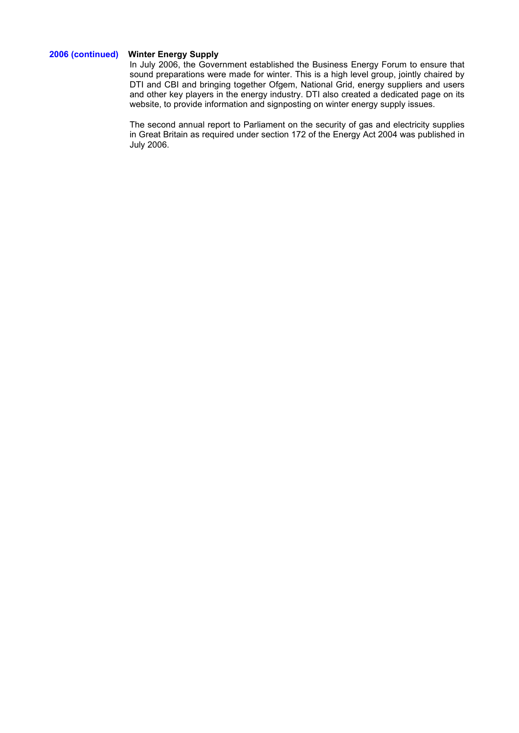# **2006 (continued) Winter Energy Supply**

In July 2006, the Government established the Business Energy Forum to ensure that sound preparations were made for winter. This is a high level group, jointly chaired by DTI and CBI and bringing together Ofgem, National Grid, energy suppliers and users and other key players in the energy industry. DTI also created a dedicated page on its website, to provide information and signposting on winter energy supply issues.

The second annual report to Parliament on the security of gas and electricity supplies in Great Britain as required under section 172 of the Energy Act 2004 was published in July 2006.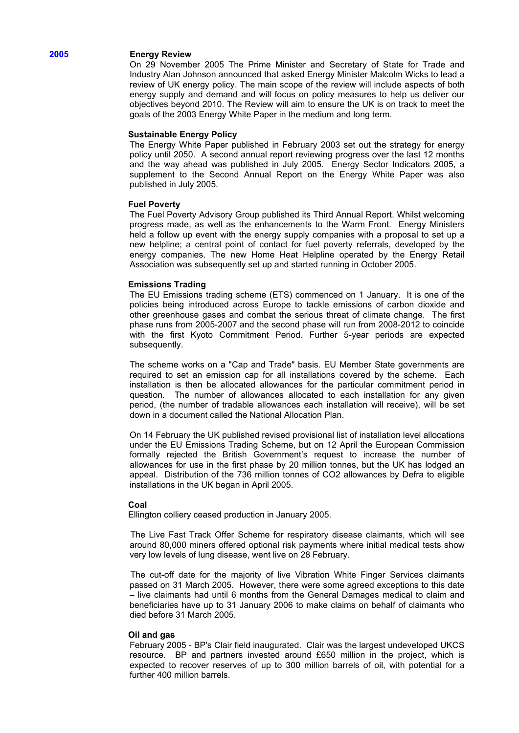#### **2005 Energy Review**

On 29 November 2005 The Prime Minister and Secretary of State for Trade and Industry Alan Johnson announced that asked Energy Minister Malcolm Wicks to lead a review of UK energy policy. The main scope of the review will include aspects of both energy supply and demand and will focus on policy measures to help us deliver our objectives beyond 2010. The Review will aim to ensure the UK is on track to meet the goals of the 2003 Energy White Paper in the medium and long term.

## **Sustainable Energy Policy**

The Energy White Paper published in February 2003 set out the strategy for energy policy until 2050. A second annual report reviewing progress over the last 12 months and the way ahead was published in July 2005. Energy Sector Indicators 2005, a supplement to the Second Annual Report on the Energy White Paper was also published in July 2005.

## **Fuel Poverty**

The Fuel Poverty Advisory Group published its Third Annual Report. Whilst welcoming progress made, as well as the enhancements to the Warm Front. Energy Ministers held a follow up event with the energy supply companies with a proposal to set up a new helpline; a central point of contact for fuel poverty referrals, developed by the energy companies. The new Home Heat Helpline operated by the Energy Retail Association was subsequently set up and started running in October 2005.

#### **Emissions Trading**

The EU Emissions trading scheme (ETS) commenced on 1 January. It is one of the policies being introduced across Europe to tackle emissions of carbon dioxide and other greenhouse gases and combat the serious threat of climate change. The first phase runs from 2005-2007 and the second phase will run from 2008-2012 to coincide with the first Kyoto Commitment Period. Further 5-year periods are expected subsequently.

The scheme works on a "Cap and Trade" basis. EU Member State governments are required to set an emission cap for all installations covered by the scheme. Each installation is then be allocated allowances for the particular commitment period in question. The number of allowances allocated to each installation for any given period, (the number of tradable allowances each installation will receive), will be set down in a document called the National Allocation Plan.

On 14 February the UK published revised provisional list of installation level allocations under the EU Emissions Trading Scheme, but on 12 April the European Commission formally rejected the British Government's request to increase the number of allowances for use in the first phase by 20 million tonnes, but the UK has lodged an appeal. Distribution of the 736 million tonnes of CO2 allowances by Defra to eligible installations in the UK began in April 2005.

#### **Coal**

Ellington colliery ceased production in January 2005.

The Live Fast Track Offer Scheme for respiratory disease claimants, which will see around 80,000 miners offered optional risk payments where initial medical tests show very low levels of lung disease, went live on 28 February.

The cut-off date for the majority of live Vibration White Finger Services claimants passed on 31 March 2005. However, there were some agreed exceptions to this date – live claimants had until 6 months from the General Damages medical to claim and beneficiaries have up to 31 January 2006 to make claims on behalf of claimants who died before 31 March 2005.

### **Oil and gas**

February 2005 - BP's Clair field inaugurated. Clair was the largest undeveloped UKCS resource. BP and partners invested around £650 million in the project, which is expected to recover reserves of up to 300 million barrels of oil, with potential for a further 400 million barrels.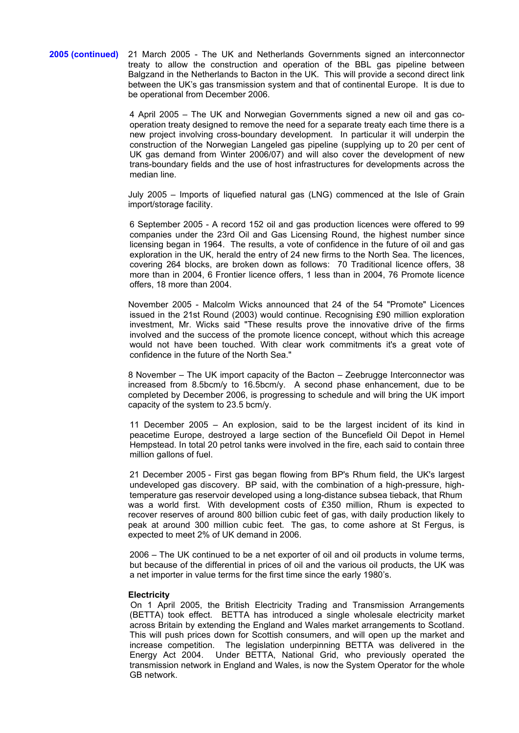**2005 (continued)** 21 March 2005 - The UK and Netherlands Governments signed an interconnector treaty to allow the construction and operation of the BBL gas pipeline between Balgzand in the Netherlands to Bacton in the UK. This will provide a second direct link between the UK's gas transmission system and that of continental Europe. It is due to be operational from December 2006.

> 4 April 2005 – The UK and Norwegian Governments signed a new oil and gas cooperation treaty designed to remove the need for a separate treaty each time there is a new project involving cross-boundary development. In particular it will underpin the construction of the Norwegian Langeled gas pipeline (supplying up to 20 per cent of UK gas demand from Winter 2006/07) and will also cover the development of new trans-boundary fields and the use of host infrastructures for developments across the median line.

> July 2005 – Imports of liquefied natural gas (LNG) commenced at the Isle of Grain import/storage facility.

> 6 September 2005 - A record 152 oil and gas production licences were offered to 99 companies under the 23rd Oil and Gas Licensing Round, the highest number since licensing began in 1964. The results, a vote of confidence in the future of oil and gas exploration in the UK, herald the entry of 24 new firms to the North Sea. The licences, covering 264 blocks, are broken down as follows: 70 Traditional licence offers, 38 more than in 2004, 6 Frontier licence offers, 1 less than in 2004, 76 Promote licence offers, 18 more than 2004.

> November 2005 - Malcolm Wicks announced that 24 of the 54 "Promote" Licences issued in the 21st Round (2003) would continue. Recognising £90 million exploration investment, Mr. Wicks said "These results prove the innovative drive of the firms involved and the success of the promote licence concept, without which this acreage would not have been touched. With clear work commitments it's a great vote of confidence in the future of the North Sea."

> 8 November – The UK import capacity of the Bacton – Zeebrugge Interconnector was increased from 8.5bcm/y to 16.5bcm/y. A second phase enhancement, due to be completed by December 2006, is progressing to schedule and will bring the UK import capacity of the system to 23.5 bcm/y.

> 11 December 2005 – An explosion, said to be the largest incident of its kind in peacetime Europe, destroyed a large section of the Buncefield Oil Depot in Hemel Hempstead. In total 20 petrol tanks were involved in the fire, each said to contain three million gallons of fuel.

> 21 December 2005 - First gas began flowing from BP's Rhum field, the UK's largest undeveloped gas discovery. BP said, with the combination of a high-pressure, hightemperature gas reservoir developed using a long-distance subsea tieback, that Rhum was a world first. With development costs of £350 million, Rhum is expected to recover reserves of around 800 billion cubic feet of gas, with daily production likely to peak at around 300 million cubic feet. The gas, to come ashore at St Fergus, is expected to meet 2% of UK demand in 2006.

> 2006 – The UK continued to be a net exporter of oil and oil products in volume terms, but because of the differential in prices of oil and the various oil products, the UK was a net importer in value terms for the first time since the early 1980's.

#### **Electricity**

On 1 April 2005, the British Electricity Trading and Transmission Arrangements (BETTA) took effect. BETTA has introduced a single wholesale electricity market across Britain by extending the England and Wales market arrangements to Scotland. This will push prices down for Scottish consumers, and will open up the market and increase competition. The legislation underpinning BETTA was delivered in the Energy Act 2004. Under BETTA, National Grid, who previously operated the transmission network in England and Wales, is now the System Operator for the whole GB network.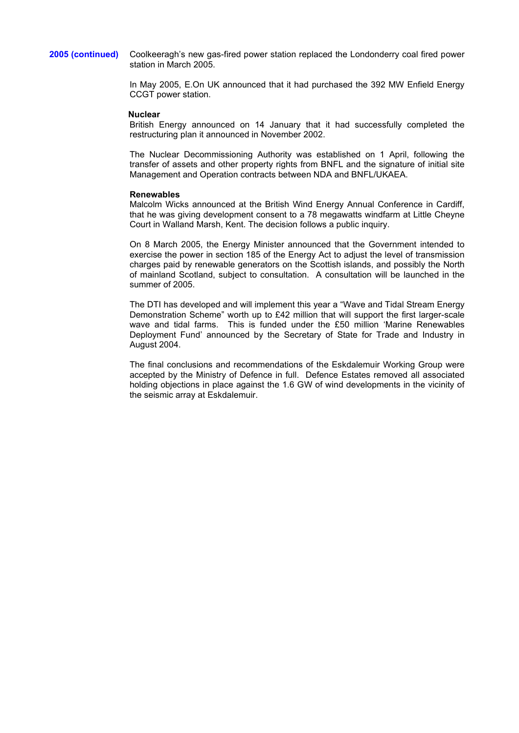**2005 (continued)** Coolkeeragh's new gas-fired power station replaced the Londonderry coal fired power station in March 2005.

> In May 2005, E.On UK announced that it had purchased the 392 MW Enfield Energy CCGT power station.

#### **Nuclear**

British Energy announced on 14 January that it had successfully completed the restructuring plan it announced in November 2002.

The Nuclear Decommissioning Authority was established on 1 April, following the transfer of assets and other property rights from BNFL and the signature of initial site Management and Operation contracts between NDA and BNFL/UKAEA.

### **Renewables**

Malcolm Wicks announced at the British Wind Energy Annual Conference in Cardiff, that he was giving development consent to a 78 megawatts windfarm at Little Cheyne Court in Walland Marsh, Kent. The decision follows a public inquiry.

On 8 March 2005, the Energy Minister announced that the Government intended to exercise the power in section 185 of the Energy Act to adjust the level of transmission charges paid by renewable generators on the Scottish islands, and possibly the North of mainland Scotland, subject to consultation. A consultation will be launched in the summer of 2005.

The DTI has developed and will implement this year a "Wave and Tidal Stream Energy Demonstration Scheme" worth up to £42 million that will support the first larger-scale wave and tidal farms. This is funded under the £50 million 'Marine Renewables Deployment Fund' announced by the Secretary of State for Trade and Industry in August 2004.

The final conclusions and recommendations of the Eskdalemuir Working Group were accepted by the Ministry of Defence in full. Defence Estates removed all associated holding objections in place against the 1.6 GW of wind developments in the vicinity of the seismic array at Eskdalemuir.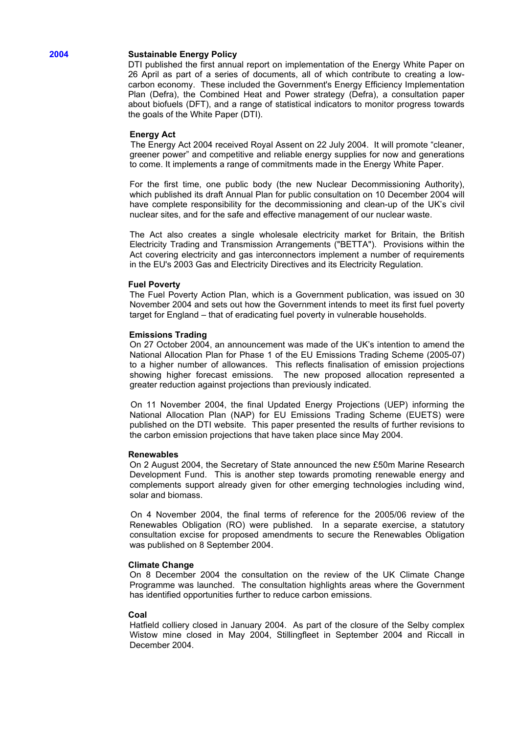# **2004 Sustainable Energy Policy**

DTI published the first annual report on implementation of the Energy White Paper on 26 April as part of a series of documents, all of which contribute to creating a lowcarbon economy. These included the Government's Energy Efficiency Implementation Plan (Defra), the Combined Heat and Power strategy (Defra), a consultation paper about biofuels (DFT), and a range of statistical indicators to monitor progress towards the goals of the White Paper (DTI).

## **Energy Act**

The Energy Act 2004 received Royal Assent on 22 July 2004. It will promote "cleaner, greener power" and competitive and reliable energy supplies for now and generations to come. It implements a range of commitments made in the Energy White Paper.

For the first time, one public body (the new Nuclear Decommissioning Authority), which published its draft Annual Plan for public consultation on 10 December 2004 will have complete responsibility for the decommissioning and clean-up of the UK's civil nuclear sites, and for the safe and effective management of our nuclear waste.

The Act also creates a single wholesale electricity market for Britain, the British Electricity Trading and Transmission Arrangements ("BETTA"). Provisions within the Act covering electricity and gas interconnectors implement a number of requirements in the EU's 2003 Gas and Electricity Directives and its Electricity Regulation.

## **Fuel Poverty**

The Fuel Poverty Action Plan, which is a Government publication, was issued on 30 November 2004 and sets out how the Government intends to meet its first fuel poverty target for England – that of eradicating fuel poverty in vulnerable households.

## **Emissions Trading**

On 27 October 2004, an announcement was made of the UK's intention to amend the National Allocation Plan for Phase 1 of the EU Emissions Trading Scheme (2005-07) to a higher number of allowances. This reflects finalisation of emission projections showing higher forecast emissions. The new proposed allocation represented a greater reduction against projections than previously indicated.

On 11 November 2004, the final Updated Energy Projections (UEP) informing the National Allocation Plan (NAP) for EU Emissions Trading Scheme (EUETS) were published on the DTI website. This paper presented the results of further revisions to the carbon emission projections that have taken place since May 2004.

## **Renewables**

On 2 August 2004, the Secretary of State announced the new £50m Marine Research Development Fund. This is another step towards promoting renewable energy and complements support already given for other emerging technologies including wind, solar and biomass.

On 4 November 2004, the final terms of reference for the 2005/06 review of the Renewables Obligation (RO) were published. In a separate exercise, a statutory consultation excise for proposed amendments to secure the Renewables Obligation was published on 8 September 2004.

#### **Climate Change**

On 8 December 2004 the consultation on the review of the UK Climate Change Programme was launched. The consultation highlights areas where the Government has identified opportunities further to reduce carbon emissions.

#### **Coal**

Hatfield colliery closed in January 2004. As part of the closure of the Selby complex Wistow mine closed in May 2004, Stillingfleet in September 2004 and Riccall in December 2004.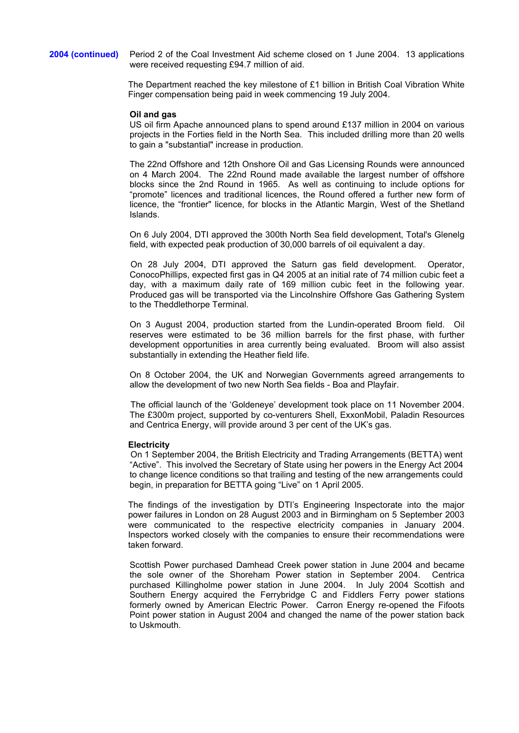**2004 (continued)** Period 2 of the Coal Investment Aid scheme closed on 1 June 2004. 13 applications were received requesting £94.7 million of aid.

> The Department reached the key milestone of £1 billion in British Coal Vibration White Finger compensation being paid in week commencing 19 July 2004.

#### **Oil and gas**

US oil firm Apache announced plans to spend around £137 million in 2004 on various projects in the Forties field in the North Sea. This included drilling more than 20 wells to gain a "substantial" increase in production.

The 22nd Offshore and 12th Onshore Oil and Gas Licensing Rounds were announced on 4 March 2004. The 22nd Round made available the largest number of offshore blocks since the 2nd Round in 1965. As well as continuing to include options for "promote" licences and traditional licences, the Round offered a further new form of licence, the "frontier" licence, for blocks in the Atlantic Margin, West of the Shetland Islands.

On 6 July 2004, DTI approved the 300th North Sea field development, Total's Glenelg field, with expected peak production of 30,000 barrels of oil equivalent a day.

On 28 July 2004, DTI approved the Saturn gas field development. Operator, ConocoPhillips, expected first gas in Q4 2005 at an initial rate of 74 million cubic feet a day, with a maximum daily rate of 169 million cubic feet in the following year. Produced gas will be transported via the Lincolnshire Offshore Gas Gathering System to the Theddlethorpe Terminal.

On 3 August 2004, production started from the Lundin-operated Broom field. Oil reserves were estimated to be 36 million barrels for the first phase, with further development opportunities in area currently being evaluated. Broom will also assist substantially in extending the Heather field life.

On 8 October 2004, the UK and Norwegian Governments agreed arrangements to allow the development of two new North Sea fields - Boa and Playfair.

The official launch of the 'Goldeneye' development took place on 11 November 2004. The £300m project, supported by co-venturers Shell, ExxonMobil, Paladin Resources and Centrica Energy, will provide around 3 per cent of the UK's gas.

#### **Electricity**

On 1 September 2004, the British Electricity and Trading Arrangements (BETTA) went "Active". This involved the Secretary of State using her powers in the Energy Act 2004 to change licence conditions so that trailing and testing of the new arrangements could begin, in preparation for BETTA going "Live" on 1 April 2005.

The findings of the investigation by DTI's Engineering Inspectorate into the major power failures in London on 28 August 2003 and in Birmingham on 5 September 2003 were communicated to the respective electricity companies in January 2004. Inspectors worked closely with the companies to ensure their recommendations were taken forward.

Scottish Power purchased Damhead Creek power station in June 2004 and became the sole owner of the Shoreham Power station in September 2004. Centrica purchased Killingholme power station in June 2004. In July 2004 Scottish and Southern Energy acquired the Ferrybridge C and Fiddlers Ferry power stations formerly owned by American Electric Power. Carron Energy re-opened the Fifoots Point power station in August 2004 and changed the name of the power station back to Uskmouth.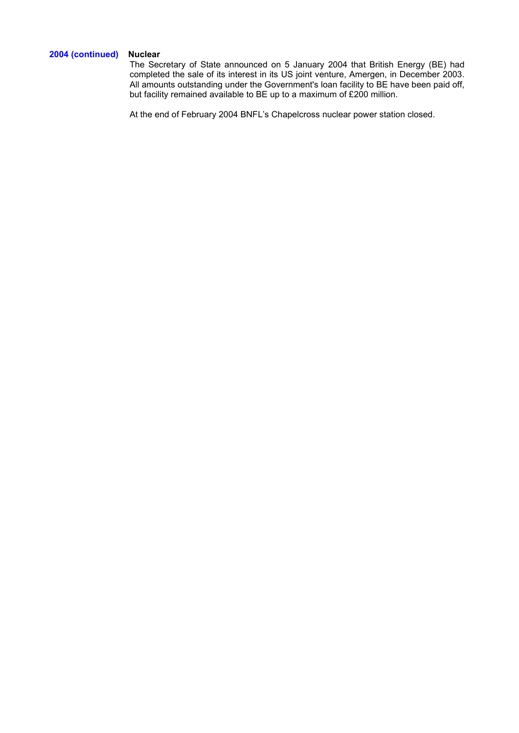# **2004 (continued) Nuclear**

The Secretary of State announced on 5 January 2004 that British Energy (BE) had completed the sale of its interest in its US joint venture, Amergen, in December 2003. All amounts outstanding under the Government's loan facility to BE have been paid off, but facility remained available to BE up to a maximum of £200 million.

At the end of February 2004 BNFL's Chapelcross nuclear power station closed.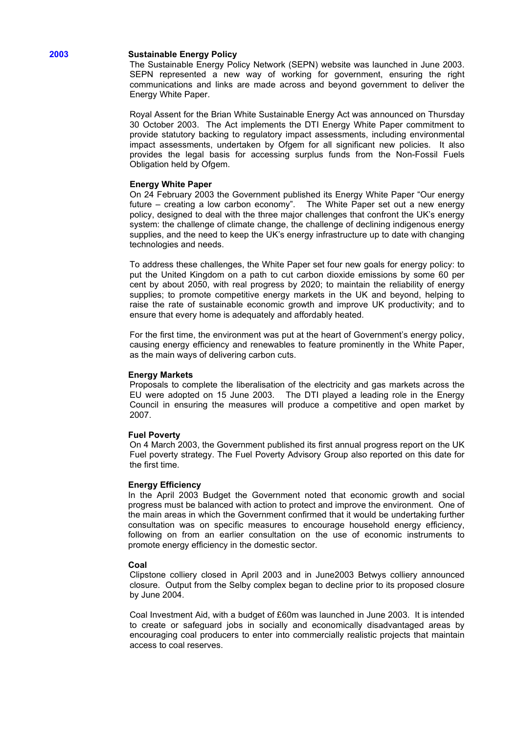## **2003 Sustainable Energy Policy**

The Sustainable Energy Policy Network (SEPN) website was launched in June 2003. SEPN represented a new way of working for government, ensuring the right communications and links are made across and beyond government to deliver the Energy White Paper.

Royal Assent for the Brian White Sustainable Energy Act was announced on Thursday 30 October 2003. The Act implements the DTI Energy White Paper commitment to provide statutory backing to regulatory impact assessments, including environmental impact assessments, undertaken by Ofgem for all significant new policies. It also provides the legal basis for accessing surplus funds from the Non-Fossil Fuels Obligation held by Ofgem.

## **Energy White Paper**

On 24 February 2003 the Government published its Energy White Paper "Our energy future – creating a low carbon economy". The White Paper set out a new energy policy, designed to deal with the three major challenges that confront the UK's energy system: the challenge of climate change, the challenge of declining indigenous energy supplies, and the need to keep the UK's energy infrastructure up to date with changing technologies and needs.

To address these challenges, the White Paper set four new goals for energy policy: to put the United Kingdom on a path to cut carbon dioxide emissions by some 60 per cent by about 2050, with real progress by 2020; to maintain the reliability of energy supplies; to promote competitive energy markets in the UK and beyond, helping to raise the rate of sustainable economic growth and improve UK productivity; and to ensure that every home is adequately and affordably heated.

For the first time, the environment was put at the heart of Government's energy policy, causing energy efficiency and renewables to feature prominently in the White Paper, as the main ways of delivering carbon cuts.

#### **Energy Markets**

Proposals to complete the liberalisation of the electricity and gas markets across the EU were adopted on 15 June 2003. The DTI played a leading role in the Energy Council in ensuring the measures will produce a competitive and open market by 2007.

#### **Fuel Poverty**

On 4 March 2003, the Government published its first annual progress report on the UK Fuel poverty strategy. The Fuel Poverty Advisory Group also reported on this date for the first time.

#### **Energy Efficiency**

In the April 2003 Budget the Government noted that economic growth and social progress must be balanced with action to protect and improve the environment. One of the main areas in which the Government confirmed that it would be undertaking further consultation was on specific measures to encourage household energy efficiency, following on from an earlier consultation on the use of economic instruments to promote energy efficiency in the domestic sector.

#### **Coal**

Clipstone colliery closed in April 2003 and in June2003 Betwys colliery announced closure. Output from the Selby complex began to decline prior to its proposed closure by June 2004.

Coal Investment Aid, with a budget of £60m was launched in June 2003. It is intended to create or safeguard jobs in socially and economically disadvantaged areas by encouraging coal producers to enter into commercially realistic projects that maintain access to coal reserves.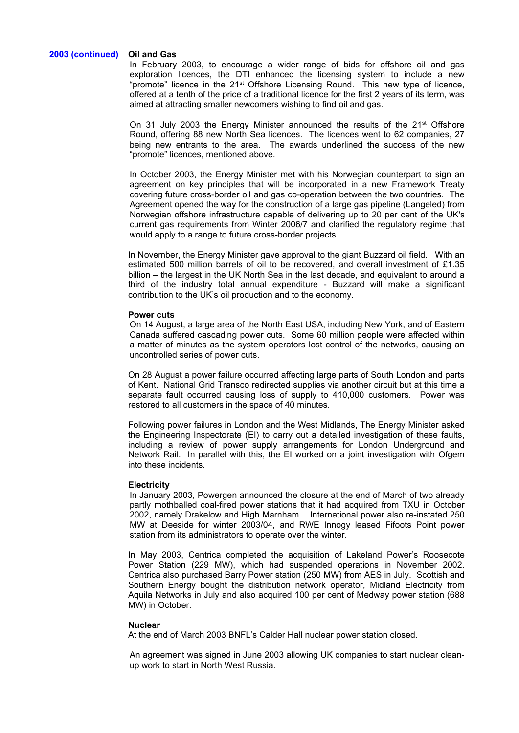## **2003 (continued) Oil and Gas**

In February 2003, to encourage a wider range of bids for offshore oil and gas exploration licences, the DTI enhanced the licensing system to include a new "promote" licence in the 21<sup>st</sup> Offshore Licensing Round. This new type of licence, offered at a tenth of the price of a traditional licence for the first 2 years of its term, was aimed at attracting smaller newcomers wishing to find oil and gas.

On 31 July 2003 the Energy Minister announced the results of the 21st Offshore Round, offering 88 new North Sea licences. The licences went to 62 companies, 27 being new entrants to the area. The awards underlined the success of the new "promote" licences, mentioned above.

In October 2003, the Energy Minister met with his Norwegian counterpart to sign an agreement on key principles that will be incorporated in a new Framework Treaty covering future cross-border oil and gas co-operation between the two countries. The Agreement opened the way for the construction of a large gas pipeline (Langeled) from Norwegian offshore infrastructure capable of delivering up to 20 per cent of the UK's current gas requirements from Winter 2006/7 and clarified the regulatory regime that would apply to a range to future cross-border projects.

In November, the Energy Minister gave approval to the giant Buzzard oil field. With an estimated 500 million barrels of oil to be recovered, and overall investment of £1.35 billion – the largest in the UK North Sea in the last decade, and equivalent to around a third of the industry total annual expenditure - Buzzard will make a significant contribution to the UK's oil production and to the economy.

#### **Power cuts**

On 14 August, a large area of the North East USA, including New York, and of Eastern Canada suffered cascading power cuts. Some 60 million people were affected within a matter of minutes as the system operators lost control of the networks, causing an uncontrolled series of power cuts.

On 28 August a power failure occurred affecting large parts of South London and parts of Kent. National Grid Transco redirected supplies via another circuit but at this time a separate fault occurred causing loss of supply to 410,000 customers. Power was restored to all customers in the space of 40 minutes.

Following power failures in London and the West Midlands, The Energy Minister asked the Engineering Inspectorate (EI) to carry out a detailed investigation of these faults, including a review of power supply arrangements for London Underground and Network Rail. In parallel with this, the EI worked on a joint investigation with Ofgem into these incidents.

## **Electricity**

In January 2003, Powergen announced the closure at the end of March of two already partly mothballed coal-fired power stations that it had acquired from TXU in October 2002, namely Drakelow and High Marnham. International power also re-instated 250 MW at Deeside for winter 2003/04, and RWE Innogy leased Fifoots Point power station from its administrators to operate over the winter.

In May 2003, Centrica completed the acquisition of Lakeland Power's Roosecote Power Station (229 MW), which had suspended operations in November 2002. Centrica also purchased Barry Power station (250 MW) from AES in July. Scottish and Southern Energy bought the distribution network operator, Midland Electricity from Aquila Networks in July and also acquired 100 per cent of Medway power station (688 MW) in October.

## **Nuclear**

At the end of March 2003 BNFL's Calder Hall nuclear power station closed.

An agreement was signed in June 2003 allowing UK companies to start nuclear cleanup work to start in North West Russia.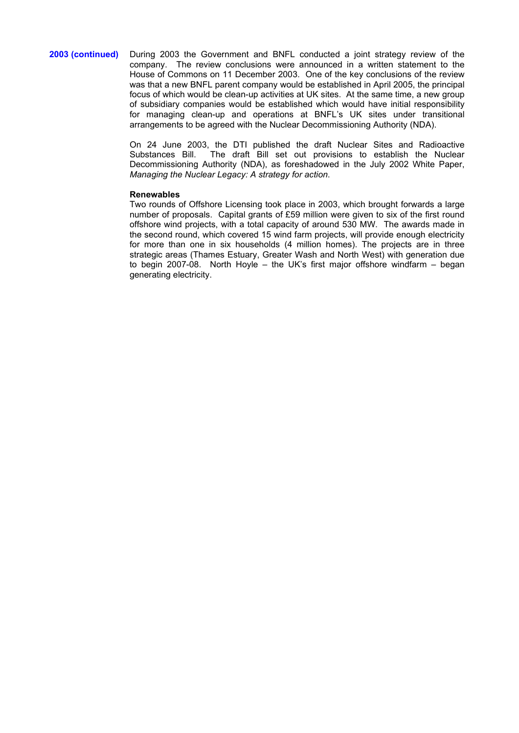**2003 (continued)**During 2003 the Government and BNFL conducted a joint strategy review of the company. The review conclusions were announced in a written statement to the House of Commons on 11 December 2003. One of the key conclusions of the review was that a new BNFL parent company would be established in April 2005, the principal focus of which would be clean-up activities at UK sites. At the same time, a new group of subsidiary companies would be established which would have initial responsibility for managing clean-up and operations at BNFL's UK sites under transitional arrangements to be agreed with the Nuclear Decommissioning Authority (NDA).

> On 24 June 2003, the DTI published the draft Nuclear Sites and Radioactive<br>Substances Bill. The draft Bill set out provisions to establish the Nuclear The draft Bill set out provisions to establish the Nuclear Decommissioning Authority (NDA), as foreshadowed in the July 2002 White Paper, *Managing the Nuclear Legacy: A strategy for action*.

## **Renewables**

Two rounds of Offshore Licensing took place in 2003, which brought forwards a large number of proposals. Capital grants of £59 million were given to six of the first round offshore wind projects, with a total capacity of around 530 MW. The awards made in the second round, which covered 15 wind farm projects, will provide enough electricity for more than one in six households (4 million homes). The projects are in three strategic areas (Thames Estuary, Greater Wash and North West) with generation due to begin 2007-08. North Hoyle – the UK's first major offshore windfarm – began generating electricity.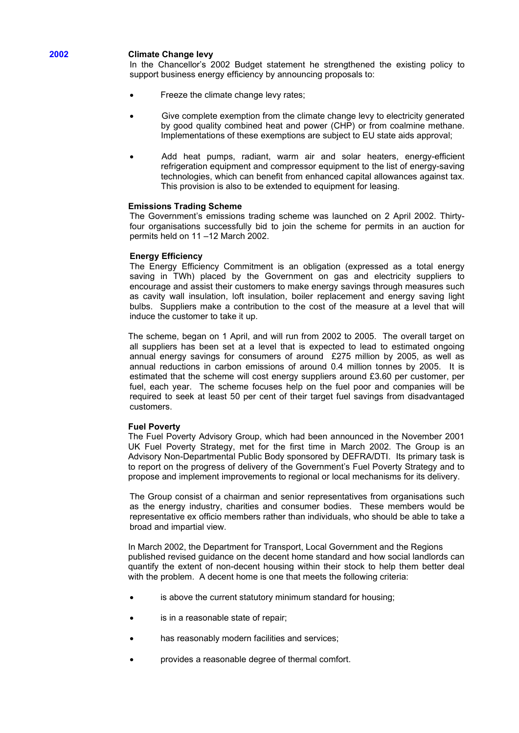## **2002 Climate Change levy**

In the Chancellor's 2002 Budget statement he strengthened the existing policy to support business energy efficiency by announcing proposals to:

- Freeze the climate change levy rates;
- Give complete exemption from the climate change levy to electricity generated by good quality combined heat and power (CHP) or from coalmine methane. Implementations of these exemptions are subject to EU state aids approval;
- Add heat pumps, radiant, warm air and solar heaters, energy-efficient refrigeration equipment and compressor equipment to the list of energy-saving technologies, which can benefit from enhanced capital allowances against tax. This provision is also to be extended to equipment for leasing.

## **Emissions Trading Scheme**

The Government's emissions trading scheme was launched on 2 April 2002. Thirtyfour organisations successfully bid to join the scheme for permits in an auction for permits held on 11 –12 March 2002.

## **Energy Efficiency**

The Energy Efficiency Commitment is an obligation (expressed as a total energy saving in TWh) placed by the Government on gas and electricity suppliers to encourage and assist their customers to make energy savings through measures such as cavity wall insulation, loft insulation, boiler replacement and energy saving light bulbs. Suppliers make a contribution to the cost of the measure at a level that will induce the customer to take it up.

The scheme, began on 1 April, and will run from 2002 to 2005. The overall target on all suppliers has been set at a level that is expected to lead to estimated ongoing annual energy savings for consumers of around £275 million by 2005, as well as annual reductions in carbon emissions of around 0.4 million tonnes by 2005. It is estimated that the scheme will cost energy suppliers around £3.60 per customer, per fuel, each year. The scheme focuses help on the fuel poor and companies will be required to seek at least 50 per cent of their target fuel savings from disadvantaged customers.

#### **Fuel Poverty**

The Fuel Poverty Advisory Group, which had been announced in the November 2001 UK Fuel Poverty Strategy, met for the first time in March 2002. The Group is an Advisory Non-Departmental Public Body sponsored by DEFRA/DTI. Its primary task is to report on the progress of delivery of the Government's Fuel Poverty Strategy and to propose and implement improvements to regional or local mechanisms for its delivery.

The Group consist of a chairman and senior representatives from organisations such as the energy industry, charities and consumer bodies. These members would be representative ex officio members rather than individuals, who should be able to take a broad and impartial view.

In March 2002, the Department for Transport, Local Government and the Regions published revised guidance on the decent home standard and how social landlords can quantify the extent of non-decent housing within their stock to help them better deal with the problem. A decent home is one that meets the following criteria:

- is above the current statutory minimum standard for housing;
- is in a reasonable state of repair;
- has reasonably modern facilities and services;
- provides a reasonable degree of thermal comfort.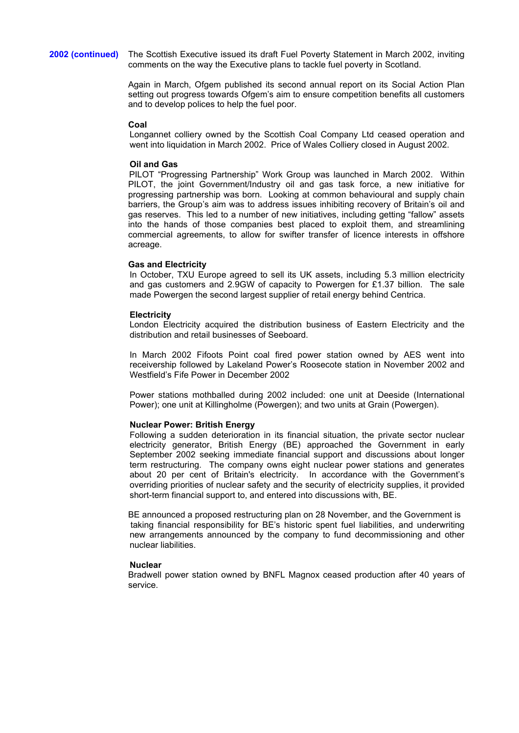**2002 (continued)** The Scottish Executive issued its draft Fuel Poverty Statement in March 2002, inviting comments on the way the Executive plans to tackle fuel poverty in Scotland.

> Again in March, Ofgem published its second annual report on its Social Action Plan setting out progress towards Ofgem's aim to ensure competition benefits all customers and to develop polices to help the fuel poor.

## **Coal**

Longannet colliery owned by the Scottish Coal Company Ltd ceased operation and went into liquidation in March 2002. Price of Wales Colliery closed in August 2002.

## **Oil and Gas**

PILOT "Progressing Partnership" Work Group was launched in March 2002. Within PILOT, the joint Government/Industry oil and gas task force, a new initiative for progressing partnership was born. Looking at common behavioural and supply chain barriers, the Group's aim was to address issues inhibiting recovery of Britain's oil and gas reserves. This led to a number of new initiatives, including getting "fallow" assets into the hands of those companies best placed to exploit them, and streamlining commercial agreements, to allow for swifter transfer of licence interests in offshore acreage.

## **Gas and Electricity**

In October, TXU Europe agreed to sell its UK assets, including 5.3 million electricity and gas customers and 2.9GW of capacity to Powergen for £1.37 billion. The sale made Powergen the second largest supplier of retail energy behind Centrica.

## **Electricity**

London Electricity acquired the distribution business of Eastern Electricity and the distribution and retail businesses of Seeboard.

In March 2002 Fifoots Point coal fired power station owned by AES went into receivership followed by Lakeland Power's Roosecote station in November 2002 and Westfield's Fife Power in December 2002

Power stations mothballed during 2002 included: one unit at Deeside (International Power); one unit at Killingholme (Powergen); and two units at Grain (Powergen).

## **Nuclear Power: British Energy**

Following a sudden deterioration in its financial situation, the private sector nuclear electricity generator, British Energy (BE) approached the Government in early September 2002 seeking immediate financial support and discussions about longer term restructuring. The company owns eight nuclear power stations and generates about 20 per cent of Britain's electricity. In accordance with the Government's overriding priorities of nuclear safety and the security of electricity supplies, it provided short-term financial support to, and entered into discussions with, BE.

BE announced a proposed restructuring plan on 28 November, and the Government is taking financial responsibility for BE's historic spent fuel liabilities, and underwriting new arrangements announced by the company to fund decommissioning and other nuclear liabilities.

#### **Nuclear**

Bradwell power station owned by BNFL Magnox ceased production after 40 years of service.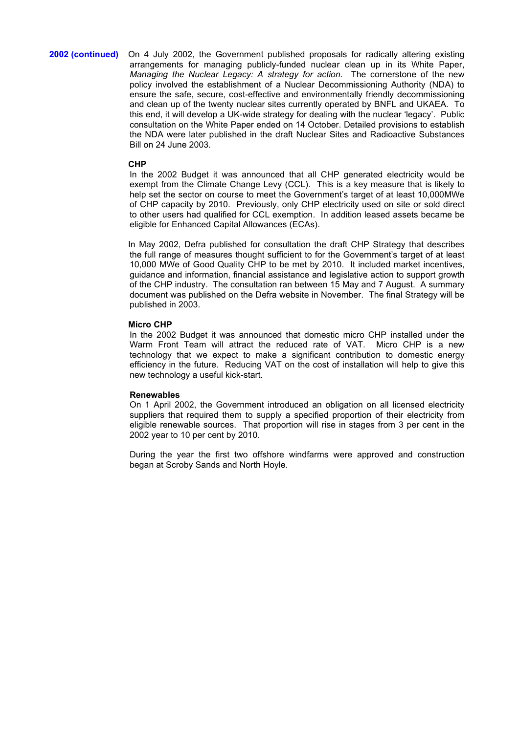**2002 (continued)** On 4 July 2002, the Government published proposals for radically altering existing arrangements for managing publicly-funded nuclear clean up in its White Paper, *Managing the Nuclear Legacy: A strategy for action*. The cornerstone of the new policy involved the establishment of a Nuclear Decommissioning Authority (NDA) to ensure the safe, secure, cost-effective and environmentally friendly decommissioning and clean up of the twenty nuclear sites currently operated by BNFL and UKAEA. To this end, it will develop a UK-wide strategy for dealing with the nuclear 'legacy'. Public consultation on the White Paper ended on 14 October. Detailed provisions to establish the NDA were later published in the draft Nuclear Sites and Radioactive Substances Bill on 24 June 2003.

#### **CHP**

In the 2002 Budget it was announced that all CHP generated electricity would be exempt from the Climate Change Levy (CCL). This is a key measure that is likely to help set the sector on course to meet the Government's target of at least 10,000MWe of CHP capacity by 2010. Previously, only CHP electricity used on site or sold direct to other users had qualified for CCL exemption. In addition leased assets became be eligible for Enhanced Capital Allowances (ECAs).

In May 2002, Defra published for consultation the draft CHP Strategy that describes the full range of measures thought sufficient to for the Government's target of at least 10,000 MWe of Good Quality CHP to be met by 2010. It included market incentives, guidance and information, financial assistance and legislative action to support growth of the CHP industry. The consultation ran between 15 May and 7 August. A summary document was published on the Defra website in November. The final Strategy will be published in 2003.

## **Micro CHP**

In the 2002 Budget it was announced that domestic micro CHP installed under the Warm Front Team will attract the reduced rate of VAT. Micro CHP is a new technology that we expect to make a significant contribution to domestic energy efficiency in the future. Reducing VAT on the cost of installation will help to give this new technology a useful kick-start.

#### **Renewables**

On 1 April 2002, the Government introduced an obligation on all licensed electricity suppliers that required them to supply a specified proportion of their electricity from eligible renewable sources. That proportion will rise in stages from 3 per cent in the 2002 year to 10 per cent by 2010.

During the year the first two offshore windfarms were approved and construction began at Scroby Sands and North Hoyle.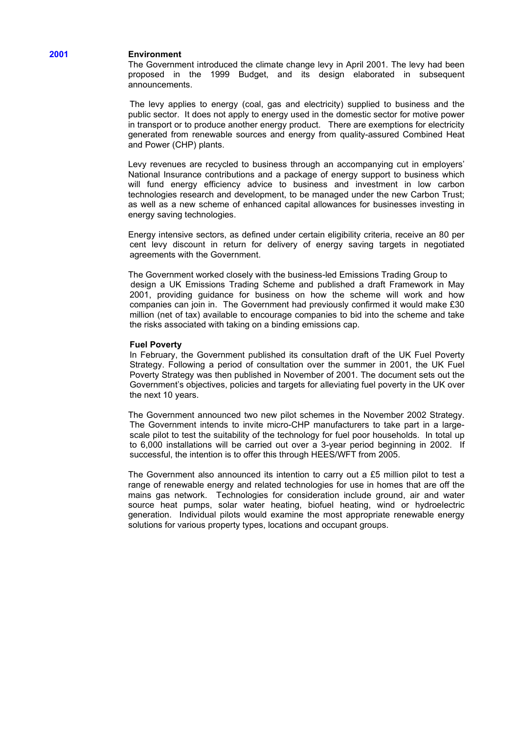# **2001 Environment**

The Government introduced the climate change levy in April 2001. The levy had been proposed in the 1999 Budget, and its design elaborated in subsequent announcements.

The levy applies to energy (coal, gas and electricity) supplied to business and the public sector. It does not apply to energy used in the domestic sector for motive power in transport or to produce another energy product. There are exemptions for electricity generated from renewable sources and energy from quality-assured Combined Heat and Power (CHP) plants.

Levy revenues are recycled to business through an accompanying cut in employers' National Insurance contributions and a package of energy support to business which will fund energy efficiency advice to business and investment in low carbon technologies research and development, to be managed under the new Carbon Trust; as well as a new scheme of enhanced capital allowances for businesses investing in energy saving technologies.

Energy intensive sectors, as defined under certain eligibility criteria, receive an 80 per cent levy discount in return for delivery of energy saving targets in negotiated agreements with the Government.

The Government worked closely with the business-led Emissions Trading Group to design a UK Emissions Trading Scheme and published a draft Framework in May 2001, providing guidance for business on how the scheme will work and how companies can join in. The Government had previously confirmed it would make £30 million (net of tax) available to encourage companies to bid into the scheme and take the risks associated with taking on a binding emissions cap.

## **Fuel Poverty**

In February, the Government published its consultation draft of the UK Fuel Poverty Strategy. Following a period of consultation over the summer in 2001, the UK Fuel Poverty Strategy was then published in November of 2001. The document sets out the Government's objectives, policies and targets for alleviating fuel poverty in the UK over the next 10 years.

The Government announced two new pilot schemes in the November 2002 Strategy. The Government intends to invite micro-CHP manufacturers to take part in a largescale pilot to test the suitability of the technology for fuel poor households. In total up to 6,000 installations will be carried out over a 3-year period beginning in 2002. If successful, the intention is to offer this through HEES/WFT from 2005.

The Government also announced its intention to carry out a £5 million pilot to test a range of renewable energy and related technologies for use in homes that are off the mains gas network. Technologies for consideration include ground, air and water source heat pumps, solar water heating, biofuel heating, wind or hydroelectric generation. Individual pilots would examine the most appropriate renewable energy solutions for various property types, locations and occupant groups.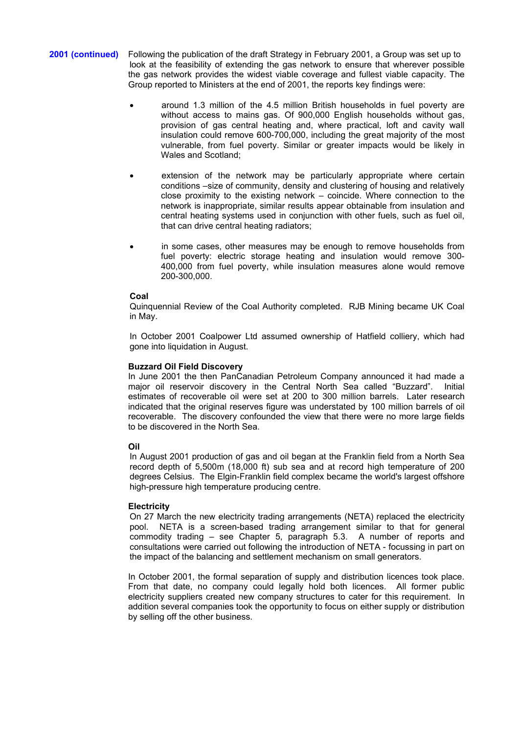- **2001 (continued)** Following the publication of the draft Strategy in February 2001, a Group was set up to look at the feasibility of extending the gas network to ensure that wherever possible the gas network provides the widest viable coverage and fullest viable capacity. The Group reported to Ministers at the end of 2001, the reports key findings were:
	- around 1.3 million of the 4.5 million British households in fuel poverty are without access to mains gas. Of 900,000 English households without gas, provision of gas central heating and, where practical, loft and cavity wall insulation could remove 600-700,000, including the great majority of the most vulnerable, from fuel poverty. Similar or greater impacts would be likely in Wales and Scotland;
	- extension of the network may be particularly appropriate where certain conditions –size of community, density and clustering of housing and relatively close proximity to the existing network – coincide. Where connection to the network is inappropriate, similar results appear obtainable from insulation and central heating systems used in conjunction with other fuels, such as fuel oil, that can drive central heating radiators;
	- in some cases, other measures may be enough to remove households from fuel poverty: electric storage heating and insulation would remove 300- 400,000 from fuel poverty, while insulation measures alone would remove 200-300,000.

## **Coal**

Quinquennial Review of the Coal Authority completed. RJB Mining became UK Coal in May.

In October 2001 Coalpower Ltd assumed ownership of Hatfield colliery, which had gone into liquidation in August.

## **Buzzard Oil Field Discovery**

In June 2001 the then PanCanadian Petroleum Company announced it had made a<br>maior oil reservoir discovery in the Central North Sea called "Buzzard". Initial major oil reservoir discovery in the Central North Sea called "Buzzard". estimates of recoverable oil were set at 200 to 300 million barrels. Later research indicated that the original reserves figure was understated by 100 million barrels of oil recoverable. The discovery confounded the view that there were no more large fields to be discovered in the North Sea.

## **Oil**

In August 2001 production of gas and oil began at the Franklin field from a North Sea record depth of 5,500m (18,000 ft) sub sea and at record high temperature of 200 degrees Celsius. The Elgin-Franklin field complex became the world's largest offshore high-pressure high temperature producing centre.

## **Electricity**

On 27 March the new electricity trading arrangements (NETA) replaced the electricity pool. NETA is a screen-based trading arrangement similar to that for general commodity trading – see Chapter 5, paragraph 5.3. A number of reports and consultations were carried out following the introduction of NETA - focussing in part on the impact of the balancing and settlement mechanism on small generators.

In October 2001, the formal separation of supply and distribution licences took place. From that date, no company could legally hold both licences. All former public electricity suppliers created new company structures to cater for this requirement. In addition several companies took the opportunity to focus on either supply or distribution by selling off the other business.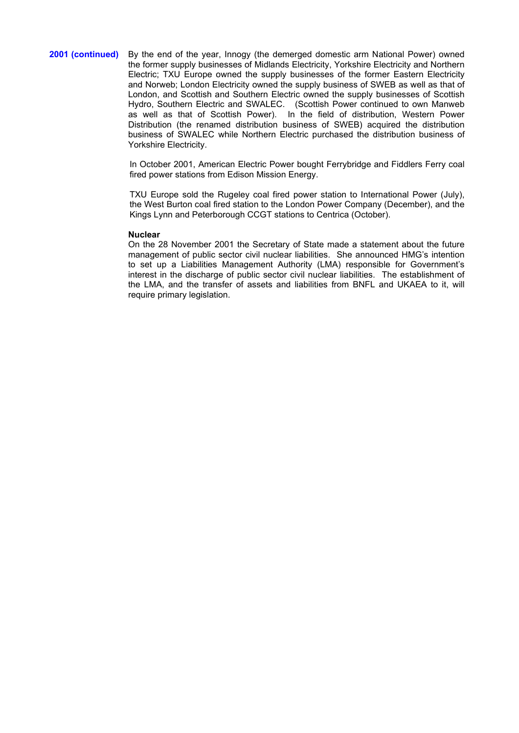2001 (continued) By the end of the year, Innogy (the demerged domestic arm National Power) owned the former supply businesses of Midlands Electricity, Yorkshire Electricity and Northern Electric; TXU Europe owned the supply businesses of the former Eastern Electricity and Norweb; London Electricity owned the supply business of SWEB as well as that of London, and Scottish and Southern Electric owned the supply businesses of Scottish Hydro, Southern Electric and SWALEC. (Scottish Power continued to own Manweb as well as that of Scottish Power). In the field of distribution, Western Power Distribution (the renamed distribution business of SWEB) acquired the distribution business of SWALEC while Northern Electric purchased the distribution business of Yorkshire Electricity.

> In October 2001, American Electric Power bought Ferrybridge and Fiddlers Ferry coal fired power stations from Edison Mission Energy.

> TXU Europe sold the Rugeley coal fired power station to International Power (July), the West Burton coal fired station to the London Power Company (December), and the Kings Lynn and Peterborough CCGT stations to Centrica (October).

#### **Nuclear**

On the 28 November 2001 the Secretary of State made a statement about the future management of public sector civil nuclear liabilities. She announced HMG's intention to set up a Liabilities Management Authority (LMA) responsible for Government's interest in the discharge of public sector civil nuclear liabilities. The establishment of the LMA, and the transfer of assets and liabilities from BNFL and UKAEA to it, will require primary legislation.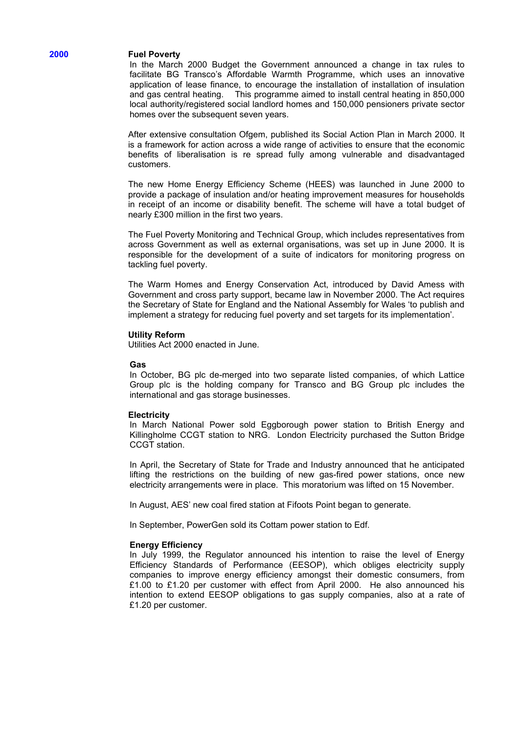## **2000 Fuel Poverty**

In the March 2000 Budget the Government announced a change in tax rules to facilitate BG Transco's Affordable Warmth Programme, which uses an innovative application of lease finance, to encourage the installation of installation of insulation This programme aimed to install central heating in 850,000 local authority/registered social landlord homes and 150,000 pensioners private sector homes over the subsequent seven years.

After extensive consultation Ofgem, published its Social Action Plan in March 2000. It is a framework for action across a wide range of activities to ensure that the economic benefits of liberalisation is re spread fully among vulnerable and disadvantaged customers.

The new Home Energy Efficiency Scheme (HEES) was launched in June 2000 to provide a package of insulation and/or heating improvement measures for households in receipt of an income or disability benefit. The scheme will have a total budget of nearly £300 million in the first two years.

The Fuel Poverty Monitoring and Technical Group, which includes representatives from across Government as well as external organisations, was set up in June 2000. It is responsible for the development of a suite of indicators for monitoring progress on tackling fuel poverty.

The Warm Homes and Energy Conservation Act, introduced by David Amess with Government and cross party support, became law in November 2000. The Act requires the Secretary of State for England and the National Assembly for Wales 'to publish and implement a strategy for reducing fuel poverty and set targets for its implementation'.

#### **Utility Reform**

Utilities Act 2000 enacted in June.

#### **Gas**

In October, BG plc de-merged into two separate listed companies, of which Lattice Group plc is the holding company for Transco and BG Group plc includes the international and gas storage businesses.

#### **Electricity**

In March National Power sold Eggborough power station to British Energy and Killingholme CCGT station to NRG. London Electricity purchased the Sutton Bridge CCGT station.

In April, the Secretary of State for Trade and Industry announced that he anticipated lifting the restrictions on the building of new gas-fired power stations, once new electricity arrangements were in place. This moratorium was lifted on 15 November.

In August, AES' new coal fired station at Fifoots Point began to generate.

In September, PowerGen sold its Cottam power station to Edf.

#### **Energy Efficiency**

In July 1999, the Regulator announced his intention to raise the level of Energy Efficiency Standards of Performance (EESOP), which obliges electricity supply companies to improve energy efficiency amongst their domestic consumers, from £1.00 to £1.20 per customer with effect from April 2000. He also announced his intention to extend EESOP obligations to gas supply companies, also at a rate of £1.20 per customer.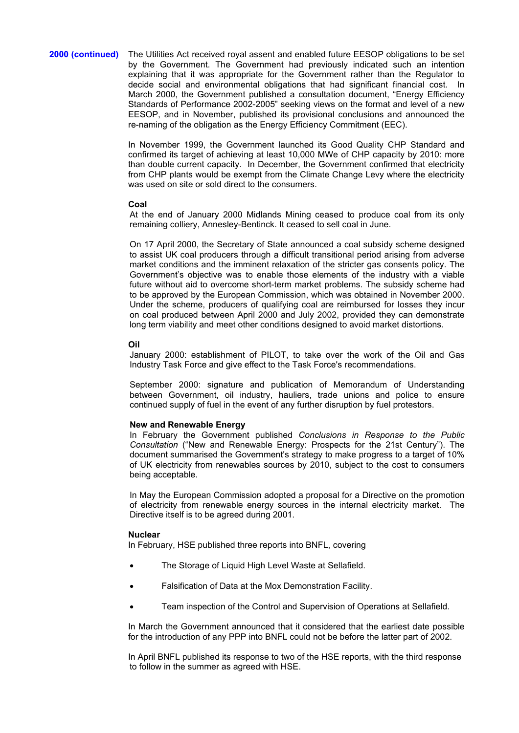## **2000 (continued)** The Utilities Act received royal assent and enabled future EESOP obligations to be set by the Government. The Government had previously indicated such an intention explaining that it was appropriate for the Government rather than the Regulator to decide social and environmental obligations that had significant financial cost. In March 2000, the Government published a consultation document, "Energy Efficiency Standards of Performance 2002-2005" seeking views on the format and level of a new EESOP, and in November, published its provisional conclusions and announced the re-naming of the obligation as the Energy Efficiency Commitment (EEC).

In November 1999, the Government launched its Good Quality CHP Standard and confirmed its target of achieving at least 10,000 MWe of CHP capacity by 2010: more than double current capacity. In December, the Government confirmed that electricity from CHP plants would be exempt from the Climate Change Levy where the electricity was used on site or sold direct to the consumers.

## **Coal**

At the end of January 2000 Midlands Mining ceased to produce coal from its only remaining colliery, Annesley-Bentinck. It ceased to sell coal in June.

On 17 April 2000, the Secretary of State announced a coal subsidy scheme designed to assist UK coal producers through a difficult transitional period arising from adverse market conditions and the imminent relaxation of the stricter gas consents policy. The Government's objective was to enable those elements of the industry with a viable future without aid to overcome short-term market problems. The subsidy scheme had to be approved by the European Commission, which was obtained in November 2000. Under the scheme, producers of qualifying coal are reimbursed for losses they incur on coal produced between April 2000 and July 2002, provided they can demonstrate long term viability and meet other conditions designed to avoid market distortions.

# **Oil**

January 2000: establishment of PILOT, to take over the work of the Oil and Gas Industry Task Force and give effect to the Task Force's recommendations.

September 2000: signature and publication of Memorandum of Understanding between Government, oil industry, hauliers, trade unions and police to ensure continued supply of fuel in the event of any further disruption by fuel protestors.

## **New and Renewable Energy**

In February the Government published *Conclusions in Response to the Public Consultation* ("New and Renewable Energy: Prospects for the 21st Century"). The document summarised the Government's strategy to make progress to a target of 10% of UK electricity from renewables sources by 2010, subject to the cost to consumers being acceptable.

In May the European Commission adopted a proposal for a Directive on the promotion of electricity from renewable energy sources in the internal electricity market. The Directive itself is to be agreed during 2001.

## **Nuclear**

In February, HSE published three reports into BNFL, covering

- The Storage of Liquid High Level Waste at Sellafield.
- Falsification of Data at the Mox Demonstration Facility.
- Team inspection of the Control and Supervision of Operations at Sellafield.

In March the Government announced that it considered that the earliest date possible for the introduction of any PPP into BNFL could not be before the latter part of 2002.

In April BNFL published its response to two of the HSE reports, with the third response to follow in the summer as agreed with HSE.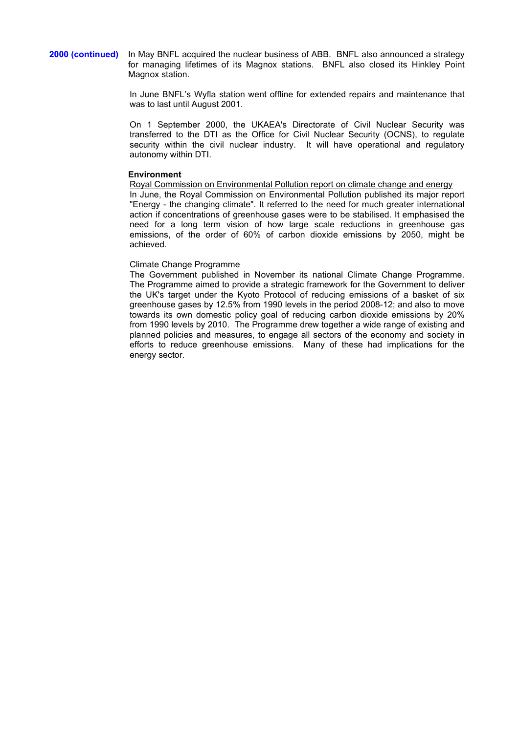**2000 (continued)** In May BNFL acquired the nuclear business of ABB. BNFL also announced a strategy for managing lifetimes of its Magnox stations. BNFL also closed its Hinkley Point Magnox station.

> In June BNFL's Wyfla station went offline for extended repairs and maintenance that was to last until August 2001.

> On 1 September 2000, the UKAEA's Directorate of Civil Nuclear Security was transferred to the DTI as the Office for Civil Nuclear Security (OCNS), to regulate security within the civil nuclear industry. It will have operational and regulatory autonomy within DTI.

## **Environment**

Royal Commission on Environmental Pollution report on climate change and energy In June, the Royal Commission on Environmental Pollution published its major report "Energy - the changing climate". It referred to the need for much greater international action if concentrations of greenhouse gases were to be stabilised. It emphasised the need for a long term vision of how large scale reductions in greenhouse gas emissions, of the order of 60% of carbon dioxide emissions by 2050, might be achieved.

## Climate Change Programme

The Government published in November its national Climate Change Programme. The Programme aimed to provide a strategic framework for the Government to deliver the UK's target under the Kyoto Protocol of reducing emissions of a basket of six greenhouse gases by 12.5% from 1990 levels in the period 2008-12; and also to move towards its own domestic policy goal of reducing carbon dioxide emissions by 20% from 1990 levels by 2010. The Programme drew together a wide range of existing and planned policies and measures, to engage all sectors of the economy and society in efforts to reduce greenhouse emissions. Many of these had implications for the energy sector.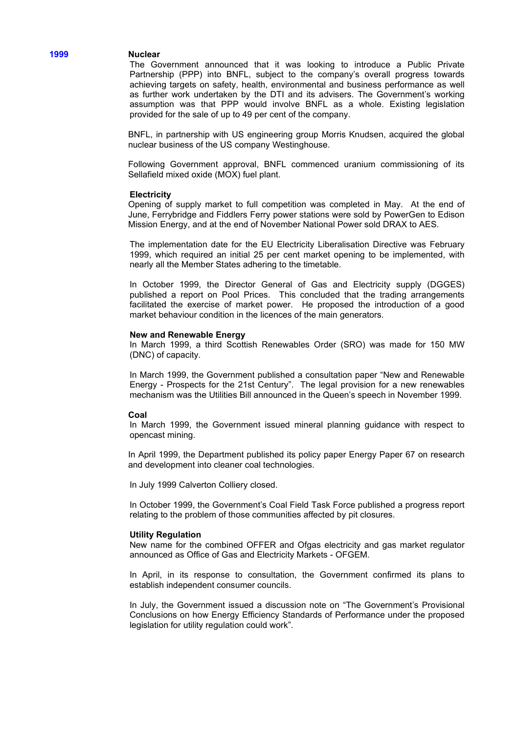## **1999 Nuclear**

The Government announced that it was looking to introduce a Public Private Partnership (PPP) into BNFL, subject to the company's overall progress towards achieving targets on safety, health, environmental and business performance as well as further work undertaken by the DTI and its advisers. The Government's working assumption was that PPP would involve BNFL as a whole. Existing legislation provided for the sale of up to 49 per cent of the company.

BNFL, in partnership with US engineering group Morris Knudsen, acquired the global nuclear business of the US company Westinghouse.

Following Government approval, BNFL commenced uranium commissioning of its Sellafield mixed oxide (MOX) fuel plant.

#### **Electricity**

Opening of supply market to full competition was completed in May. At the end of June, Ferrybridge and Fiddlers Ferry power stations were sold by PowerGen to Edison Mission Energy, and at the end of November National Power sold DRAX to AES.

The implementation date for the EU Electricity Liberalisation Directive was February 1999, which required an initial 25 per cent market opening to be implemented, with nearly all the Member States adhering to the timetable.

In October 1999, the Director General of Gas and Electricity supply (DGGES) published a report on Pool Prices. This concluded that the trading arrangements facilitated the exercise of market power. He proposed the introduction of a good market behaviour condition in the licences of the main generators.

#### **New and Renewable Energy**

In March 1999, a third Scottish Renewables Order (SRO) was made for 150 MW (DNC) of capacity.

In March 1999, the Government published a consultation paper "New and Renewable Energy - Prospects for the 21st Century". The legal provision for a new renewables mechanism was the Utilities Bill announced in the Queen's speech in November 1999.

#### **Coal**

In March 1999, the Government issued mineral planning guidance with respect to opencast mining.

In April 1999, the Department published its policy paper Energy Paper 67 on research and development into cleaner coal technologies.

In July 1999 Calverton Colliery closed.

In October 1999, the Government's Coal Field Task Force published a progress report relating to the problem of those communities affected by pit closures.

#### **Utility Regulation**

New name for the combined OFFER and Ofgas electricity and gas market regulator announced as Office of Gas and Electricity Markets - OFGEM.

In April, in its response to consultation, the Government confirmed its plans to establish independent consumer councils.

In July, the Government issued a discussion note on "The Government's Provisional Conclusions on how Energy Efficiency Standards of Performance under the proposed legislation for utility regulation could work".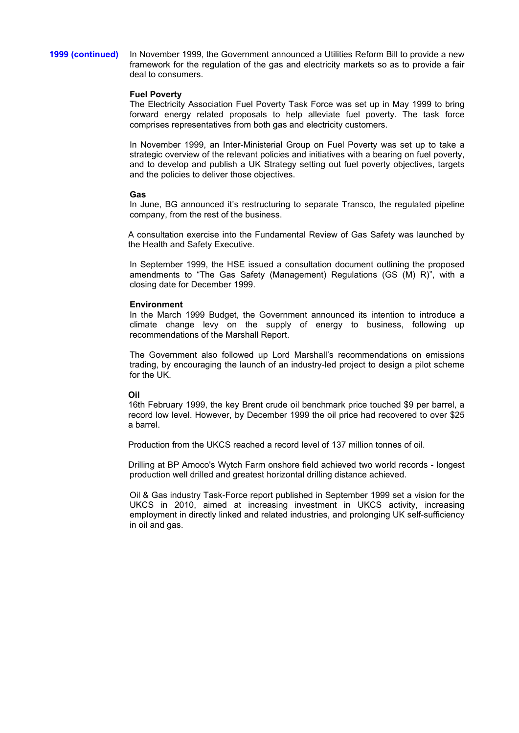**1999 (continued)** In November 1999, the Government announced a Utilities Reform Bill to provide a new framework for the regulation of the gas and electricity markets so as to provide a fair deal to consumers.

## **Fuel Poverty**

The Electricity Association Fuel Poverty Task Force was set up in May 1999 to bring forward energy related proposals to help alleviate fuel poverty. The task force comprises representatives from both gas and electricity customers.

In November 1999, an Inter-Ministerial Group on Fuel Poverty was set up to take a strategic overview of the relevant policies and initiatives with a bearing on fuel poverty, and to develop and publish a UK Strategy setting out fuel poverty objectives, targets and the policies to deliver those objectives.

## **Gas**

In June, BG announced it's restructuring to separate Transco, the regulated pipeline company, from the rest of the business.

A consultation exercise into the Fundamental Review of Gas Safety was launched by the Health and Safety Executive.

In September 1999, the HSE issued a consultation document outlining the proposed amendments to "The Gas Safety (Management) Regulations (GS (M) R)", with a closing date for December 1999.

## **Environment**

In the March 1999 Budget, the Government announced its intention to introduce a climate change levy on the supply of energy to business, following up recommendations of the Marshall Report.

The Government also followed up Lord Marshall's recommendations on emissions trading, by encouraging the launch of an industry-led project to design a pilot scheme for the UK.

## **Oil**

16th February 1999, the key Brent crude oil benchmark price touched \$9 per barrel, a record low level. However, by December 1999 the oil price had recovered to over \$25 a barrel.

Production from the UKCS reached a record level of 137 million tonnes of oil.

Drilling at BP Amoco's Wytch Farm onshore field achieved two world records - longest production well drilled and greatest horizontal drilling distance achieved.

Oil & Gas industry Task-Force report published in September 1999 set a vision for the UKCS in 2010, aimed at increasing investment in UKCS activity, increasing employment in directly linked and related industries, and prolonging UK self-sufficiency in oil and gas.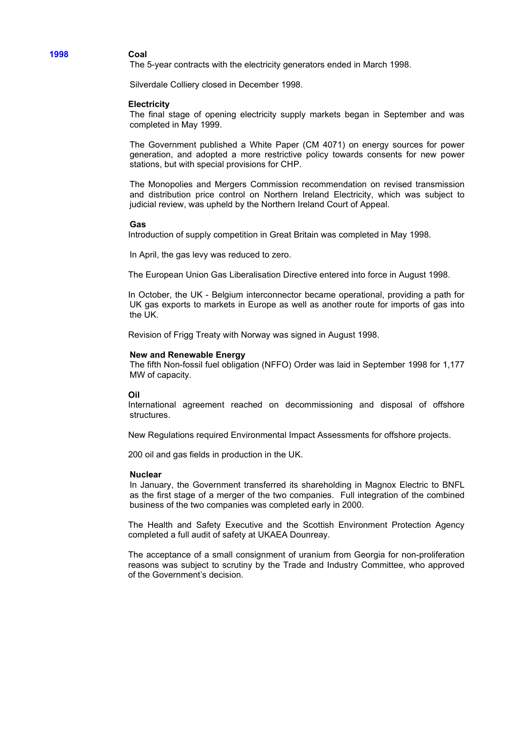## **1998 Coal**

The 5-year contracts with the electricity generators ended in March 1998.

Silverdale Colliery closed in December 1998.

#### **Electricity**

The final stage of opening electricity supply markets began in September and was completed in May 1999.

The Government published a White Paper (CM 4071) on energy sources for power generation, and adopted a more restrictive policy towards consents for new power stations, but with special provisions for CHP.

The Monopolies and Mergers Commission recommendation on revised transmission and distribution price control on Northern Ireland Electricity, which was subject to judicial review, was upheld by the Northern Ireland Court of Appeal.

#### **Gas**

Introduction of supply competition in Great Britain was completed in May 1998.

In April, the gas levy was reduced to zero.

The European Union Gas Liberalisation Directive entered into force in August 1998.

In October, the UK - Belgium interconnector became operational, providing a path for UK gas exports to markets in Europe as well as another route for imports of gas into the UK.

Revision of Frigg Treaty with Norway was signed in August 1998.

#### **New and Renewable Energy**

The fifth Non-fossil fuel obligation (NFFO) Order was laid in September 1998 for 1,177 MW of capacity.

#### **Oil**

International agreement reached on decommissioning and disposal of offshore structures.

New Regulations required Environmental Impact Assessments for offshore projects.

200 oil and gas fields in production in the UK.

#### **Nuclear**

In January, the Government transferred its shareholding in Magnox Electric to BNFL as the first stage of a merger of the two companies. Full integration of the combined business of the two companies was completed early in 2000.

The Health and Safety Executive and the Scottish Environment Protection Agency completed a full audit of safety at UKAEA Dounreay.

The acceptance of a small consignment of uranium from Georgia for non-proliferation reasons was subject to scrutiny by the Trade and Industry Committee, who approved of the Government's decision.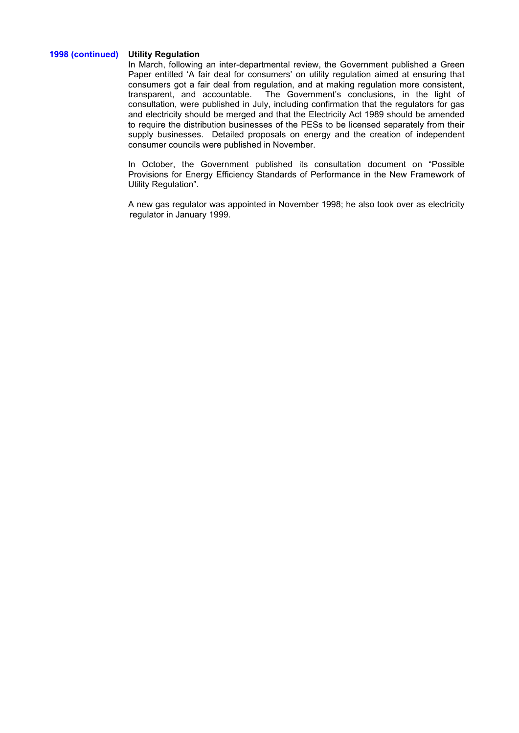# **1998 (continued) Utility Regulation**

In March, following an inter-departmental review, the Government published a Green Paper entitled 'A fair deal for consumers' on utility regulation aimed at ensuring that consumers got a fair deal from regulation, and at making regulation more consistent, transparent, and accountable. The Government's conclusions, in the light of The Government's conclusions, in the light of consultation, were published in July, including confirmation that the regulators for gas and electricity should be merged and that the Electricity Act 1989 should be amended to require the distribution businesses of the PESs to be licensed separately from their supply businesses. Detailed proposals on energy and the creation of independent consumer councils were published in November.

In October, the Government published its consultation document on "Possible Provisions for Energy Efficiency Standards of Performance in the New Framework of Utility Regulation".

A new gas regulator was appointed in November 1998; he also took over as electricity regulator in January 1999.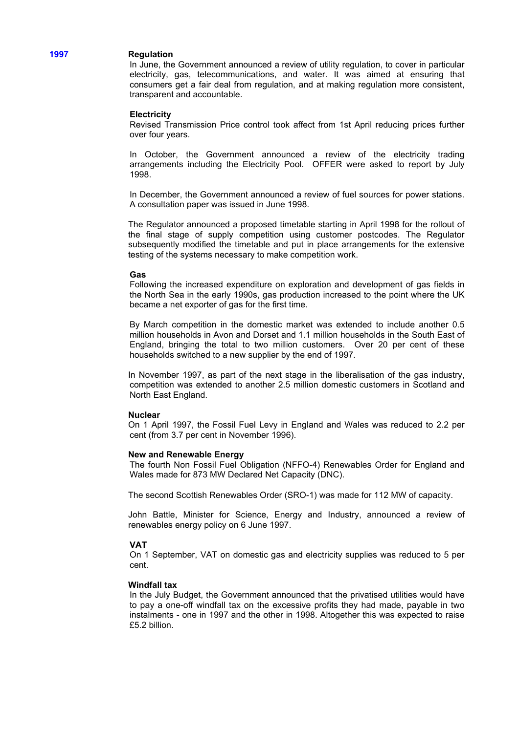## **1997 Regulation**

In June, the Government announced a review of utility regulation, to cover in particular electricity, gas, telecommunications, and water. It was aimed at ensuring that consumers get a fair deal from regulation, and at making regulation more consistent, transparent and accountable.

## **Electricity**

Revised Transmission Price control took affect from 1st April reducing prices further over four years.

In October, the Government announced a review of the electricity trading arrangements including the Electricity Pool. OFFER were asked to report by July 1998.

In December, the Government announced a review of fuel sources for power stations. A consultation paper was issued in June 1998.

The Regulator announced a proposed timetable starting in April 1998 for the rollout of the final stage of supply competition using customer postcodes. The Regulator subsequently modified the timetable and put in place arrangements for the extensive testing of the systems necessary to make competition work.

#### **Gas**

Following the increased expenditure on exploration and development of gas fields in the North Sea in the early 1990s, gas production increased to the point where the UK became a net exporter of gas for the first time.

By March competition in the domestic market was extended to include another 0.5 million households in Avon and Dorset and 1.1 million households in the South East of England, bringing the total to two million customers. Over 20 per cent of these households switched to a new supplier by the end of 1997.

In November 1997, as part of the next stage in the liberalisation of the gas industry, competition was extended to another 2.5 million domestic customers in Scotland and North East England.

#### **Nuclear**

On 1 April 1997, the Fossil Fuel Levy in England and Wales was reduced to 2.2 per cent (from 3.7 per cent in November 1996).

#### **New and Renewable Energy**

The fourth Non Fossil Fuel Obligation (NFFO-4) Renewables Order for England and Wales made for 873 MW Declared Net Capacity (DNC).

The second Scottish Renewables Order (SRO-1) was made for 112 MW of capacity.

John Battle, Minister for Science, Energy and Industry, announced a review of renewables energy policy on 6 June 1997.

#### **VAT**

On 1 September, VAT on domestic gas and electricity supplies was reduced to 5 per cent.

## **Windfall tax**

In the July Budget, the Government announced that the privatised utilities would have to pay a one-off windfall tax on the excessive profits they had made, payable in two instalments - one in 1997 and the other in 1998. Altogether this was expected to raise £5.2 billion.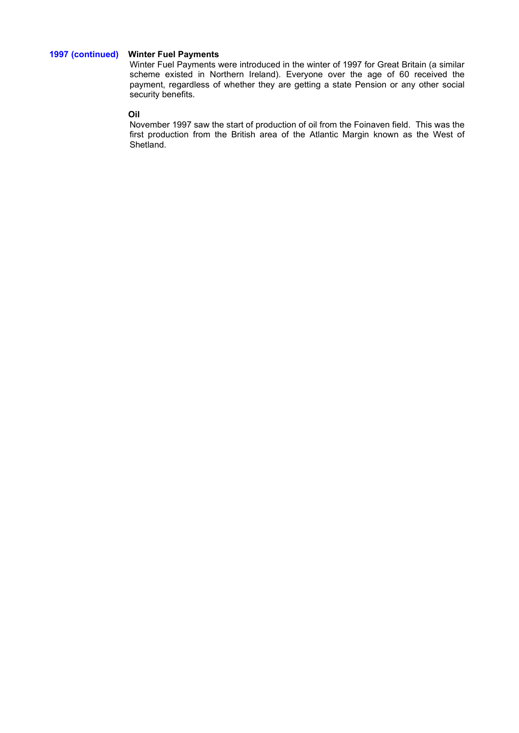# **1997 (continued) Winter Fuel Payments**

Winter Fuel Payments were introduced in the winter of 1997 for Great Britain (a similar scheme existed in Northern Ireland). Everyone over the age of 60 received the payment, regardless of whether they are getting a state Pension or any other social security benefits.

# **Oil**

November 1997 saw the start of production of oil from the Foinaven field. This was the first production from the British area of the Atlantic Margin known as the West of Shetland.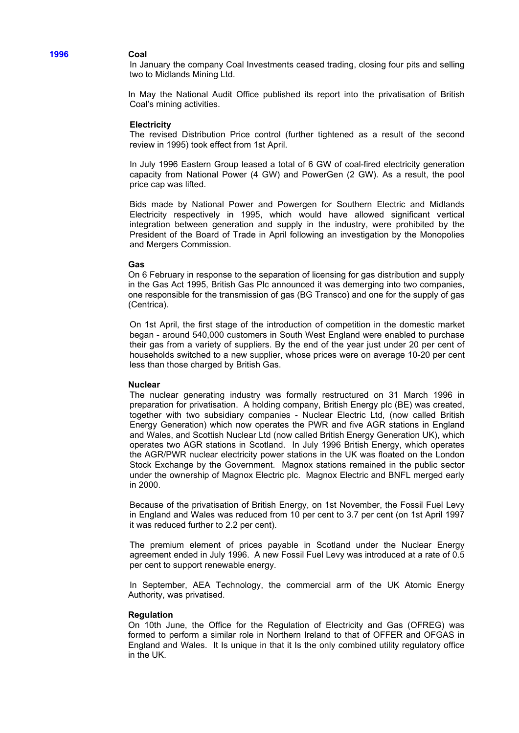## **1996 Coal**

In January the company Coal Investments ceased trading, closing four pits and selling two to Midlands Mining Ltd.

In May the National Audit Office published its report into the privatisation of British Coal's mining activities.

#### **Electricity**

The revised Distribution Price control (further tightened as a result of the second review in 1995) took effect from 1st April.

In July 1996 Eastern Group leased a total of 6 GW of coal-fired electricity generation capacity from National Power (4 GW) and PowerGen (2 GW). As a result, the pool price cap was lifted.

Bids made by National Power and Powergen for Southern Electric and Midlands Electricity respectively in 1995, which would have allowed significant vertical integration between generation and supply in the industry, were prohibited by the President of the Board of Trade in April following an investigation by the Monopolies and Mergers Commission.

## **Gas**

On 6 February in response to the separation of licensing for gas distribution and supply in the Gas Act 1995, British Gas Plc announced it was demerging into two companies, one responsible for the transmission of gas (BG Transco) and one for the supply of gas (Centrica).

On 1st April, the first stage of the introduction of competition in the domestic market began - around 540,000 customers in South West England were enabled to purchase their gas from a variety of suppliers. By the end of the year just under 20 per cent of households switched to a new supplier, whose prices were on average 10-20 per cent less than those charged by British Gas.

#### **Nuclear**

The nuclear generating industry was formally restructured on 31 March 1996 in preparation for privatisation. A holding company, British Energy plc (BE) was created, together with two subsidiary companies - Nuclear Electric Ltd, (now called British Energy Generation) which now operates the PWR and five AGR stations in England and Wales, and Scottish Nuclear Ltd (now called British Energy Generation UK), which operates two AGR stations in Scotland.In July 1996 British Energy, which operates the AGR/PWR nuclear electricity power stations in the UK was floated on the London Stock Exchange by the Government. Magnox stations remained in the public sector under the ownership of Magnox Electric plc. Magnox Electric and BNFL merged early in 2000.

Because of the privatisation of British Energy, on 1st November, the Fossil Fuel Levy in England and Wales was reduced from 10 per cent to 3.7 per cent (on 1st April 1997 it was reduced further to 2.2 per cent).

The premium element of prices payable in Scotland under the Nuclear Energy agreement ended in July 1996. A new Fossil Fuel Levy was introduced at a rate of 0.5 per cent to support renewable energy.

In September, AEA Technology, the commercial arm of the UK Atomic Energy Authority, was privatised.

#### **Regulation**

On 10th June, the Office for the Regulation of Electricity and Gas (OFREG) was formed to perform a similar role in Northern Ireland to that of OFFER and OFGAS in England and Wales. It Is unique in that it Is the only combined utility regulatory office in the UK.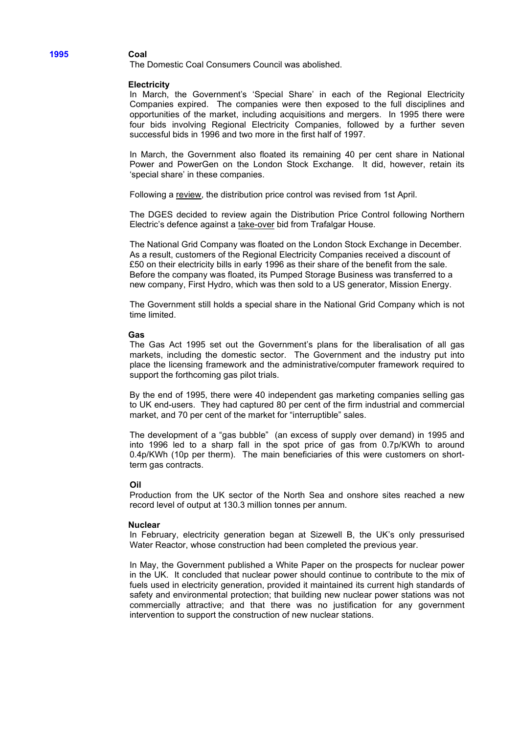The Domestic Coal Consumers Council was abolished.

#### **Electricity**

In March, the Government's 'Special Share' in each of the Regional Electricity Companies expired. The companies were then exposed to the full disciplines and opportunities of the market, including acquisitions and mergers. In 1995 there were four bids involving Regional Electricity Companies, followed by a further seven successful bids in 1996 and two more in the first half of 1997.

In March, the Government also floated its remaining 40 per cent share in National Power and PowerGen on the London Stock Exchange. It did, however, retain its 'special share' in these companies.

Following a review, the distribution price control was revised from 1st April.

The DGES decided to review again the Distribution Price Control following Northern Electric's defence against a take-over bid from Trafalgar House.

The National Grid Company was floated on the London Stock Exchange in December. As a result, customers of the Regional Electricity Companies received a discount of £50 on their electricity bills in early 1996 as their share of the benefit from the sale. Before the company was floated, its Pumped Storage Business was transferred to a new company, First Hydro, which was then sold to a US generator, Mission Energy.

The Government still holds a special share in the National Grid Company which is not time limited.

#### **Gas**

The Gas Act 1995 set out the Government's plans for the liberalisation of all gas markets, including the domestic sector. The Government and the industry put into place the licensing framework and the administrative/computer framework required to support the forthcoming gas pilot trials.

By the end of 1995, there were 40 independent gas marketing companies selling gas to UK end-users. They had captured 80 per cent of the firm industrial and commercial market, and 70 per cent of the market for "interruptible" sales.

The development of a "gas bubble" (an excess of supply over demand) in 1995 and into 1996 led to a sharp fall in the spot price of gas from 0.7p/KWh to around 0.4p/KWh (10p per therm). The main beneficiaries of this were customers on shortterm gas contracts.

## **Oil**

Production from the UK sector of the North Sea and onshore sites reached a new record level of output at 130.3 million tonnes per annum.

#### **Nuclear**

In February, electricity generation began at Sizewell B, the UK's only pressurised Water Reactor, whose construction had been completed the previous year.

In May, the Government published a White Paper on the prospects for nuclear power in the UK. It concluded that nuclear power should continue to contribute to the mix of fuels used in electricity generation, provided it maintained its current high standards of safety and environmental protection; that building new nuclear power stations was not commercially attractive; and that there was no justification for any government intervention to support the construction of new nuclear stations.

**1995 Coal**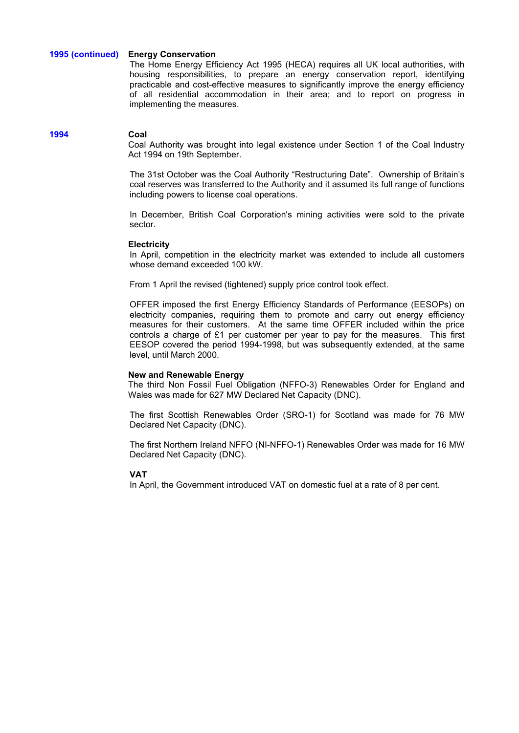## **1995 (continued) Energy Conservation**

The Home Energy Efficiency Act 1995 (HECA) requires all UK local authorities, with housing responsibilities, to prepare an energy conservation report, identifying practicable and cost-effective measures to significantly improve the energy efficiency of all residential accommodation in their area; and to report on progress in implementing the measures.

## **1994 Coal**

Coal Authority was brought into legal existence under Section 1 of the Coal Industry Act 1994 on 19th September.

The 31st October was the Coal Authority "Restructuring Date". Ownership of Britain's coal reserves was transferred to the Authority and it assumed its full range of functions including powers to license coal operations.

In December, British Coal Corporation's mining activities were sold to the private sector.

## **Electricity**

In April, competition in the electricity market was extended to include all customers whose demand exceeded 100 kW.

From 1 April the revised (tightened) supply price control took effect.

OFFER imposed the first Energy Efficiency Standards of Performance (EESOPs) on electricity companies, requiring them to promote and carry out energy efficiency measures for their customers. At the same time OFFER included within the price controls a charge of £1 per customer per year to pay for the measures. This first EESOP covered the period 1994-1998, but was subsequently extended, at the same level, until March 2000.

## **New and Renewable Energy**

The third Non Fossil Fuel Obligation (NFFO-3) Renewables Order for England and Wales was made for 627 MW Declared Net Capacity (DNC).

The first Scottish Renewables Order (SRO-1) for Scotland was made for 76 MW Declared Net Capacity (DNC).

The first Northern Ireland NFFO (NI-NFFO-1) Renewables Order was made for 16 MW Declared Net Capacity (DNC).

## **VAT**

In April, the Government introduced VAT on domestic fuel at a rate of 8 per cent.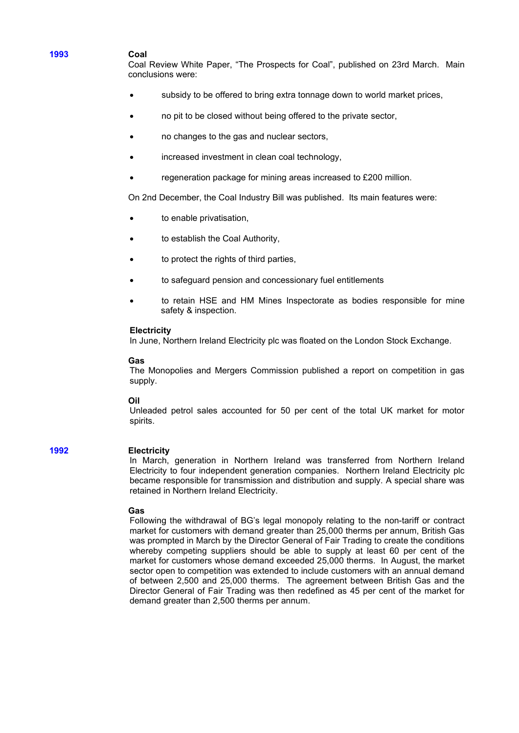## **1993 Coal**

Coal Review White Paper, "The Prospects for Coal", published on 23rd March. Main conclusions were:

- subsidy to be offered to bring extra tonnage down to world market prices,
- no pit to be closed without being offered to the private sector,
- no changes to the gas and nuclear sectors,
- increased investment in clean coal technology,
- regeneration package for mining areas increased to £200 million.

On 2nd December, the Coal Industry Bill was published. Its main features were:

- to enable privatisation,
- to establish the Coal Authority,
- to protect the rights of third parties,
- to safeguard pension and concessionary fuel entitlements
- to retain HSE and HM Mines Inspectorate as bodies responsible for mine safety & inspection.

#### **Electricity**

In June, Northern Ireland Electricity plc was floated on the London Stock Exchange.

#### **Gas**

The Monopolies and Mergers Commission published a report on competition in gas supply.

#### **Oil**

Unleaded petrol sales accounted for 50 per cent of the total UK market for motor spirits.

## **1992 Electricity**

In March, generation in Northern Ireland was transferred from Northern Ireland Electricity to four independent generation companies. Northern Ireland Electricity plc became responsible for transmission and distribution and supply. A special share was retained in Northern Ireland Electricity.

#### **Gas**

Following the withdrawal of BG's legal monopoly relating to the non-tariff or contract market for customers with demand greater than 25,000 therms per annum, British Gas was prompted in March by the Director General of Fair Trading to create the conditions whereby competing suppliers should be able to supply at least 60 per cent of the market for customers whose demand exceeded 25,000 therms. In August, the market sector open to competition was extended to include customers with an annual demand of between 2,500 and 25,000 therms. The agreement between British Gas and the Director General of Fair Trading was then redefined as 45 per cent of the market for demand greater than 2,500 therms per annum.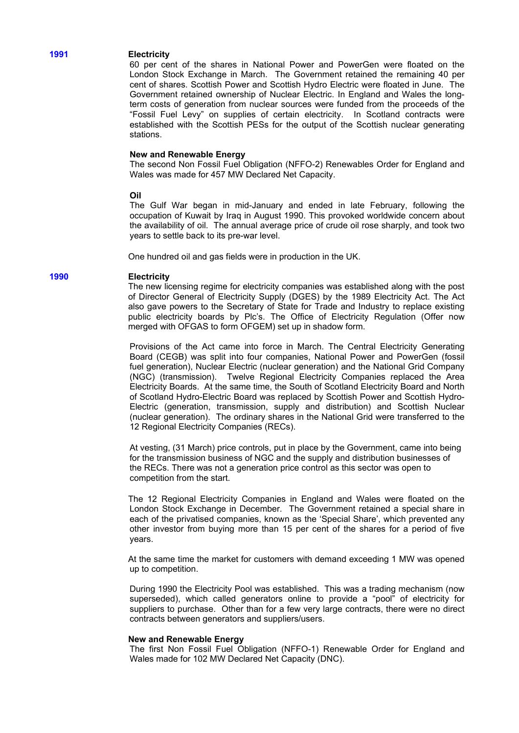# **1991 Electricity**

60 per cent of the shares in National Power and PowerGen were floated on the London Stock Exchange in March. The Government retained the remaining 40 per cent of shares. Scottish Power and Scottish Hydro Electric were floated in June. The Government retained ownership of Nuclear Electric. In England and Wales the longterm costs of generation from nuclear sources were funded from the proceeds of the "Fossil Fuel Levy" on supplies of certain electricity. In Scotland contracts were established with the Scottish PESs for the output of the Scottish nuclear generating stations.

## **New and Renewable Energy**

The second Non Fossil Fuel Obligation (NFFO-2) Renewables Order for England and Wales was made for 457 MW Declared Net Capacity.

#### **Oil**

The Gulf War began in mid-January and ended in late February, following the occupation of Kuwait by Iraq in August 1990. This provoked worldwide concern about the availability of oil. The annual average price of crude oil rose sharply, and took two years to settle back to its pre-war level.

One hundred oil and gas fields were in production in the UK.

#### **1990 Electricity**

The new licensing regime for electricity companies was established along with the post of Director General of Electricity Supply (DGES) by the 1989 Electricity Act. The Act also gave powers to the Secretary of State for Trade and Industry to replace existing public electricity boards by Plc's. The Office of Electricity Regulation (Offer now merged with OFGAS to form OFGEM) set up in shadow form.

Provisions of the Act came into force in March. The Central Electricity Generating Board (CEGB) was split into four companies, National Power and PowerGen (fossil fuel generation), Nuclear Electric (nuclear generation) and the National Grid Company (NGC) (transmission). Twelve Regional Electricity Companies replaced the Area Electricity Boards. At the same time, the South of Scotland Electricity Board and North of Scotland Hydro-Electric Board was replaced by Scottish Power and Scottish Hydro-Electric (generation, transmission, supply and distribution) and Scottish Nuclear (nuclear generation). The ordinary shares in the National Grid were transferred to the 12 Regional Electricity Companies (RECs).

At vesting, (31 March) price controls, put in place by the Government, came into being for the transmission business of NGC and the supply and distribution businesses of the RECs. There was not a generation price control as this sector was open to competition from the start.

The 12 Regional Electricity Companies in England and Wales were floated on the London Stock Exchange in December. The Government retained a special share in each of the privatised companies, known as the 'Special Share', which prevented any other investor from buying more than 15 per cent of the shares for a period of five years.

At the same time the market for customers with demand exceeding 1 MW was opened up to competition.

During 1990 the Electricity Pool was established. This was a trading mechanism (now superseded), which called generators online to provide a "pool" of electricity for suppliers to purchase. Other than for a few very large contracts, there were no direct contracts between generators and suppliers/users.

#### **New and Renewable Energy**

The first Non Fossil Fuel Obligation (NFFO-1) Renewable Order for England and Wales made for 102 MW Declared Net Capacity (DNC).